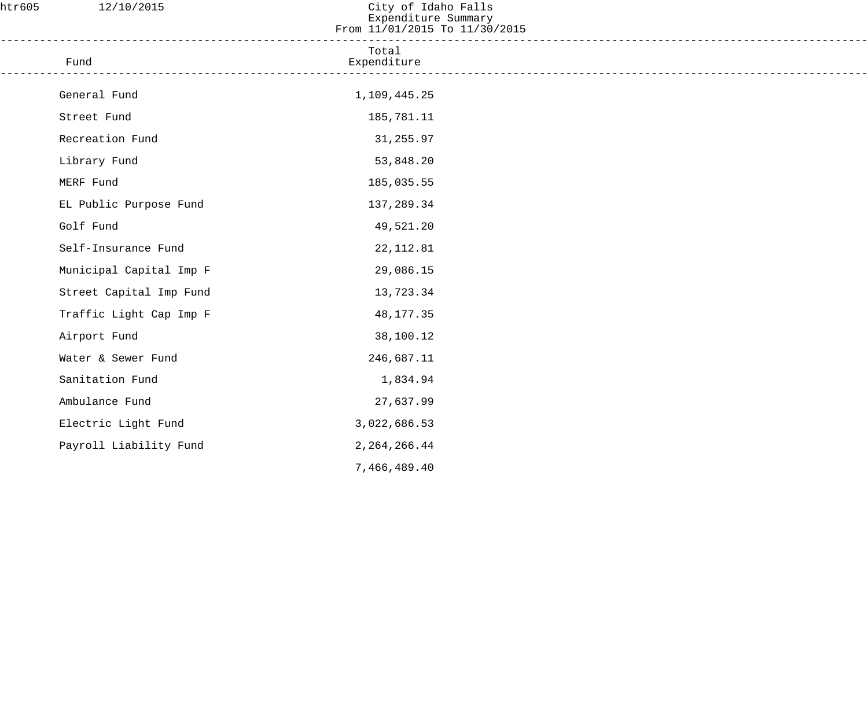| htr605 | 12/10/2015              | City of Idaho Falls<br>Expenditure Summary<br>From 11/01/2015 To 11/30/2015 |  |
|--------|-------------------------|-----------------------------------------------------------------------------|--|
|        | Fund                    | Total<br>Expenditure                                                        |  |
|        | General Fund            | 1,109,445.25                                                                |  |
|        | Street Fund             | 185,781.11                                                                  |  |
|        | Recreation Fund         | 31,255.97                                                                   |  |
|        | Library Fund            | 53,848.20                                                                   |  |
|        | MERF Fund               | 185,035.55                                                                  |  |
|        | EL Public Purpose Fund  | 137,289.34                                                                  |  |
|        | Golf Fund               | 49,521.20                                                                   |  |
|        | Self-Insurance Fund     | 22, 112.81                                                                  |  |
|        | Municipal Capital Imp F | 29,086.15                                                                   |  |
|        | Street Capital Imp Fund | 13,723.34                                                                   |  |
|        | Traffic Light Cap Imp F | 48,177.35                                                                   |  |
|        | Airport Fund            | 38,100.12                                                                   |  |
|        | Water & Sewer Fund      | 246,687.11                                                                  |  |
|        | Sanitation Fund         | 1,834.94                                                                    |  |
|        | Ambulance Fund          | 27,637.99                                                                   |  |
|        | Electric Light Fund     | 3,022,686.53                                                                |  |
|        | Payroll Liability Fund  | 2, 264, 266.44                                                              |  |
|        |                         | 7,466,489.40                                                                |  |
|        |                         |                                                                             |  |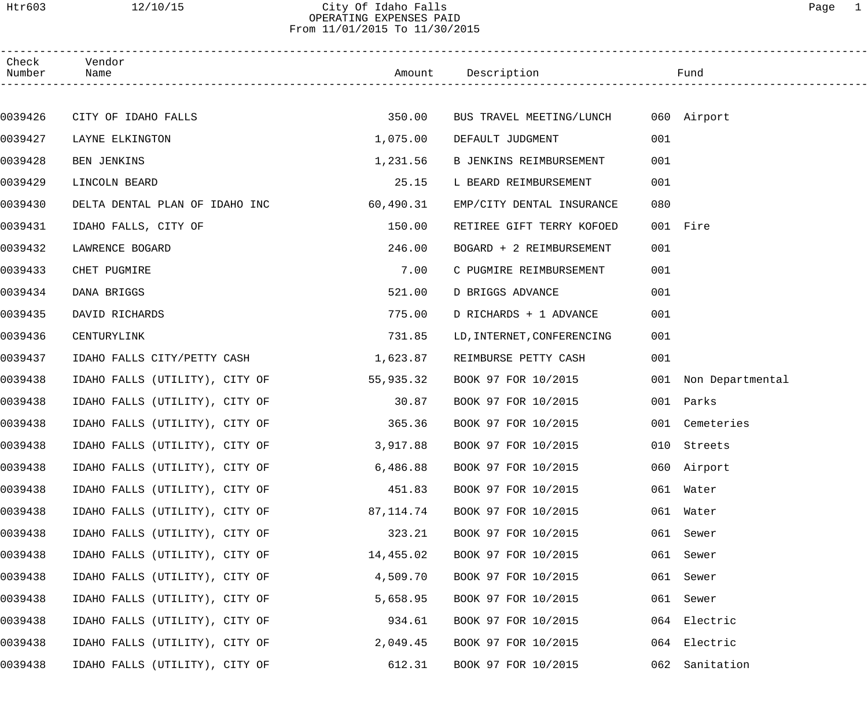#### Htr603 12/10/15 City Of Idaho Falls Page 1 OPERATING EXPENSES PAID From 11/01/2015 To 11/30/2015

| Check<br>Number | Vendor<br>Name                 |           | Amount Description Tund              |     |                      |  |
|-----------------|--------------------------------|-----------|--------------------------------------|-----|----------------------|--|
|                 |                                |           |                                      |     |                      |  |
| 0039426         | CITY OF IDAHO FALLS            | 350.00    | BUS TRAVEL MEETING/LUNCH 060 Airport |     |                      |  |
| 0039427         | LAYNE ELKINGTON                | 1,075.00  | DEFAULT JUDGMENT                     | 001 |                      |  |
| 0039428         | <b>BEN JENKINS</b>             | 1,231.56  | B JENKINS REIMBURSEMENT              | 001 |                      |  |
| 0039429         | LINCOLN BEARD                  | 25.15     | L BEARD REIMBURSEMENT                | 001 |                      |  |
| 0039430         | DELTA DENTAL PLAN OF IDAHO INC | 60,490.31 | EMP/CITY DENTAL INSURANCE            | 080 |                      |  |
| 0039431         | IDAHO FALLS, CITY OF           | 150.00    | RETIREE GIFT TERRY KOFOED            |     | 001 Fire             |  |
| 0039432         | LAWRENCE BOGARD                | 246.00    | BOGARD + 2 REIMBURSEMENT             | 001 |                      |  |
| 0039433         | CHET PUGMIRE                   | 7.00      | C PUGMIRE REIMBURSEMENT              | 001 |                      |  |
| 0039434         | DANA BRIGGS                    | 521.00    | D BRIGGS ADVANCE                     | 001 |                      |  |
| 0039435         | DAVID RICHARDS                 | 775.00    | D RICHARDS + 1 ADVANCE               | 001 |                      |  |
| 0039436         | CENTURYLINK                    | 731.85    | LD, INTERNET, CONFERENCING           | 001 |                      |  |
| 0039437         | IDAHO FALLS CITY/PETTY CASH    | 1,623.87  | REIMBURSE PETTY CASH                 | 001 |                      |  |
| 0039438         | IDAHO FALLS (UTILITY), CITY OF | 55,935.32 | BOOK 97 FOR 10/2015                  |     | 001 Non Departmental |  |
| 0039438         | IDAHO FALLS (UTILITY), CITY OF | 30.87     | BOOK 97 FOR 10/2015                  |     | 001 Parks            |  |
| 0039438         | IDAHO FALLS (UTILITY), CITY OF | 365.36    | BOOK 97 FOR 10/2015                  |     | 001 Cemeteries       |  |
| 0039438         | IDAHO FALLS (UTILITY), CITY OF | 3,917.88  | BOOK 97 FOR 10/2015                  |     | 010 Streets          |  |
| 0039438         | IDAHO FALLS (UTILITY), CITY OF | 6,486.88  | BOOK 97 FOR 10/2015                  |     | 060 Airport          |  |
| 0039438         | IDAHO FALLS (UTILITY), CITY OF | 451.83    | BOOK 97 FOR 10/2015                  |     | 061 Water            |  |
| 0039438         | IDAHO FALLS (UTILITY), CITY OF | 87,114.74 | BOOK 97 FOR 10/2015                  |     | 061 Water            |  |
| 0039438         | IDAHO FALLS (UTILITY), CITY OF | 323.21    | BOOK 97 FOR 10/2015                  |     | 061 Sewer            |  |
| 0039438         | IDAHO FALLS (UTILITY), CITY OF | 14,455.02 | BOOK 97 FOR 10/2015                  | 061 | Sewer                |  |
| 0039438         | IDAHO FALLS (UTILITY), CITY OF | 4,509.70  | BOOK 97 FOR 10/2015                  | 061 | Sewer                |  |
| 0039438         | IDAHO FALLS (UTILITY), CITY OF | 5,658.95  | BOOK 97 FOR 10/2015                  | 061 | Sewer                |  |
| 0039438         | IDAHO FALLS (UTILITY), CITY OF | 934.61    | BOOK 97 FOR 10/2015                  |     | 064 Electric         |  |
| 0039438         | IDAHO FALLS (UTILITY), CITY OF | 2,049.45  | BOOK 97 FOR 10/2015                  |     | 064 Electric         |  |
| 0039438         | IDAHO FALLS (UTILITY), CITY OF | 612.31    | BOOK 97 FOR 10/2015                  | 062 | Sanitation           |  |
|                 |                                |           |                                      |     |                      |  |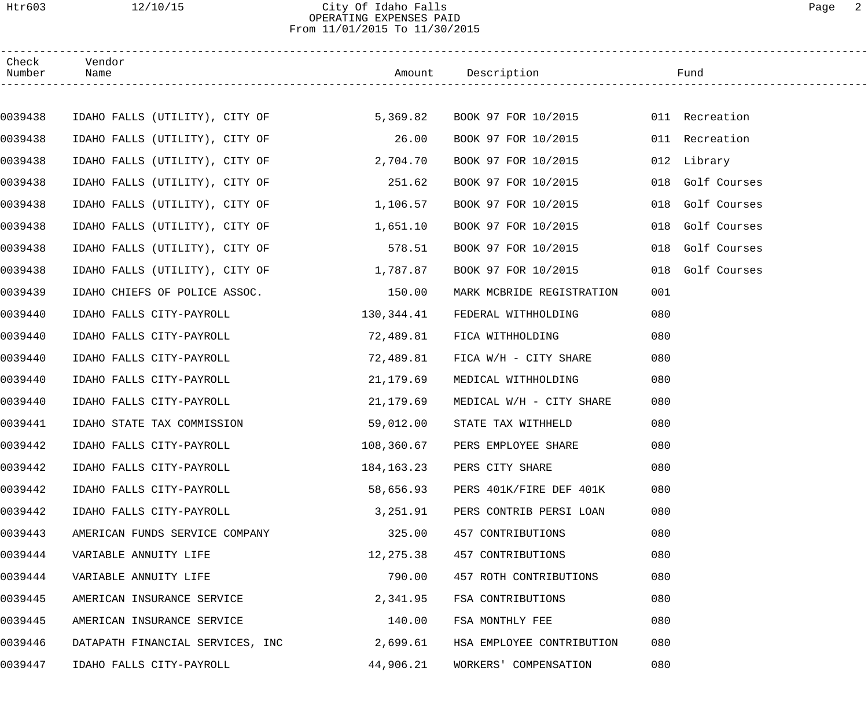#### Htr603 12/10/15 City Of Idaho Falls Page 2 OPERATING EXPENSES PAID From 11/01/2015 To 11/30/2015

| Check<br>Number | Vendor<br>Name                                              |            | Amount Description             | Fund                |
|-----------------|-------------------------------------------------------------|------------|--------------------------------|---------------------|
|                 |                                                             |            |                                |                     |
| 0039438         | IDAHO FALLS (UTILITY), CITY OF 5,369.82 BOOK 97 FOR 10/2015 |            |                                | 011 Recreation      |
| 0039438         | IDAHO FALLS (UTILITY), CITY OF                              | 26.00      | BOOK 97 FOR 10/2015            | 011 Recreation      |
| 0039438         | IDAHO FALLS (UTILITY), CITY OF                              | 2,704.70   | BOOK 97 FOR 10/2015            | 012 Library         |
| 0039438         | IDAHO FALLS (UTILITY), CITY OF                              | 251.62     | BOOK 97 FOR 10/2015            | Golf Courses<br>018 |
| 0039438         | IDAHO FALLS (UTILITY), CITY OF                              | 1,106.57   | BOOK 97 FOR 10/2015            | Golf Courses<br>018 |
| 0039438         | IDAHO FALLS (UTILITY), CITY OF                              | 1,651.10   | BOOK 97 FOR 10/2015            | Golf Courses<br>018 |
| 0039438         | IDAHO FALLS (UTILITY), CITY OF                              | 578.51     | BOOK 97 FOR 10/2015            | Golf Courses<br>018 |
| 0039438         | IDAHO FALLS (UTILITY), CITY OF                              | 1,787.87   | BOOK 97 FOR 10/2015            | 018 Golf Courses    |
| 0039439         | IDAHO CHIEFS OF POLICE ASSOC.                               | 150.00     | MARK MCBRIDE REGISTRATION      | 001                 |
| 0039440         | IDAHO FALLS CITY-PAYROLL                                    | 130,344.41 | FEDERAL WITHHOLDING            | 080                 |
| 0039440         | IDAHO FALLS CITY-PAYROLL                                    | 72,489.81  | FICA WITHHOLDING               | 080                 |
| 0039440         | IDAHO FALLS CITY-PAYROLL                                    | 72,489.81  | FICA W/H - CITY SHARE          | 080                 |
| 0039440         | IDAHO FALLS CITY-PAYROLL                                    | 21,179.69  | MEDICAL WITHHOLDING            | 080                 |
| 0039440         | IDAHO FALLS CITY-PAYROLL                                    | 21,179.69  | MEDICAL W/H - CITY SHARE       | 080                 |
| 0039441         | IDAHO STATE TAX COMMISSION                                  | 59,012.00  | STATE TAX WITHHELD             | 080                 |
| 0039442         | IDAHO FALLS CITY-PAYROLL                                    |            | 108,360.67 PERS EMPLOYEE SHARE | 080                 |
| 0039442         | IDAHO FALLS CITY-PAYROLL                                    | 184,163.23 | PERS CITY SHARE                | 080                 |
| 0039442         | IDAHO FALLS CITY-PAYROLL                                    | 58,656.93  | PERS 401K/FIRE DEF 401K        | 080                 |
| 0039442         | IDAHO FALLS CITY-PAYROLL                                    | 3,251.91   | PERS CONTRIB PERSI LOAN        | 080                 |
| 0039443         | AMERICAN FUNDS SERVICE COMPANY                              | 325.00     | 457 CONTRIBUTIONS              | 080                 |
| 0039444         | VARIABLE ANNUITY LIFE                                       | 12,275.38  | 457 CONTRIBUTIONS              | 080                 |
| 0039444         | VARIABLE ANNUITY LIFE                                       | 790.00     | 457 ROTH CONTRIBUTIONS         | 080                 |
| 0039445         | AMERICAN INSURANCE SERVICE                                  | 2,341.95   | FSA CONTRIBUTIONS              | 080                 |
| 0039445         | AMERICAN INSURANCE SERVICE                                  | 140.00     | FSA MONTHLY FEE                | 080                 |
| 0039446         | DATAPATH FINANCIAL SERVICES, INC                            | 2,699.61   | HSA EMPLOYEE CONTRIBUTION      | 080                 |
| 0039447         | IDAHO FALLS CITY-PAYROLL                                    | 44,906.21  | WORKERS' COMPENSATION          | 080                 |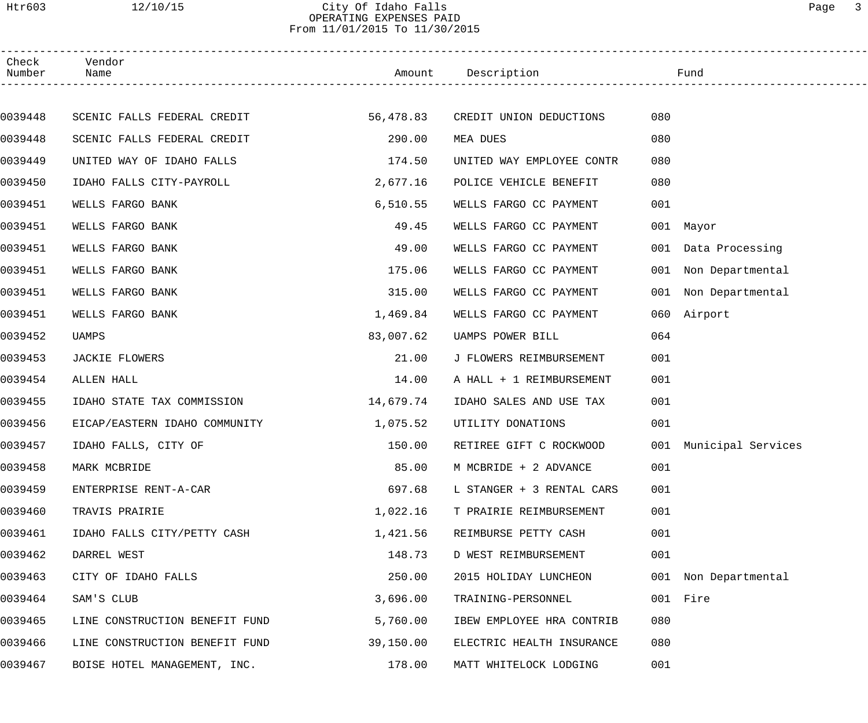## Htr603 12/10/15 City Of Idaho Falls Page 3 OPERATING EXPENSES PAID From 11/01/2015 To 11/30/2015

| Check<br>Number | Vendor<br>Name                 |           | Amount Description        | Fund        |                        |
|-----------------|--------------------------------|-----------|---------------------------|-------------|------------------------|
|                 |                                |           |                           |             |                        |
| 0039448         | SCENIC FALLS FEDERAL CREDIT    | 56,478.83 | CREDIT UNION DEDUCTIONS   | 080         |                        |
| 0039448         | SCENIC FALLS FEDERAL CREDIT    | 290.00    | MEA DUES                  | 080         |                        |
| 0039449         | UNITED WAY OF IDAHO FALLS      | 174.50    | UNITED WAY EMPLOYEE CONTR | 080         |                        |
| 0039450         | IDAHO FALLS CITY-PAYROLL       | 2,677.16  | POLICE VEHICLE BENEFIT    | 080         |                        |
| 0039451         | WELLS FARGO BANK               | 6, 510.55 | WELLS FARGO CC PAYMENT    | 001         |                        |
| 0039451         | WELLS FARGO BANK               | 49.45     | WELLS FARGO CC PAYMENT    | 001 Mayor   |                        |
| 0039451         | WELLS FARGO BANK               | 49.00     | WELLS FARGO CC PAYMENT    |             | 001 Data Processing    |
| 0039451         | WELLS FARGO BANK               | 175.06    | WELLS FARGO CC PAYMENT    |             | 001 Non Departmental   |
| 0039451         | WELLS FARGO BANK               | 315.00    | WELLS FARGO CC PAYMENT    |             | 001 Non Departmental   |
| 0039451         | WELLS FARGO BANK               | 1,469.84  | WELLS FARGO CC PAYMENT    | 060 Airport |                        |
| 0039452         | UAMPS                          | 83,007.62 | UAMPS POWER BILL          | 064         |                        |
| 0039453         | JACKIE FLOWERS                 | 21.00     | J FLOWERS REIMBURSEMENT   | 001         |                        |
| 0039454         | ALLEN HALL                     | 14.00     | A HALL + 1 REIMBURSEMENT  | 001         |                        |
| 0039455         | IDAHO STATE TAX COMMISSION     | 14,679.74 | IDAHO SALES AND USE TAX   | 001         |                        |
| 0039456         | EICAP/EASTERN IDAHO COMMUNITY  | 1,075.52  | UTILITY DONATIONS         | 001         |                        |
| 0039457         | IDAHO FALLS, CITY OF           | 150.00    | RETIREE GIFT C ROCKWOOD   |             | 001 Municipal Services |
| 0039458         | MARK MCBRIDE                   | 85.00     | M MCBRIDE + 2 ADVANCE     | 001         |                        |
| 0039459         | ENTERPRISE RENT-A-CAR          | 697.68    | L STANGER + 3 RENTAL CARS | 001         |                        |
| 0039460         | TRAVIS PRAIRIE                 | 1,022.16  | T PRAIRIE REIMBURSEMENT   | 001         |                        |
| 0039461         | IDAHO FALLS CITY/PETTY CASH    | 1,421.56  | REIMBURSE PETTY CASH      | 001         |                        |
| 0039462         | DARREL WEST                    | 148.73    | D WEST REIMBURSEMENT      | 001         |                        |
| 0039463         | CITY OF IDAHO FALLS            | 250.00    | 2015 HOLIDAY LUNCHEON     |             | 001 Non Departmental   |
| 0039464         | SAM'S CLUB                     | 3,696.00  | TRAINING-PERSONNEL        | 001 Fire    |                        |
| 0039465         | LINE CONSTRUCTION BENEFIT FUND | 5,760.00  | IBEW EMPLOYEE HRA CONTRIB | 080         |                        |
| 0039466         | LINE CONSTRUCTION BENEFIT FUND | 39,150.00 | ELECTRIC HEALTH INSURANCE | 080         |                        |
| 0039467         | BOISE HOTEL MANAGEMENT, INC.   | 178.00    | MATT WHITELOCK LODGING    | 001         |                        |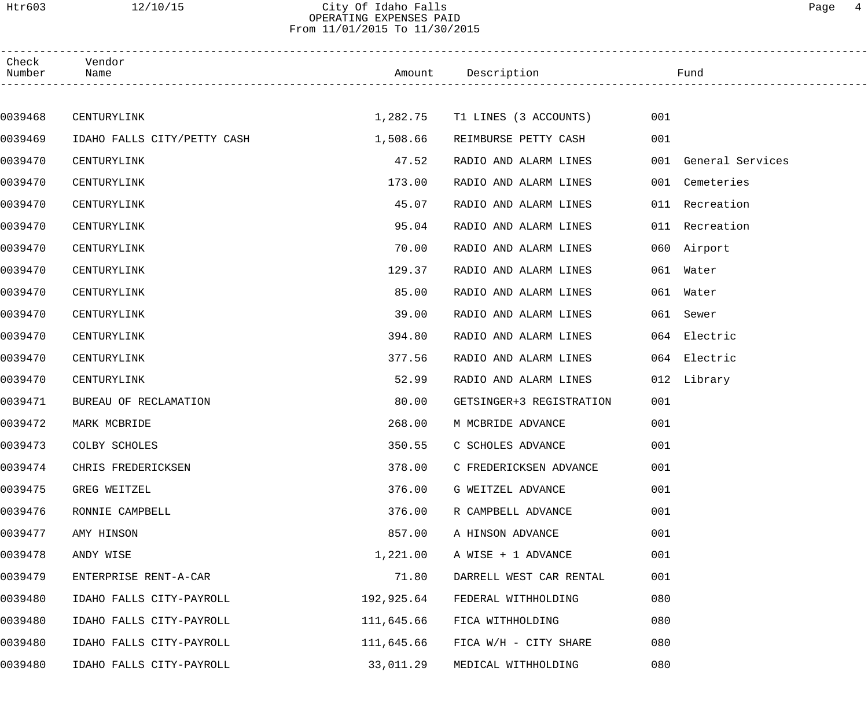## Htr603 12/10/15 City Of Idaho Falls Page 4 OPERATING EXPENSES PAID From 11/01/2015 To 11/30/2015

| Check<br>Number | Vendor<br>Name              |            | Amount Description             |     | Fund                 |
|-----------------|-----------------------------|------------|--------------------------------|-----|----------------------|
|                 |                             |            |                                |     |                      |
| 0039468         | CENTURYLINK                 |            | 1,282.75 T1 LINES (3 ACCOUNTS) | 001 |                      |
| 0039469         | IDAHO FALLS CITY/PETTY CASH | 1,508.66   | REIMBURSE PETTY CASH           | 001 |                      |
| 0039470         | CENTURYLINK                 | 47.52      | RADIO AND ALARM LINES          |     | 001 General Services |
| 0039470         | CENTURYLINK                 | 173.00     | RADIO AND ALARM LINES          |     | 001 Cemeteries       |
| 0039470         | CENTURYLINK                 | 45.07      | RADIO AND ALARM LINES          |     | 011 Recreation       |
| 0039470         | CENTURYLINK                 | 95.04      | RADIO AND ALARM LINES          |     | 011 Recreation       |
| 0039470         | CENTURYLINK                 | 70.00      | RADIO AND ALARM LINES          |     | 060 Airport          |
| 0039470         | CENTURYLINK                 | 129.37     | RADIO AND ALARM LINES          |     | 061 Water            |
| 0039470         | CENTURYLINK                 | 85.00      | RADIO AND ALARM LINES          |     | 061 Water            |
| 0039470         | CENTURYLINK                 | 39.00      | RADIO AND ALARM LINES          | 061 | Sewer                |
| 0039470         | CENTURYLINK                 | 394.80     | RADIO AND ALARM LINES          |     | 064 Electric         |
| 0039470         | CENTURYLINK                 | 377.56     | RADIO AND ALARM LINES          |     | 064 Electric         |
| 0039470         | CENTURYLINK                 | 52.99      | RADIO AND ALARM LINES          |     | 012 Library          |
| 0039471         | BUREAU OF RECLAMATION       | 80.00      | GETSINGER+3 REGISTRATION       | 001 |                      |
| 0039472         | MARK MCBRIDE                | 268.00     | M MCBRIDE ADVANCE              | 001 |                      |
| 0039473         | COLBY SCHOLES               | 350.55     | C SCHOLES ADVANCE              | 001 |                      |
| 0039474         | CHRIS FREDERICKSEN          | 378.00     | C FREDERICKSEN ADVANCE         | 001 |                      |
| 0039475         | GREG WEITZEL                | 376.00     | G WEITZEL ADVANCE              | 001 |                      |
| 0039476         | RONNIE CAMPBELL             | 376.00     | R CAMPBELL ADVANCE             | 001 |                      |
| 0039477         | AMY HINSON                  | 857.00     | A HINSON ADVANCE               | 001 |                      |
| 0039478         | ANDY WISE                   | 1,221.00   | A WISE + 1 ADVANCE             | 001 |                      |
| 0039479         | ENTERPRISE RENT-A-CAR       | 71.80      | DARRELL WEST CAR RENTAL        | 001 |                      |
| 0039480         | IDAHO FALLS CITY-PAYROLL    | 192,925.64 | FEDERAL WITHHOLDING            | 080 |                      |
| 0039480         | IDAHO FALLS CITY-PAYROLL    | 111,645.66 | FICA WITHHOLDING               | 080 |                      |
| 0039480         | IDAHO FALLS CITY-PAYROLL    | 111,645.66 | FICA W/H - CITY SHARE          | 080 |                      |
| 0039480         | IDAHO FALLS CITY-PAYROLL    | 33,011.29  | MEDICAL WITHHOLDING            | 080 |                      |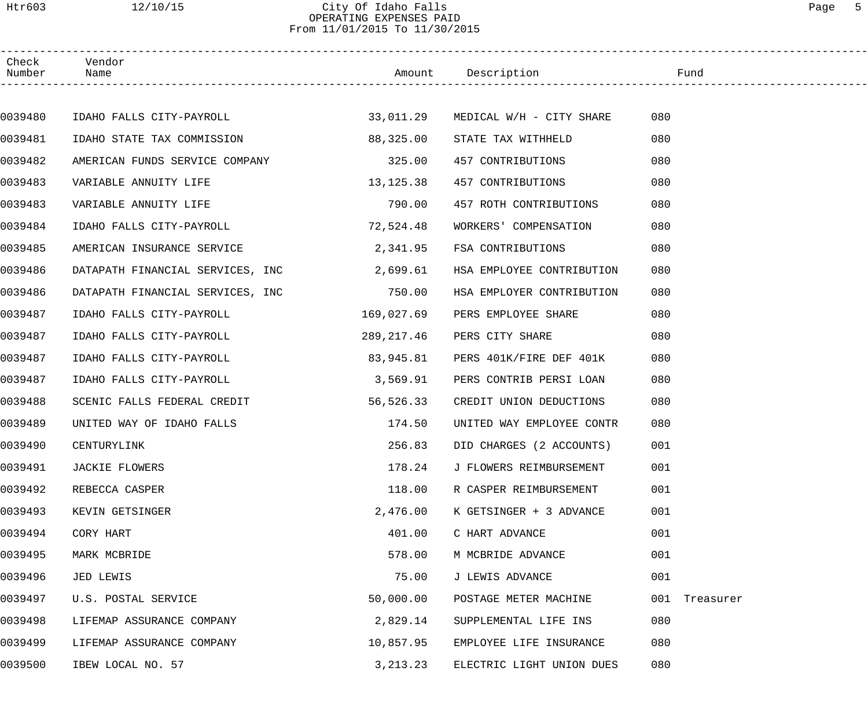#### Htr603 12/10/15 City Of Idaho Falls Page 5 OPERATING EXPENSES PAID From 11/01/2015 To 11/30/2015

| Check<br>Number | Vendor<br>Name                        |             | Amount Description                 | Fund          |  |
|-----------------|---------------------------------------|-------------|------------------------------------|---------------|--|
|                 |                                       |             |                                    |               |  |
| 0039480         | IDAHO FALLS CITY-PAYROLL              |             | 33,011.29 MEDICAL W/H - CITY SHARE | 080           |  |
| 0039481         | IDAHO STATE TAX COMMISSION            | 88,325.00   | STATE TAX WITHHELD                 | 080           |  |
| 0039482         | AMERICAN FUNDS SERVICE COMPANY 325.00 |             | 457 CONTRIBUTIONS                  | 080           |  |
| 0039483         | VARIABLE ANNUITY LIFE                 | 13, 125. 38 | 457 CONTRIBUTIONS                  | 080           |  |
| 0039483         | VARIABLE ANNUITY LIFE                 | 790.00      | 457 ROTH CONTRIBUTIONS             | 080           |  |
| 0039484         | IDAHO FALLS CITY-PAYROLL              | 72,524.48   | WORKERS' COMPENSATION              | 080           |  |
| 0039485         | AMERICAN INSURANCE SERVICE            | 2,341.95    | FSA CONTRIBUTIONS                  | 080           |  |
| 0039486         | DATAPATH FINANCIAL SERVICES, INC      | 2,699.61    | HSA EMPLOYEE CONTRIBUTION          | 080           |  |
| 0039486         | DATAPATH FINANCIAL SERVICES, INC      | 750.00      | HSA EMPLOYER CONTRIBUTION          | 080           |  |
| 0039487         | IDAHO FALLS CITY-PAYROLL              | 169,027.69  | PERS EMPLOYEE SHARE                | 080           |  |
| 0039487         | IDAHO FALLS CITY-PAYROLL              | 289,217.46  | PERS CITY SHARE                    | 080           |  |
| 0039487         | IDAHO FALLS CITY-PAYROLL              | 83,945.81   | PERS 401K/FIRE DEF 401K            | 080           |  |
| 0039487         | IDAHO FALLS CITY-PAYROLL              | 3,569.91    | PERS CONTRIB PERSI LOAN            | 080           |  |
| 0039488         | SCENIC FALLS FEDERAL CREDIT           | 56,526.33   | CREDIT UNION DEDUCTIONS            | 080           |  |
| 0039489         | UNITED WAY OF IDAHO FALLS             | 174.50      | UNITED WAY EMPLOYEE CONTR          | 080           |  |
| 0039490         | CENTURYLINK                           | 256.83      | DID CHARGES (2 ACCOUNTS)           | 001           |  |
| 0039491         | JACKIE FLOWERS                        | 178.24      | J FLOWERS REIMBURSEMENT            | 001           |  |
| 0039492         | REBECCA CASPER                        | 118.00      | R CASPER REIMBURSEMENT             | 001           |  |
| 0039493         | KEVIN GETSINGER                       | 2,476.00    | K GETSINGER + 3 ADVANCE            | 001           |  |
| 0039494         | CORY HART                             | 401.00      | C HART ADVANCE                     | 001           |  |
| 0039495         | MARK MCBRIDE                          | 578.00      | M MCBRIDE ADVANCE                  | 001           |  |
| 0039496         | JED LEWIS                             | 75.00       | J LEWIS ADVANCE                    | 001           |  |
| 0039497         | U.S. POSTAL SERVICE                   | 50,000.00   | POSTAGE METER MACHINE              | 001 Treasurer |  |
| 0039498         | LIFEMAP ASSURANCE COMPANY             | 2,829.14    | SUPPLEMENTAL LIFE INS              | 080           |  |
| 0039499         | LIFEMAP ASSURANCE COMPANY             | 10,857.95   | EMPLOYEE LIFE INSURANCE            | 080           |  |
| 0039500         | IBEW LOCAL NO. 57                     | 3, 213. 23  | ELECTRIC LIGHT UNION DUES          | 080           |  |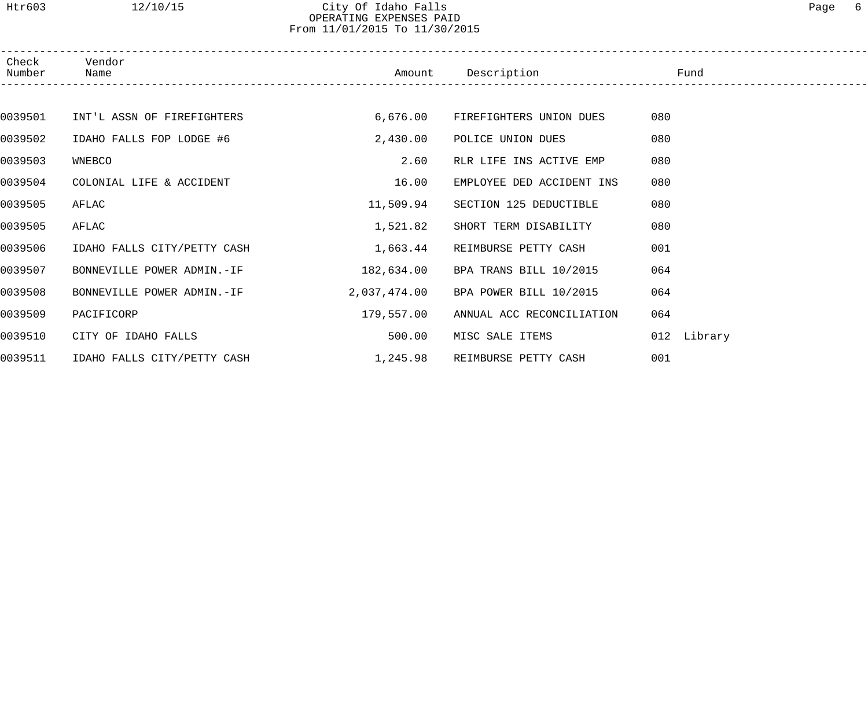#### Htr603 12/10/15 City Of Idaho Falls Page 6 OPERATING EXPENSES PAID From 11/01/2015 To 11/30/2015

| Check<br>Number | Vendor<br>Name              | Amount       | Description               | Fund           |  |
|-----------------|-----------------------------|--------------|---------------------------|----------------|--|
|                 |                             |              |                           |                |  |
| 0039501         | INT'L ASSN OF FIREFIGHTERS  | 6,676.00     | FIREFIGHTERS UNION DUES   | 080            |  |
| 0039502         | IDAHO FALLS FOP LODGE #6    | 2,430.00     | POLICE UNION DUES         | 080            |  |
| 0039503         | WNEBCO                      | 2.60         | RLR LIFE INS ACTIVE EMP   | 080            |  |
| 0039504         | COLONIAL LIFE & ACCIDENT    | 16.00        | EMPLOYEE DED ACCIDENT INS | 080            |  |
| 0039505         | AFLAC                       | 11,509.94    | SECTION 125 DEDUCTIBLE    | 080            |  |
| 0039505         | AFLAC                       | 1,521.82     | SHORT TERM DISABILITY     | 080            |  |
| 0039506         | IDAHO FALLS CITY/PETTY CASH | 1,663.44     | REIMBURSE PETTY CASH      | 001            |  |
| 0039507         | BONNEVILLE POWER ADMIN.-IF  | 182,634.00   | BPA TRANS BILL 10/2015    | 064            |  |
| 0039508         | BONNEVILLE POWER ADMIN.-IF  | 2,037,474.00 | BPA POWER BILL 10/2015    | 064            |  |
| 0039509         | PACIFICORP                  | 179,557.00   | ANNUAL ACC RECONCILIATION | 064            |  |
| 0039510         | CITY OF IDAHO FALLS         | 500.00       | MISC SALE ITEMS           | Library<br>012 |  |
| 0039511         | IDAHO FALLS CITY/PETTY CASH | 1,245.98     | REIMBURSE PETTY CASH      | 001            |  |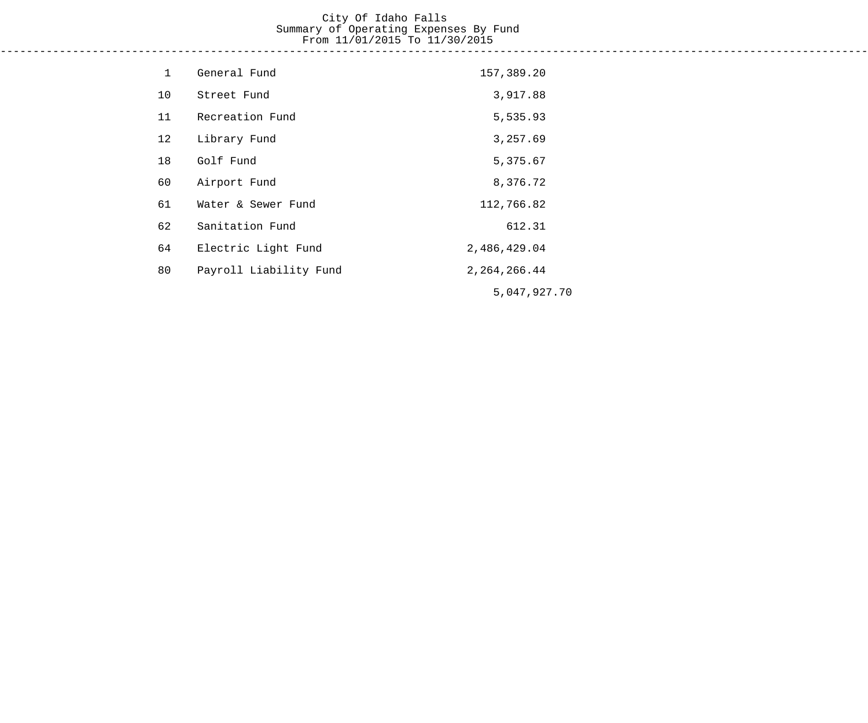#### City Of Idaho Falls Summary of Operating Expenses By Fund From 11/01/2015 To 11/30/2015 ------------------------------------------------------------------------------------------------------------------------------------

| $\mathbf{1}$ | General Fund           | 157,389.20      |
|--------------|------------------------|-----------------|
| 10           | Street Fund            | 3,917.88        |
| 11           | Recreation Fund        | 5,535.93        |
| 12           | Library Fund           | 3,257.69        |
| 18           | Golf Fund              | 5,375.67        |
| 60           | Airport Fund           | 8,376.72        |
| 61           | Water & Sewer Fund     | 112,766.82      |
| 62           | Sanitation Fund        | 612.31          |
| 64           | Electric Light Fund    | 2,486,429.04    |
| 80           | Payroll Liability Fund | 2, 264, 266. 44 |
|              |                        | 5,047,927.70    |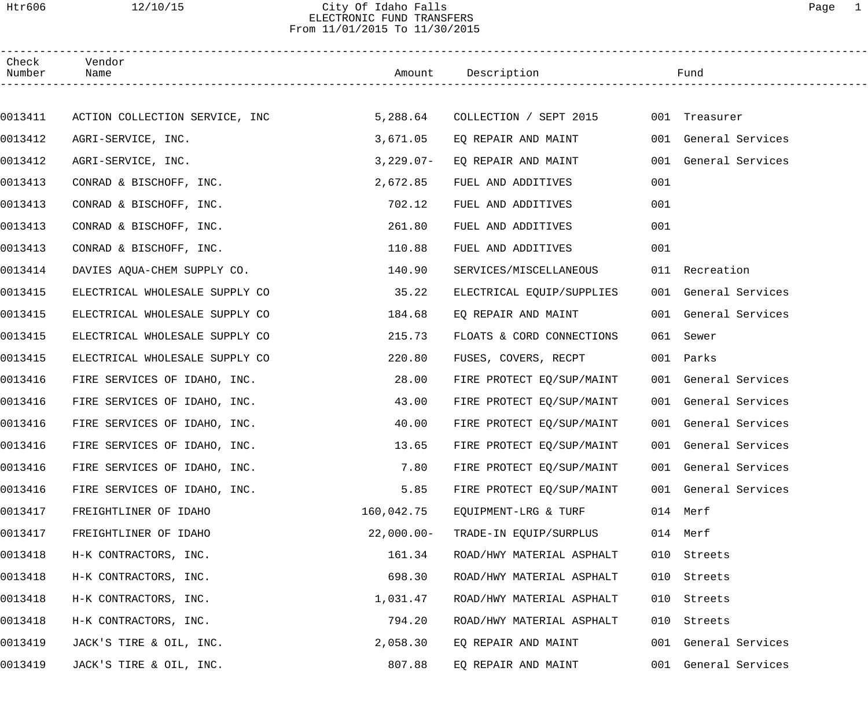## Htr606 12/10/15 City Of Idaho Falls Page 1 ELECTRONIC FUND TRANSFERS From 11/01/2015 To 11/30/2015

| Check<br>Number | Vendor<br>Name                 |              | Amount Description        |     | Fund                 |
|-----------------|--------------------------------|--------------|---------------------------|-----|----------------------|
|                 |                                |              |                           |     |                      |
| 0013411         | ACTION COLLECTION SERVICE, INC | 5,288.64     | COLLECTION / SEPT 2015    |     | 001 Treasurer        |
| 0013412         | AGRI-SERVICE, INC.             | 3,671.05     | EQ REPAIR AND MAINT       |     | 001 General Services |
| 0013412         | AGRI-SERVICE, INC.             | $3,229.07-$  | EQ REPAIR AND MAINT       |     | 001 General Services |
| 0013413         | CONRAD & BISCHOFF, INC.        | 2,672.85     | FUEL AND ADDITIVES        | 001 |                      |
| 0013413         | CONRAD & BISCHOFF, INC.        | 702.12       | FUEL AND ADDITIVES        | 001 |                      |
| 0013413         | CONRAD & BISCHOFF, INC.        | 261.80       | FUEL AND ADDITIVES        | 001 |                      |
| 0013413         | CONRAD & BISCHOFF, INC.        | 110.88       | FUEL AND ADDITIVES        | 001 |                      |
| 0013414         | DAVIES AQUA-CHEM SUPPLY CO.    | 140.90       | SERVICES/MISCELLANEOUS    |     | 011 Recreation       |
| 0013415         | ELECTRICAL WHOLESALE SUPPLY CO | 35.22        | ELECTRICAL EQUIP/SUPPLIES |     | 001 General Services |
| 0013415         | ELECTRICAL WHOLESALE SUPPLY CO | 184.68       | EQ REPAIR AND MAINT       |     | 001 General Services |
| 0013415         | ELECTRICAL WHOLESALE SUPPLY CO | 215.73       | FLOATS & CORD CONNECTIONS |     | 061 Sewer            |
| 0013415         | ELECTRICAL WHOLESALE SUPPLY CO | 220.80       | FUSES, COVERS, RECPT      |     | 001 Parks            |
| 0013416         | FIRE SERVICES OF IDAHO, INC.   | 28.00        | FIRE PROTECT EQ/SUP/MAINT |     | 001 General Services |
| 0013416         | FIRE SERVICES OF IDAHO, INC.   | 43.00        | FIRE PROTECT EQ/SUP/MAINT |     | 001 General Services |
| 0013416         | FIRE SERVICES OF IDAHO, INC.   | 40.00        | FIRE PROTECT EQ/SUP/MAINT |     | 001 General Services |
| 0013416         | FIRE SERVICES OF IDAHO, INC.   | 13.65        | FIRE PROTECT EQ/SUP/MAINT |     | 001 General Services |
| 0013416         | FIRE SERVICES OF IDAHO, INC.   | 7.80         | FIRE PROTECT EQ/SUP/MAINT |     | 001 General Services |
| 0013416         | FIRE SERVICES OF IDAHO, INC.   | 5.85         | FIRE PROTECT EQ/SUP/MAINT |     | 001 General Services |
| 0013417         | FREIGHTLINER OF IDAHO          | 160,042.75   | EQUIPMENT-LRG & TURF      |     | 014 Merf             |
| 0013417         | FREIGHTLINER OF IDAHO          | $22,000.00-$ | TRADE-IN EQUIP/SURPLUS    |     | 014 Merf             |
| 0013418         | H-K CONTRACTORS, INC.          | 161.34       | ROAD/HWY MATERIAL ASPHALT |     | 010 Streets          |
| 0013418         | H-K CONTRACTORS, INC.          | 698.30       | ROAD/HWY MATERIAL ASPHALT | 010 | Streets              |
| 0013418         | H-K CONTRACTORS, INC.          | 1,031.47     | ROAD/HWY MATERIAL ASPHALT | 010 | Streets              |
| 0013418         | H-K CONTRACTORS, INC.          | 794.20       | ROAD/HWY MATERIAL ASPHALT | 010 | Streets              |
| 0013419         | JACK'S TIRE & OIL, INC.        | 2,058.30     | EQ REPAIR AND MAINT       |     | 001 General Services |
| 0013419         | JACK'S TIRE & OIL, INC.        | 807.88       | EQ REPAIR AND MAINT       |     | 001 General Services |
|                 |                                |              |                           |     |                      |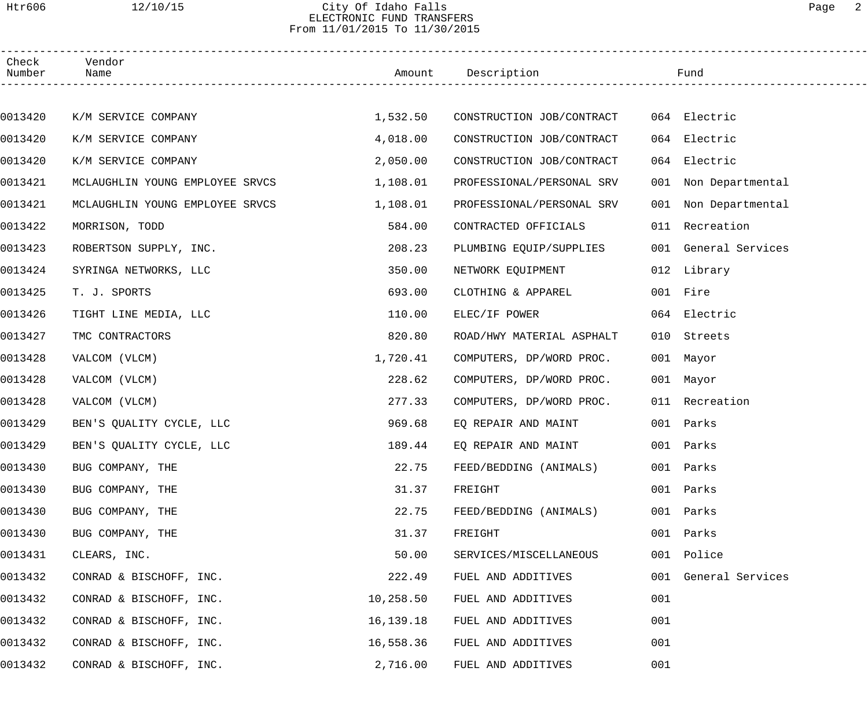#### Htr606 12/10/15 City Of Idaho Falls Page 2 ELECTRONIC FUND TRANSFERS From 11/01/2015 To 11/30/2015

| Check<br>Number | Vendor<br>Name                  |           | Amount Description        |     | Fund                 |  |
|-----------------|---------------------------------|-----------|---------------------------|-----|----------------------|--|
|                 |                                 |           |                           |     |                      |  |
| 0013420         | K/M SERVICE COMPANY             | 1,532.50  | CONSTRUCTION JOB/CONTRACT |     | 064 Electric         |  |
| 0013420         | K/M SERVICE COMPANY             | 4,018.00  | CONSTRUCTION JOB/CONTRACT |     | 064 Electric         |  |
| 0013420         | K/M SERVICE COMPANY             | 2,050.00  | CONSTRUCTION JOB/CONTRACT |     | 064 Electric         |  |
| 0013421         | MCLAUGHLIN YOUNG EMPLOYEE SRVCS | 1,108.01  | PROFESSIONAL/PERSONAL SRV |     | 001 Non Departmental |  |
| 0013421         | MCLAUGHLIN YOUNG EMPLOYEE SRVCS | 1,108.01  | PROFESSIONAL/PERSONAL SRV |     | 001 Non Departmental |  |
| 0013422         | MORRISON, TODD                  | 584.00    | CONTRACTED OFFICIALS      |     | 011 Recreation       |  |
| 0013423         | ROBERTSON SUPPLY, INC.          | 208.23    | PLUMBING EQUIP/SUPPLIES   |     | 001 General Services |  |
| 0013424         | SYRINGA NETWORKS, LLC           | 350.00    | NETWORK EQUIPMENT         |     | 012 Library          |  |
| 0013425         | T. J. SPORTS                    | 693.00    | CLOTHING & APPAREL        |     | 001 Fire             |  |
| 0013426         | TIGHT LINE MEDIA, LLC           | 110.00    | ELEC/IF POWER             |     | 064 Electric         |  |
| 0013427         | TMC CONTRACTORS                 | 820.80    | ROAD/HWY MATERIAL ASPHALT |     | 010 Streets          |  |
| 0013428         | VALCOM (VLCM)                   | 1,720.41  | COMPUTERS, DP/WORD PROC.  |     | 001 Mayor            |  |
| 0013428         | VALCOM (VLCM)                   | 228.62    | COMPUTERS, DP/WORD PROC.  |     | 001 Mayor            |  |
| 0013428         | VALCOM (VLCM)                   | 277.33    | COMPUTERS, DP/WORD PROC.  |     | 011 Recreation       |  |
| 0013429         | BEN'S OUALITY CYCLE, LLC        | 969.68    | EQ REPAIR AND MAINT       |     | 001 Parks            |  |
| 0013429         | BEN'S QUALITY CYCLE, LLC        | 189.44    | EQ REPAIR AND MAINT       |     | 001 Parks            |  |
| 0013430         | BUG COMPANY, THE                | 22.75     | FEED/BEDDING (ANIMALS)    |     | 001 Parks            |  |
| 0013430         | BUG COMPANY, THE                | 31.37     | FREIGHT                   | 001 | Parks                |  |
| 0013430         | BUG COMPANY, THE                | 22.75     | FEED/BEDDING (ANIMALS)    | 001 | Parks                |  |
| 0013430         | BUG COMPANY, THE                | 31.37     | FREIGHT                   | 001 | Parks                |  |
| 0013431         | CLEARS, INC.                    | 50.00     | SERVICES/MISCELLANEOUS    | 001 | Police               |  |
| 0013432         | CONRAD & BISCHOFF, INC.         | 222.49    | FUEL AND ADDITIVES        | 001 | General Services     |  |
| 0013432         | CONRAD & BISCHOFF, INC.         | 10,258.50 | FUEL AND ADDITIVES        | 001 |                      |  |
| 0013432         | CONRAD & BISCHOFF, INC.         | 16,139.18 | FUEL AND ADDITIVES        | 001 |                      |  |
| 0013432         | CONRAD & BISCHOFF, INC.         | 16,558.36 | FUEL AND ADDITIVES        | 001 |                      |  |
| 0013432         | CONRAD & BISCHOFF, INC.         | 2,716.00  | FUEL AND ADDITIVES        | 001 |                      |  |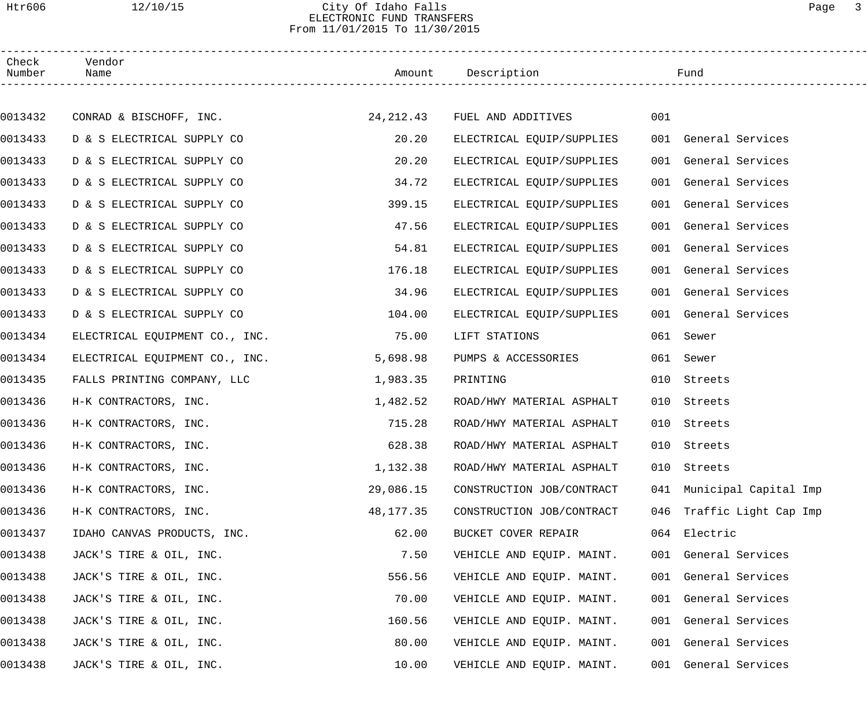#### Htr606 12/10/15 City Of Idaho Falls Page 3 ELECTRONIC FUND TRANSFERS From 11/01/2015 To 11/30/2015

| Check<br>Number | Vendor<br>Name                 |           | Amount Description           |     | Fund                      |
|-----------------|--------------------------------|-----------|------------------------------|-----|---------------------------|
|                 |                                |           |                              |     |                           |
| 0013432         | CONRAD & BISCHOFF, INC.        |           | 24,212.43 FUEL AND ADDITIVES | 001 |                           |
| 0013433         | D & S ELECTRICAL SUPPLY CO     | 20.20     | ELECTRICAL EQUIP/SUPPLIES    |     | 001 General Services      |
| 0013433         | D & S ELECTRICAL SUPPLY CO     | 20.20     | ELECTRICAL EQUIP/SUPPLIES    |     | 001 General Services      |
| 0013433         | D & S ELECTRICAL SUPPLY CO     | 34.72     | ELECTRICAL EQUIP/SUPPLIES    |     | 001 General Services      |
| 0013433         | D & S ELECTRICAL SUPPLY CO     | 399.15    | ELECTRICAL EQUIP/SUPPLIES    |     | 001 General Services      |
| 0013433         | D & S ELECTRICAL SUPPLY CO     | 47.56     | ELECTRICAL EQUIP/SUPPLIES    |     | 001 General Services      |
| 0013433         | D & S ELECTRICAL SUPPLY CO     | 54.81     | ELECTRICAL EQUIP/SUPPLIES    |     | 001 General Services      |
| 0013433         | D & S ELECTRICAL SUPPLY CO     | 176.18    | ELECTRICAL EQUIP/SUPPLIES    |     | 001 General Services      |
| 0013433         | D & S ELECTRICAL SUPPLY CO     | 34.96     | ELECTRICAL EQUIP/SUPPLIES    |     | 001 General Services      |
| 0013433         | D & S ELECTRICAL SUPPLY CO     | 104.00    | ELECTRICAL EQUIP/SUPPLIES    |     | 001 General Services      |
| 0013434         | ELECTRICAL EQUIPMENT CO., INC. | 75.00     | LIFT STATIONS                |     | 061 Sewer                 |
| 0013434         | ELECTRICAL EQUIPMENT CO., INC. | 5,698.98  | PUMPS & ACCESSORIES          |     | 061 Sewer                 |
| 0013435         | FALLS PRINTING COMPANY, LLC    | 1,983.35  | PRINTING                     |     | 010 Streets               |
| 0013436         | H-K CONTRACTORS, INC.          | 1,482.52  | ROAD/HWY MATERIAL ASPHALT    | 010 | Streets                   |
| 0013436         | H-K CONTRACTORS, INC.          | 715.28    | ROAD/HWY MATERIAL ASPHALT    |     | 010 Streets               |
| 0013436         | H-K CONTRACTORS, INC.          | 628.38    | ROAD/HWY MATERIAL ASPHALT    |     | 010 Streets               |
| 0013436         | H-K CONTRACTORS, INC.          | 1,132.38  | ROAD/HWY MATERIAL ASPHALT    |     | 010 Streets               |
| 0013436         | H-K CONTRACTORS, INC.          | 29,086.15 | CONSTRUCTION JOB/CONTRACT    |     | 041 Municipal Capital Imp |
| 0013436         | H-K CONTRACTORS, INC.          | 48,177.35 | CONSTRUCTION JOB/CONTRACT    |     | 046 Traffic Light Cap Imp |
| 0013437         | IDAHO CANVAS PRODUCTS, INC.    | 62.00     | BUCKET COVER REPAIR          |     | 064 Electric              |
| 0013438         | JACK'S TIRE & OIL, INC.        | 7.50      | VEHICLE AND EQUIP. MAINT.    |     | 001 General Services      |
| 0013438         | JACK'S TIRE & OIL, INC.        | 556.56    | VEHICLE AND EQUIP. MAINT.    |     | 001 General Services      |
| 0013438         | JACK'S TIRE & OIL, INC.        | 70.00     | VEHICLE AND EQUIP. MAINT.    |     | 001 General Services      |
| 0013438         | JACK'S TIRE & OIL, INC.        | 160.56    | VEHICLE AND EQUIP. MAINT.    |     | 001 General Services      |
| 0013438         | JACK'S TIRE & OIL, INC.        | 80.00     | VEHICLE AND EQUIP. MAINT.    |     | 001 General Services      |
| 0013438         | JACK'S TIRE & OIL, INC.        | 10.00     | VEHICLE AND EQUIP. MAINT.    |     | 001 General Services      |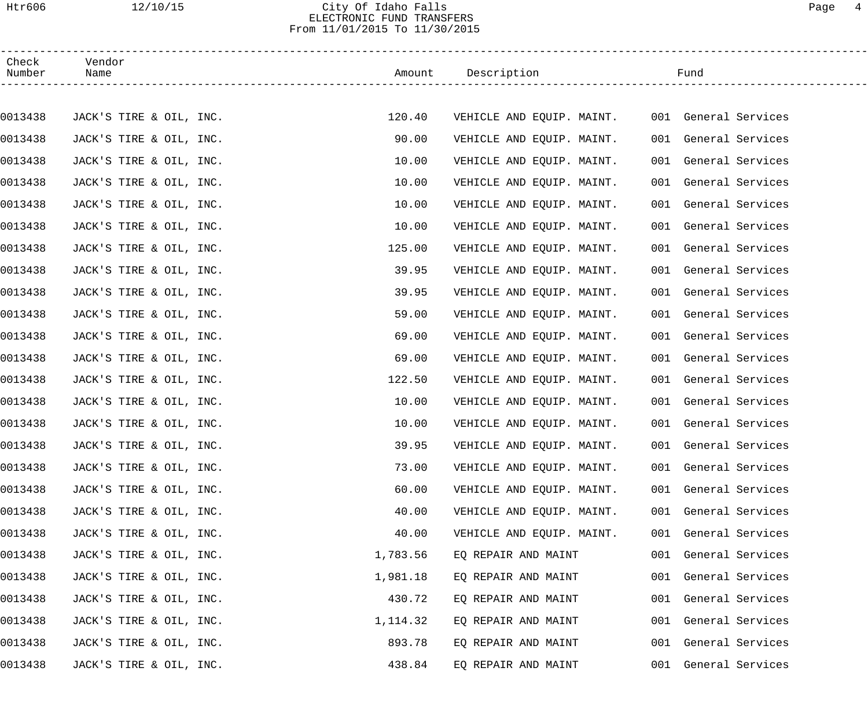## Htr606 12/10/15 City Of Idaho Falls Page 4 ELECTRONIC FUND TRANSFERS From 11/01/2015 To 11/30/2015

| Check<br>Number | Vendor<br>Name          |          | Amount Description                             | Fund                 |
|-----------------|-------------------------|----------|------------------------------------------------|----------------------|
|                 |                         |          |                                                |                      |
| 0013438         | JACK'S TIRE & OIL, INC. | 120.40   | VEHICLE AND EQUIP. MAINT. 001 General Services |                      |
| 0013438         | JACK'S TIRE & OIL, INC. | 90.00    | VEHICLE AND EQUIP. MAINT.                      | 001 General Services |
| 0013438         | JACK'S TIRE & OIL, INC. | 10.00    | VEHICLE AND EQUIP. MAINT.                      | 001 General Services |
| 0013438         | JACK'S TIRE & OIL, INC. | 10.00    | VEHICLE AND EQUIP. MAINT.                      | 001 General Services |
| 0013438         | JACK'S TIRE & OIL, INC. | 10.00    | VEHICLE AND EQUIP. MAINT.                      | 001 General Services |
| 0013438         | JACK'S TIRE & OIL, INC. | 10.00    | VEHICLE AND EQUIP. MAINT.                      | 001 General Services |
| 0013438         | JACK'S TIRE & OIL, INC. | 125.00   | VEHICLE AND EQUIP. MAINT.                      | 001 General Services |
| 0013438         | JACK'S TIRE & OIL, INC. | 39.95    | VEHICLE AND EQUIP. MAINT.                      | 001 General Services |
| 0013438         | JACK'S TIRE & OIL, INC. | 39.95    | VEHICLE AND EQUIP. MAINT.                      | 001 General Services |
| 0013438         | JACK'S TIRE & OIL, INC. | 59.00    | VEHICLE AND EQUIP. MAINT.                      | 001 General Services |
| 0013438         | JACK'S TIRE & OIL, INC. | 69.00    | VEHICLE AND EQUIP. MAINT.                      | 001 General Services |
| 0013438         | JACK'S TIRE & OIL, INC. | 69.00    | VEHICLE AND EQUIP. MAINT.                      | 001 General Services |
| 0013438         | JACK'S TIRE & OIL, INC. | 122.50   | VEHICLE AND EQUIP. MAINT.                      | 001 General Services |
| 0013438         | JACK'S TIRE & OIL, INC. | 10.00    | VEHICLE AND EQUIP. MAINT.                      | 001 General Services |
| 0013438         | JACK'S TIRE & OIL, INC. | 10.00    | VEHICLE AND EQUIP. MAINT.                      | 001 General Services |
| 0013438         | JACK'S TIRE & OIL, INC. | 39.95    | VEHICLE AND EQUIP. MAINT.                      | 001 General Services |
| 0013438         | JACK'S TIRE & OIL, INC. | 73.00    | VEHICLE AND EQUIP. MAINT.                      | 001 General Services |
| 0013438         | JACK'S TIRE & OIL, INC. | 60.00    | VEHICLE AND EQUIP. MAINT.                      | 001 General Services |
| 0013438         | JACK'S TIRE & OIL, INC. | 40.00    | VEHICLE AND EQUIP. MAINT.                      | 001 General Services |
| 0013438         | JACK'S TIRE & OIL, INC. | 40.00    | VEHICLE AND EQUIP. MAINT.                      | 001 General Services |
| 0013438         | JACK'S TIRE & OIL, INC. | 1,783.56 | EQ REPAIR AND MAINT                            | 001 General Services |
| 0013438         | JACK'S TIRE & OIL, INC. | 1,981.18 | EQ REPAIR AND MAINT                            | 001 General Services |
| 0013438         | JACK'S TIRE & OIL, INC. | 430.72   | EQ REPAIR AND MAINT                            | 001 General Services |
| 0013438         | JACK'S TIRE & OIL, INC. | 1,114.32 | EQ REPAIR AND MAINT                            | 001 General Services |
| 0013438         | JACK'S TIRE & OIL, INC. | 893.78   | EQ REPAIR AND MAINT                            | 001 General Services |
| 0013438         | JACK'S TIRE & OIL, INC. | 438.84   | EQ REPAIR AND MAINT                            | 001 General Services |
|                 |                         |          |                                                |                      |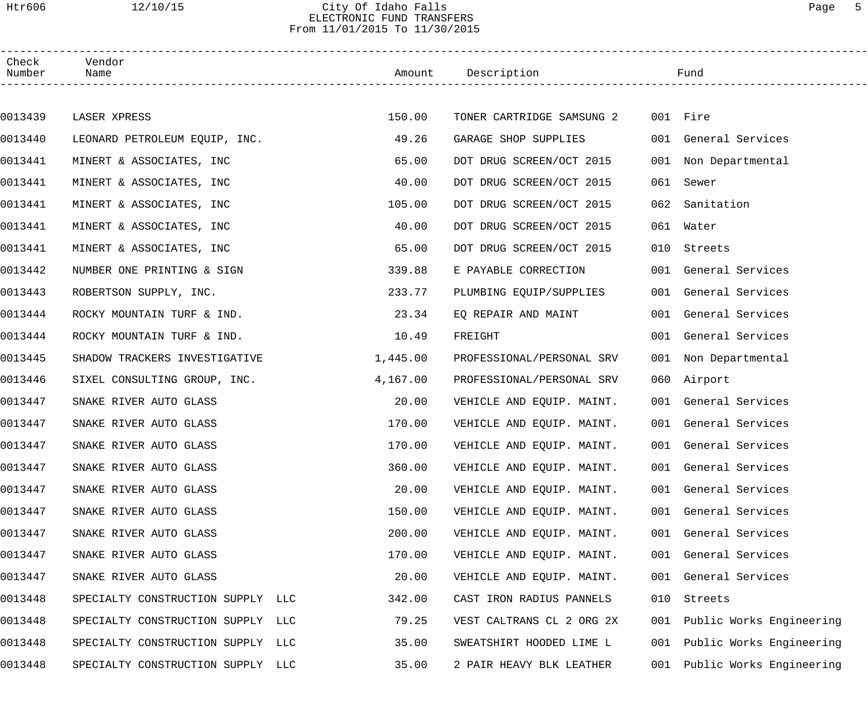#### Htr606 12/10/15 City Of Idaho Falls Page 5 ELECTRONIC FUND TRANSFERS From 11/01/2015 To 11/30/2015

| Check<br>Number | Vendor<br>Name                    |          | Amount Description        |     | Fund                     |  |
|-----------------|-----------------------------------|----------|---------------------------|-----|--------------------------|--|
|                 |                                   |          |                           |     |                          |  |
| 0013439         | LASER XPRESS                      | 150.00   | TONER CARTRIDGE SAMSUNG 2 |     | 001 Fire                 |  |
| 0013440         | LEONARD PETROLEUM EQUIP, INC.     | 49.26    | GARAGE SHOP SUPPLIES      |     | 001 General Services     |  |
| 0013441         | MINERT & ASSOCIATES, INC          | 65.00    | DOT DRUG SCREEN/OCT 2015  |     | 001 Non Departmental     |  |
| 0013441         | MINERT & ASSOCIATES, INC          | 40.00    | DOT DRUG SCREEN/OCT 2015  |     | 061 Sewer                |  |
| 0013441         | MINERT & ASSOCIATES, INC          | 105.00   | DOT DRUG SCREEN/OCT 2015  | 062 | Sanitation               |  |
| 0013441         | MINERT & ASSOCIATES, INC          | 40.00    | DOT DRUG SCREEN/OCT 2015  |     | 061 Water                |  |
| 0013441         | MINERT & ASSOCIATES, INC          | 65.00    | DOT DRUG SCREEN/OCT 2015  |     | 010 Streets              |  |
| 0013442         | NUMBER ONE PRINTING & SIGN        | 339.88   | E PAYABLE CORRECTION      |     | 001 General Services     |  |
| 0013443         | ROBERTSON SUPPLY, INC.            | 233.77   | PLUMBING EQUIP/SUPPLIES   |     | 001 General Services     |  |
| 0013444         | ROCKY MOUNTAIN TURF & IND.        | 23.34    | EQ REPAIR AND MAINT       |     | 001 General Services     |  |
| 0013444         | ROCKY MOUNTAIN TURF & IND.        | 10.49    | FREIGHT                   |     | 001 General Services     |  |
| 0013445         | SHADOW TRACKERS INVESTIGATIVE     | 1,445.00 | PROFESSIONAL/PERSONAL SRV |     | 001 Non Departmental     |  |
| 0013446         | SIXEL CONSULTING GROUP, INC.      | 4,167.00 | PROFESSIONAL/PERSONAL SRV |     | 060 Airport              |  |
| 0013447         | SNAKE RIVER AUTO GLASS            | 20.00    | VEHICLE AND EQUIP. MAINT. |     | 001 General Services     |  |
| 0013447         | SNAKE RIVER AUTO GLASS            | 170.00   | VEHICLE AND EQUIP. MAINT. |     | 001 General Services     |  |
| 0013447         | SNAKE RIVER AUTO GLASS            | 170.00   | VEHICLE AND EQUIP. MAINT. |     | 001 General Services     |  |
| 0013447         | SNAKE RIVER AUTO GLASS            | 360.00   | VEHICLE AND EQUIP. MAINT. |     | 001 General Services     |  |
| 0013447         | SNAKE RIVER AUTO GLASS            | 20.00    | VEHICLE AND EQUIP. MAINT. |     | 001 General Services     |  |
| 0013447         | SNAKE RIVER AUTO GLASS            | 150.00   | VEHICLE AND EQUIP. MAINT. |     | 001 General Services     |  |
| 0013447         | SNAKE RIVER AUTO GLASS            | 200.00   | VEHICLE AND EQUIP. MAINT. |     | 001 General Services     |  |
| 0013447         | SNAKE RIVER AUTO GLASS            | 170.00   | VEHICLE AND EQUIP. MAINT. |     | 001 General Services     |  |
| 0013447         | SNAKE RIVER AUTO GLASS            | 20.00    | VEHICLE AND EQUIP. MAINT. |     | 001 General Services     |  |
| 0013448         | SPECIALTY CONSTRUCTION SUPPLY LLC | 342.00   | CAST IRON RADIUS PANNELS  | 010 | Streets                  |  |
| 0013448         | SPECIALTY CONSTRUCTION SUPPLY LLC | 79.25    | VEST CALTRANS CL 2 ORG 2X | 001 | Public Works Engineering |  |
| 0013448         | SPECIALTY CONSTRUCTION SUPPLY LLC | 35.00    | SWEATSHIRT HOODED LIME L  | 001 | Public Works Engineering |  |
| 0013448         | SPECIALTY CONSTRUCTION SUPPLY LLC | 35.00    | 2 PAIR HEAVY BLK LEATHER  | 001 | Public Works Engineering |  |
|                 |                                   |          |                           |     |                          |  |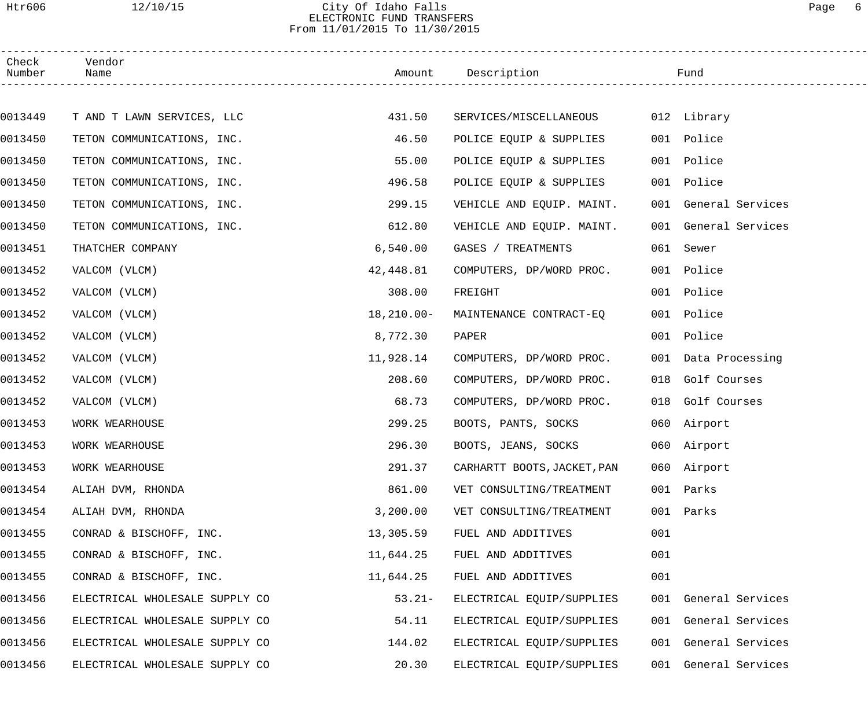## Htr606 12/10/15 City Of Idaho Falls Page 6 ELECTRONIC FUND TRANSFERS From 11/01/2015 To 11/30/2015

| Check<br>Number | Vendor<br>Name                 |                | Amount Description          |     | Fund                 |
|-----------------|--------------------------------|----------------|-----------------------------|-----|----------------------|
|                 |                                |                |                             |     |                      |
| 0013449         | T AND T LAWN SERVICES, LLC     | 431.50         | SERVICES/MISCELLANEOUS      |     | 012 Library          |
| 0013450         | TETON COMMUNICATIONS, INC.     | 46.50          | POLICE EQUIP & SUPPLIES     |     | 001 Police           |
| 0013450         | TETON COMMUNICATIONS, INC.     | 55.00          | POLICE EQUIP & SUPPLIES     |     | 001 Police           |
| 0013450         | TETON COMMUNICATIONS, INC.     | 496.58         | POLICE EQUIP & SUPPLIES     |     | 001 Police           |
| 0013450         | TETON COMMUNICATIONS, INC.     | 299.15         | VEHICLE AND EQUIP. MAINT.   |     | 001 General Services |
| 0013450         | TETON COMMUNICATIONS, INC.     | 612.80         | VEHICLE AND EQUIP. MAINT.   |     | 001 General Services |
| 0013451         | THATCHER COMPANY               | 6,540.00       | GASES / TREATMENTS          |     | 061 Sewer            |
| 0013452         | VALCOM (VLCM)                  | 42,448.81      | COMPUTERS, DP/WORD PROC.    |     | 001 Police           |
| 0013452         | VALCOM (VLCM)                  | 308.00         | FREIGHT                     |     | 001 Police           |
| 0013452         | VALCOM (VLCM)                  | $18, 210.00 -$ | MAINTENANCE CONTRACT-EQ     |     | 001 Police           |
| 0013452         | VALCOM (VLCM)                  | 8,772.30       | PAPER                       |     | 001 Police           |
| 0013452         | VALCOM (VLCM)                  | 11,928.14      | COMPUTERS, DP/WORD PROC.    |     | 001 Data Processing  |
| 0013452         | VALCOM (VLCM)                  | 208.60         | COMPUTERS, DP/WORD PROC.    | 018 | Golf Courses         |
| 0013452         | VALCOM (VLCM)                  | 68.73          | COMPUTERS, DP/WORD PROC.    |     | 018 Golf Courses     |
| 0013453         | WORK WEARHOUSE                 | 299.25         | BOOTS, PANTS, SOCKS         |     | 060 Airport          |
| 0013453         | WORK WEARHOUSE                 | 296.30         | BOOTS, JEANS, SOCKS         |     | 060 Airport          |
| 0013453         | WORK WEARHOUSE                 | 291.37         | CARHARTT BOOTS, JACKET, PAN |     | 060 Airport          |
| 0013454         | ALIAH DVM, RHONDA              | 861.00         | VET CONSULTING/TREATMENT    | 001 | Parks                |
| 0013454         | ALIAH DVM, RHONDA              | 3,200.00       | VET CONSULTING/TREATMENT    | 001 | Parks                |
| 0013455         | CONRAD & BISCHOFF, INC.        | 13,305.59      | FUEL AND ADDITIVES          | 001 |                      |
| 0013455         | CONRAD & BISCHOFF, INC.        | 11,644.25      | FUEL AND ADDITIVES          | 001 |                      |
| 0013455         | CONRAD & BISCHOFF, INC.        | 11,644.25      | FUEL AND ADDITIVES          | 001 |                      |
| 0013456         | ELECTRICAL WHOLESALE SUPPLY CO | $53.21-$       | ELECTRICAL EQUIP/SUPPLIES   |     | 001 General Services |
| 0013456         | ELECTRICAL WHOLESALE SUPPLY CO | 54.11          | ELECTRICAL EQUIP/SUPPLIES   |     | 001 General Services |
| 0013456         | ELECTRICAL WHOLESALE SUPPLY CO | 144.02         | ELECTRICAL EQUIP/SUPPLIES   |     | 001 General Services |
| 0013456         | ELECTRICAL WHOLESALE SUPPLY CO | 20.30          | ELECTRICAL EQUIP/SUPPLIES   |     | 001 General Services |
|                 |                                |                |                             |     |                      |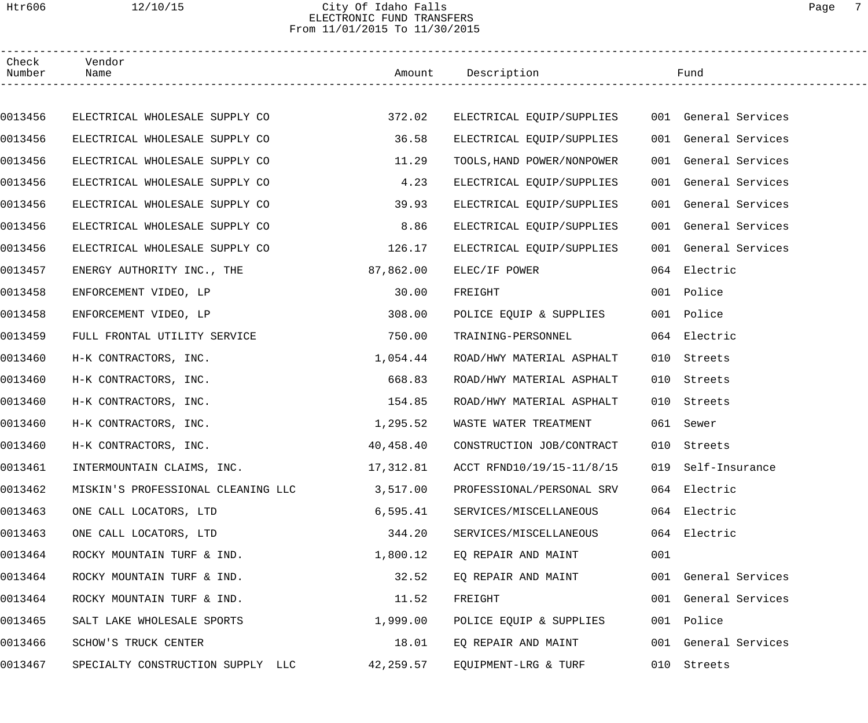## Htr606 12/10/15 City Of Idaho Falls Page 7 ELECTRONIC FUND TRANSFERS From 11/01/2015 To 11/30/2015

| Check<br>Number | Vendor<br>Name                     |           | Amount Description         |     | Fund                 |  |
|-----------------|------------------------------------|-----------|----------------------------|-----|----------------------|--|
|                 |                                    |           |                            |     |                      |  |
| 0013456         | ELECTRICAL WHOLESALE SUPPLY CO     | 372.02    | ELECTRICAL EQUIP/SUPPLIES  |     | 001 General Services |  |
| 0013456         | ELECTRICAL WHOLESALE SUPPLY CO     | 36.58     | ELECTRICAL EQUIP/SUPPLIES  |     | 001 General Services |  |
| 0013456         | ELECTRICAL WHOLESALE SUPPLY CO     | 11.29     | TOOLS, HAND POWER/NONPOWER |     | 001 General Services |  |
| 0013456         | ELECTRICAL WHOLESALE SUPPLY CO     | 4.23      | ELECTRICAL EQUIP/SUPPLIES  |     | 001 General Services |  |
| 0013456         | ELECTRICAL WHOLESALE SUPPLY CO     | 39.93     | ELECTRICAL EQUIP/SUPPLIES  |     | 001 General Services |  |
| 0013456         | ELECTRICAL WHOLESALE SUPPLY CO     | 8.86      | ELECTRICAL EQUIP/SUPPLIES  |     | 001 General Services |  |
| 0013456         | ELECTRICAL WHOLESALE SUPPLY CO     | 126.17    | ELECTRICAL EQUIP/SUPPLIES  |     | 001 General Services |  |
| 0013457         | ENERGY AUTHORITY INC., THE         | 87,862.00 | ELEC/IF POWER              |     | 064 Electric         |  |
| 0013458         | ENFORCEMENT VIDEO, LP              | 30.00     | FREIGHT                    |     | 001 Police           |  |
| 0013458         | ENFORCEMENT VIDEO, LP              | 308.00    | POLICE EQUIP & SUPPLIES    |     | 001 Police           |  |
| 0013459         | FULL FRONTAL UTILITY SERVICE       | 750.00    | TRAINING-PERSONNEL         |     | 064 Electric         |  |
| 0013460         | H-K CONTRACTORS, INC.              | 1,054.44  | ROAD/HWY MATERIAL ASPHALT  | 010 | Streets              |  |
| 0013460         | H-K CONTRACTORS, INC.              | 668.83    | ROAD/HWY MATERIAL ASPHALT  | 010 | Streets              |  |
| 0013460         | H-K CONTRACTORS, INC.              | 154.85    | ROAD/HWY MATERIAL ASPHALT  | 010 | Streets              |  |
| 0013460         | H-K CONTRACTORS, INC.              | 1,295.52  | WASTE WATER TREATMENT      |     | 061 Sewer            |  |
| 0013460         | H-K CONTRACTORS, INC.              | 40,458.40 | CONSTRUCTION JOB/CONTRACT  |     | 010 Streets          |  |
| 0013461         | INTERMOUNTAIN CLAIMS, INC.         | 17,312.81 | ACCT RFND10/19/15-11/8/15  |     | 019 Self-Insurance   |  |
| 0013462         | MISKIN'S PROFESSIONAL CLEANING LLC | 3,517.00  | PROFESSIONAL/PERSONAL SRV  |     | 064 Electric         |  |
| 0013463         | ONE CALL LOCATORS, LTD             | 6, 595.41 | SERVICES/MISCELLANEOUS     |     | 064 Electric         |  |
| 0013463         | ONE CALL LOCATORS, LTD             | 344.20    | SERVICES/MISCELLANEOUS     |     | 064 Electric         |  |
| 0013464         | ROCKY MOUNTAIN TURF & IND.         | 1,800.12  | EO REPAIR AND MAINT        | 001 |                      |  |
| 0013464         | ROCKY MOUNTAIN TURF & IND.         | 32.52     | EQ REPAIR AND MAINT        |     | 001 General Services |  |
| 0013464         | ROCKY MOUNTAIN TURF & IND.         | 11.52     | FREIGHT                    |     | 001 General Services |  |
| 0013465         | SALT LAKE WHOLESALE SPORTS         | 1,999.00  | POLICE EQUIP & SUPPLIES    |     | 001 Police           |  |
| 0013466         | SCHOW'S TRUCK CENTER               | 18.01     | EQ REPAIR AND MAINT        |     | 001 General Services |  |
| 0013467         | SPECIALTY CONSTRUCTION SUPPLY LLC  | 42,259.57 | EQUIPMENT-LRG & TURF       |     | 010 Streets          |  |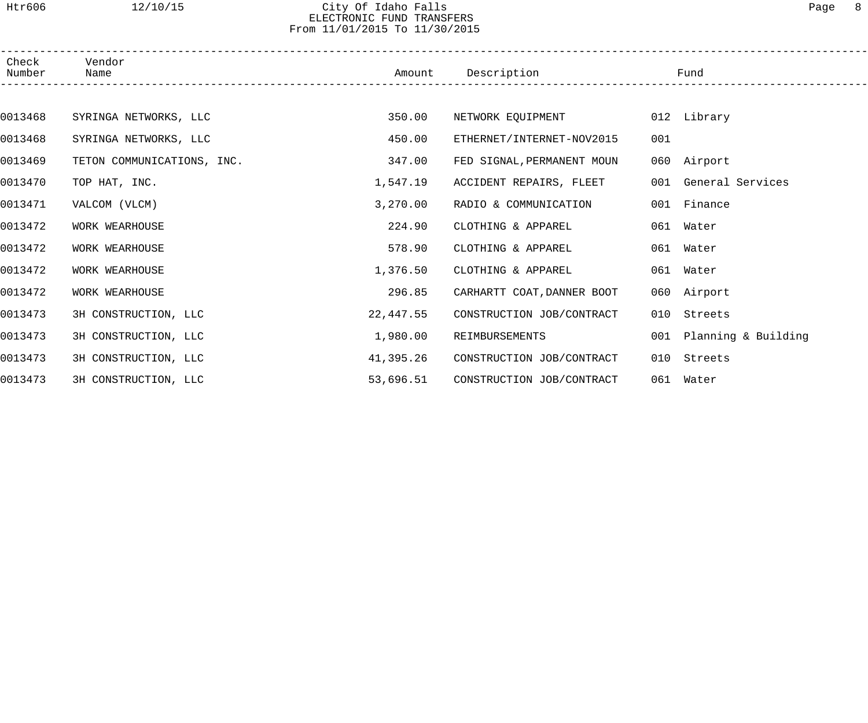# Htr606 12/10/15 City Of Idaho Falls Page 8 ELECTRONIC FUND TRANSFERS From 11/01/2015 To 11/30/2015

| Check<br>Number | Vendor<br>Name             | Amount    | Description                |     | Fund                    |  |
|-----------------|----------------------------|-----------|----------------------------|-----|-------------------------|--|
|                 |                            |           |                            |     |                         |  |
| 0013468         | SYRINGA NETWORKS, LLC      | 350.00    | NETWORK EQUIPMENT          |     | 012 Library             |  |
| 0013468         | SYRINGA NETWORKS, LLC      | 450.00    | ETHERNET/INTERNET-NOV2015  | 001 |                         |  |
| 0013469         | TETON COMMUNICATIONS, INC. | 347.00    | FED SIGNAL, PERMANENT MOUN |     | 060 Airport             |  |
| 0013470         | TOP HAT, INC.              | 1,547.19  | ACCIDENT REPAIRS, FLEET    |     | 001 General Services    |  |
| 0013471         | VALCOM (VLCM)              | 3,270.00  | RADIO & COMMUNICATION      |     | 001 Finance             |  |
| 0013472         | WORK WEARHOUSE             | 224.90    | CLOTHING & APPAREL         |     | 061 Water               |  |
| 0013472         | WORK WEARHOUSE             | 578.90    | CLOTHING & APPAREL         |     | 061 Water               |  |
| 0013472         | WORK WEARHOUSE             | 1,376.50  | CLOTHING & APPAREL         |     | 061 Water               |  |
| 0013472         | WORK WEARHOUSE             | 296.85    | CARHARTT COAT, DANNER BOOT |     | 060 Airport             |  |
| 0013473         | 3H CONSTRUCTION, LLC       | 22,447.55 | CONSTRUCTION JOB/CONTRACT  | 010 | Streets                 |  |
| 0013473         | 3H CONSTRUCTION, LLC       | 1,980.00  | REIMBURSEMENTS             |     | 001 Planning & Building |  |
| 0013473         | 3H CONSTRUCTION, LLC       | 41,395.26 | CONSTRUCTION JOB/CONTRACT  | 010 | Streets                 |  |
| 0013473         | 3H CONSTRUCTION, LLC       | 53,696.51 | CONSTRUCTION JOB/CONTRACT  |     | 061 Water               |  |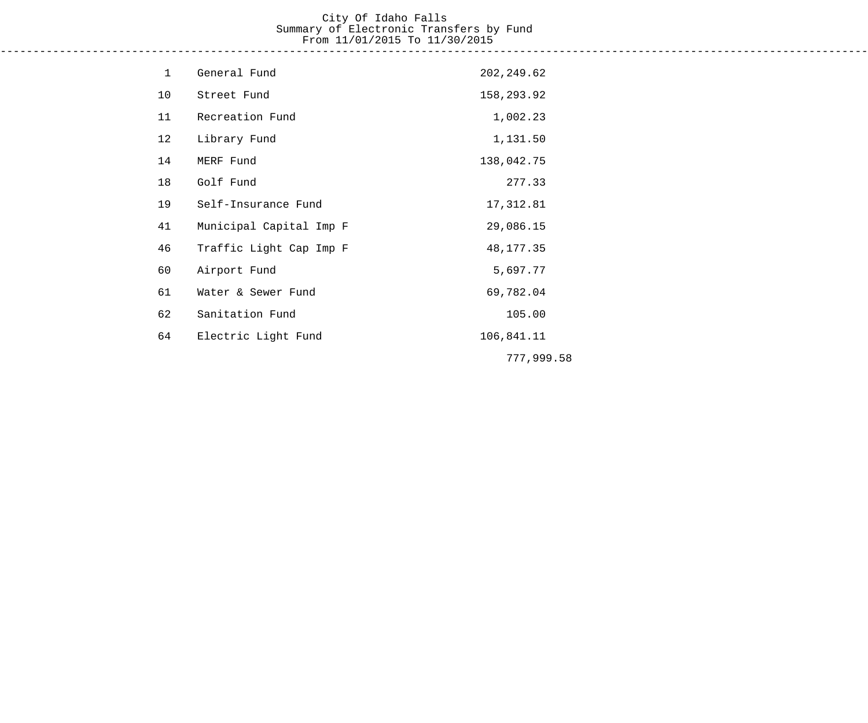# City Of Idaho Falls Summary of Electronic Transfers by Fund From 11/01/2015 To 11/30/2015

------------------------------------------------------------------------------------------------------------------------------------

| $\mathbf{1}$ | General Fund            | 202, 249.62 |
|--------------|-------------------------|-------------|
| 10           | Street Fund             | 158,293.92  |
| 11           | Recreation Fund         | 1,002.23    |
| 12           | Library Fund            | 1,131.50    |
| 14           | MERF Fund               | 138,042.75  |
| 18           | Golf Fund               | 277.33      |
| 19           | Self-Insurance Fund     | 17,312.81   |
| 41           | Municipal Capital Imp F | 29,086.15   |
| 46           | Traffic Light Cap Imp F | 48, 177. 35 |
| 60           | Airport Fund            | 5,697.77    |
| 61           | Water & Sewer Fund      | 69,782.04   |
| 62           | Sanitation Fund         | 105.00      |
| 64           | Electric Light Fund     | 106,841.11  |
|              |                         | 777,999.58  |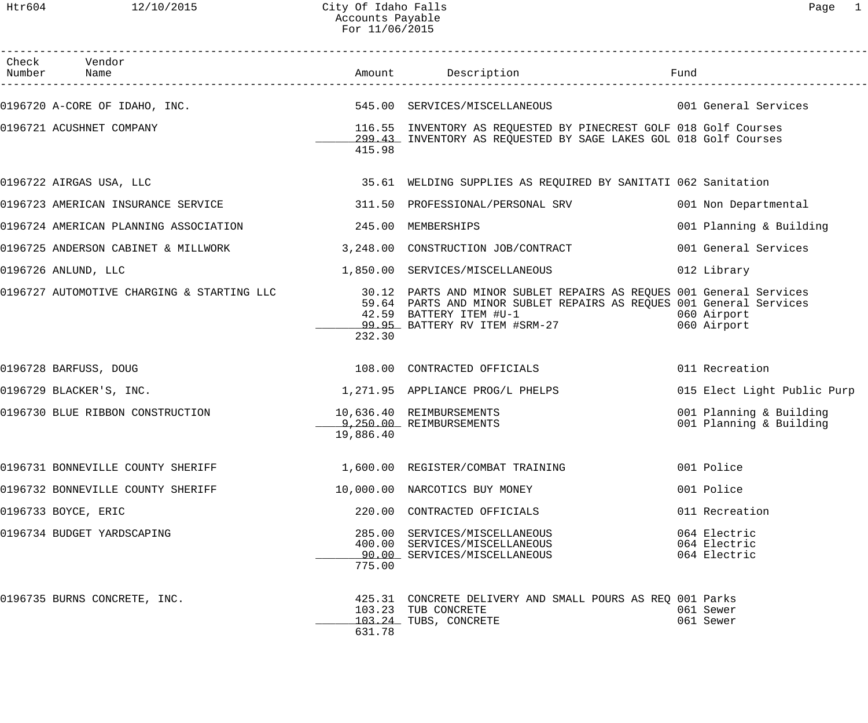| Check Vendor<br>Number Name                |           |                                                                                                                                                                                                                 |                                                    |
|--------------------------------------------|-----------|-----------------------------------------------------------------------------------------------------------------------------------------------------------------------------------------------------------------|----------------------------------------------------|
| 0196720 A-CORE OF IDAHO, INC.              |           | 545.00 SERVICES/MISCELLANEOUS 001 General Services                                                                                                                                                              |                                                    |
| 0196721 ACUSHNET COMPANY                   | 415.98    | 116.55 INVENTORY AS REQUESTED BY PINECREST GOLF 018 Golf Courses<br>299.43 INVENTORY AS REQUESTED BY SAGE LAKES GOL 018 Golf Courses                                                                            |                                                    |
| 0196722 AIRGAS USA, LLC                    |           | 35.61 WELDING SUPPLIES AS REQUIRED BY SANITATI 062 Sanitation                                                                                                                                                   |                                                    |
| 0196723 AMERICAN INSURANCE SERVICE         |           | 311.50 PROFESSIONAL/PERSONAL SRV                                                                                                                                                                                | 001 Non Departmental                               |
| 0196724 AMERICAN PLANNING ASSOCIATION      | 245.00    | MEMBERSHIPS                                                                                                                                                                                                     | 001 Planning & Building                            |
| 0196725 ANDERSON CABINET & MILLWORK        |           | 3,248.00 CONSTRUCTION JOB/CONTRACT                                                                                                                                                                              | 001 General Services                               |
| 0196726 ANLUND, LLC                        |           | 1,850.00 SERVICES/MISCELLANEOUS                                                                                                                                                                                 | 012 Library                                        |
| 0196727 AUTOMOTIVE CHARGING & STARTING LLC | 232.30    | 30.12 PARTS AND MINOR SUBLET REPAIRS AS REQUES 001 General Services<br>59.64 PARTS AND MINOR SUBLET REPAIRS AS REQUES 001 General Services<br>42.59  BATTERY ITEM #U-1<br><u>99.95 </u> BATTERY RV ITEM #SRM-27 | 060 Airport<br>060 Airport                         |
| 0196728 BARFUSS, DOUG                      |           | 108.00 CONTRACTED OFFICIALS                                                                                                                                                                                     | 011 Recreation                                     |
| 0196729 BLACKER'S, INC.                    |           | 1,271.95 APPLIANCE PROG/L PHELPS                                                                                                                                                                                | 015 Elect Light Public Purp                        |
| 0196730 BLUE RIBBON CONSTRUCTION           | 19,886.40 | 10,636.40 REIMBURSEMENTS<br>1.150.00 REIMBURSEMENTS                                                                                                                                                             | 001 Planning & Building<br>001 Planning & Building |
| 0196731 BONNEVILLE COUNTY SHERIFF          |           | 1,600.00 REGISTER/COMBAT TRAINING                                                                                                                                                                               | 001 Police                                         |
| 0196732 BONNEVILLE COUNTY SHERIFF          |           | 10,000.00 NARCOTICS BUY MONEY                                                                                                                                                                                   | 001 Police                                         |
| 0196733 BOYCE, ERIC                        |           | 220.00 CONTRACTED OFFICIALS                                                                                                                                                                                     | 011 Recreation                                     |
| 0196734 BUDGET YARDSCAPING                 | 775.00    | 285.00 SERVICES/MISCELLANEOUS<br>400.00 SERVICES/MISCELLANEOUS<br>90.00 SERVICES/MISCELLANEOUS                                                                                                                  | 064 Electric<br>064 Electric<br>064 Electric       |
| 0196735 BURNS CONCRETE, INC.               | 631.78    | 425.31 CONCRETE DELIVERY AND SMALL POURS AS REO 001 Parks<br>103.23 TUB CONCRETE<br>103.24 TUBS, CONCRETE                                                                                                       | 061 Sewer<br>061 Sewer                             |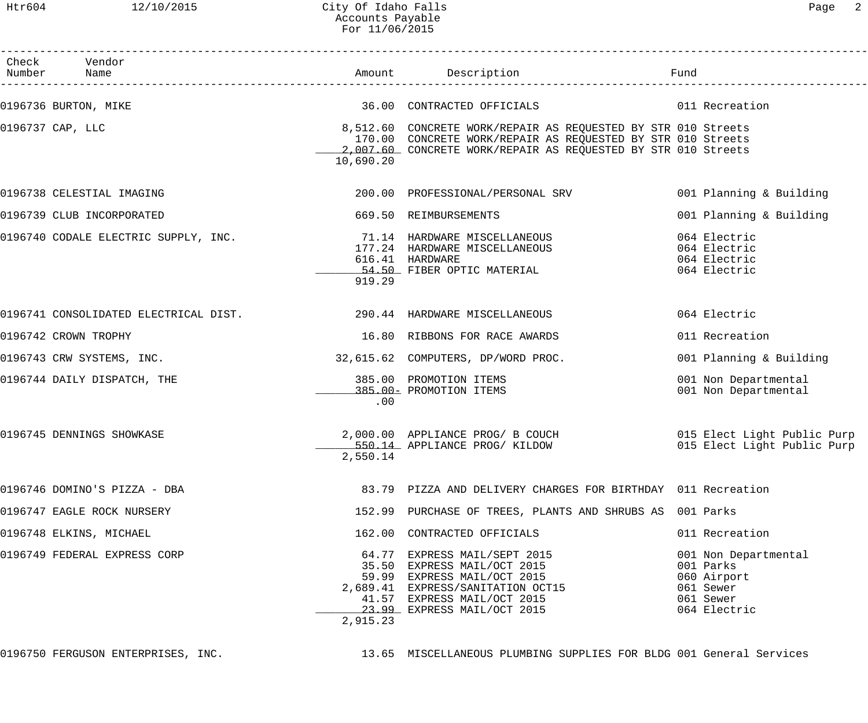| Check Vendor<br>Number Name                                                                |           | Amount Description                                                                                                                                                                            | Fund                                                                                       |
|--------------------------------------------------------------------------------------------|-----------|-----------------------------------------------------------------------------------------------------------------------------------------------------------------------------------------------|--------------------------------------------------------------------------------------------|
| 0196736 BURTON, MIKE                                                                       |           | 36.00 CONTRACTED OFFICIALS 6011 Recreation                                                                                                                                                    |                                                                                            |
| 0196737 CAP, LLC                                                                           | 10,690.20 | 8,512.60 CONCRETE WORK/REPAIR AS REQUESTED BY STR 010 Streets<br>170.00 CONCRETE WORK/REPAIR AS REQUESTED BY STR 010 Streets<br>2,007.60 CONCRETE WORK/REPAIR AS REQUESTED BY STR 010 Streets |                                                                                            |
| 0196738 CELESTIAL IMAGING                                                                  |           | 200.00 PROFESSIONAL/PERSONAL SRV                                                                                                                                                              | 001 Planning & Building                                                                    |
| 0196739 CLUB INCORPORATED                                                                  |           | 669.50 REIMBURSEMENTS                                                                                                                                                                         | 001 Planning & Building                                                                    |
| 0196740 CODALE ELECTRIC SUPPLY, INC.                          71.14 HARDWARE MISCELLANEOUS | 919.29    | 177.24 HARDWARE MISCELLANEOUS<br>616.41 HARDWARE<br>54.50 FIBER OPTIC MATERIAL                                                                                                                | 064 Electric<br>064 Electric<br>064 Electric<br>064 Electric                               |
| 0196741 CONSOLIDATED ELECTRICAL DIST. 290.44 HARDWARE MISCELLANEOUS                        |           |                                                                                                                                                                                               | 064 Electric                                                                               |
| 0196742 CROWN TROPHY                                                                       |           | 16.80 RIBBONS FOR RACE AWARDS                                                                                                                                                                 | 011 Recreation                                                                             |
| 0196743 CRW SYSTEMS, INC.                                                                  |           | 32,615.62 COMPUTERS, DP/WORD PROC.                                                                                                                                                            | 001 Planning & Building                                                                    |
| 0196744 DAILY DISPATCH, THE                                                                | .00       | 385.00 PROMOTION ITEMS<br>385.00- PROMOTION ITEMS                                                                                                                                             | 001 Non Departmental<br>001 Non Departmental                                               |
| 0196745 DENNINGS SHOWKASE                                                                  | 2,550.14  | 2,000.00 APPLIANCE PROG/ B COUCH 015 Elect Light Public Purp<br>550.14 APPLIANCE PROG/ KILDOW                                                                                                 | 015 Elect Light Public Purp                                                                |
| 0196746 DOMINO'S PIZZA - DBA                                                               |           | 83.79 PIZZA AND DELIVERY CHARGES FOR BIRTHDAY 011 Recreation                                                                                                                                  |                                                                                            |
| 0196747 EAGLE ROCK NURSERY                                                                 |           | 152.99 PURCHASE OF TREES, PLANTS AND SHRUBS AS 001 Parks                                                                                                                                      |                                                                                            |
| 0196748 ELKINS, MICHAEL                                                                    |           | 162.00 CONTRACTED OFFICIALS                                                                                                                                                                   | 011 Recreation                                                                             |
| 0196749 FEDERAL EXPRESS CORP                                                               | 2,915.23  | 64.77 EXPRESS MAIL/SEPT 2015<br>35.50 EXPRESS MAIL/OCT 2015<br>59.99 EXPRESS MAIL/OCT 2015<br>2,689.41 EXPRESS/SANITATION OCT15<br>41.57 EXPRESS MAIL/OCT 2015<br>23.99 EXPRESS MAIL/OCT 2015 | 001 Non Departmental<br>001 Parks<br>060 Airport<br>061 Sewer<br>061 Sewer<br>064 Electric |

0196750 FERGUSON ENTERPRISES, INC. 13.65 MISCELLANEOUS PLUMBING SUPPLIES FOR BLDG 001 General Services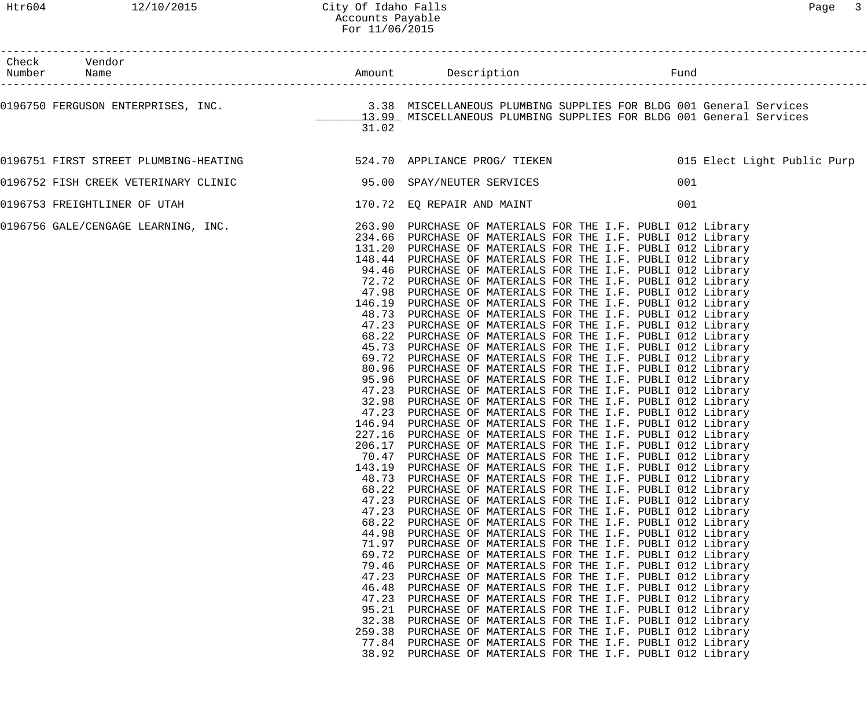| Check Vendor<br>Number Name           |        | Amount Description<br>Fund                                                                                                                                                   |  |
|---------------------------------------|--------|------------------------------------------------------------------------------------------------------------------------------------------------------------------------------|--|
|                                       |        | 0196750 FERGUSON ENTERPRISES, INC. 3.38 MISCELLANEOUS PLUMBING SUPPLIES FOR BLDG 001 General Services<br>13.99 MISCELLANEOUS PLUMBING SUPPLIES FOR BLDG 001 General Services |  |
|                                       | 31.02  |                                                                                                                                                                              |  |
| 0196751 FIRST STREET PLUMBING-HEATING |        |                                                                                                                                                                              |  |
| 0196752 FISH CREEK VETERINARY CLINIC  |        | 95.00 SPAY/NEUTER SERVICES<br>001                                                                                                                                            |  |
| 0196753 FREIGHTLINER OF UTAH          |        | 170.72 EQ REPAIR AND MAINT<br>001                                                                                                                                            |  |
|                                       |        | 0196756 GALE/CENGAGE LEARNING, INC. 263.90 PURCHASE OF MATERIALS FOR THE I.F. PUBLI 012 Library                                                                              |  |
|                                       |        | 234.66 PURCHASE OF MATERIALS FOR THE I.F. PUBLI 012 Library                                                                                                                  |  |
|                                       |        | 131.20 PURCHASE OF MATERIALS FOR THE I.F. PUBLI 012 Library                                                                                                                  |  |
|                                       |        | 148.44 PURCHASE OF MATERIALS FOR THE I.F. PUBLI 012 Library                                                                                                                  |  |
|                                       |        | 94.46 PURCHASE OF MATERIALS FOR THE I.F. PUBLI 012 Library                                                                                                                   |  |
|                                       |        | 72.72 PURCHASE OF MATERIALS FOR THE I.F. PUBLI 012 Library                                                                                                                   |  |
|                                       |        | 47.98 PURCHASE OF MATERIALS FOR THE I.F. PUBLI 012 Library                                                                                                                   |  |
|                                       |        | 146.19 PURCHASE OF MATERIALS FOR THE I.F. PUBLI 012 Library                                                                                                                  |  |
|                                       |        | 48.73 PURCHASE OF MATERIALS FOR THE I.F. PUBLI 012 Library                                                                                                                   |  |
|                                       |        | 47.23 PURCHASE OF MATERIALS FOR THE I.F. PUBLI 012 Library                                                                                                                   |  |
|                                       |        | 68.22 PURCHASE OF MATERIALS FOR THE I.F. PUBLI 012 Library                                                                                                                   |  |
|                                       |        | 45.73 PURCHASE OF MATERIALS FOR THE I.F. PUBLI 012 Library                                                                                                                   |  |
|                                       |        | 69.72 PURCHASE OF MATERIALS FOR THE I.F. PUBLI 012 Library                                                                                                                   |  |
|                                       | 80.96  | PURCHASE OF MATERIALS FOR THE I.F. PUBLI 012 Library                                                                                                                         |  |
|                                       |        | 95.96 PURCHASE OF MATERIALS FOR THE I.F. PUBLI 012 Library                                                                                                                   |  |
|                                       |        | 47.23 PURCHASE OF MATERIALS FOR THE I.F. PUBLI 012 Library                                                                                                                   |  |
|                                       |        | 32.98 PURCHASE OF MATERIALS FOR THE I.F. PUBLI 012 Library                                                                                                                   |  |
|                                       |        | 47.23 PURCHASE OF MATERIALS FOR THE I.F. PUBLI 012 Library                                                                                                                   |  |
|                                       |        |                                                                                                                                                                              |  |
|                                       |        | 146.94 PURCHASE OF MATERIALS FOR THE I.F. PUBLI 012 Library<br>227.16 PURCHASE OF MATERIALS FOR THE I.F. PUBLI 012 Library                                                   |  |
|                                       |        |                                                                                                                                                                              |  |
|                                       |        | 206.17 PURCHASE OF MATERIALS FOR THE I.F. PUBLI 012 Library                                                                                                                  |  |
|                                       |        | 70.47 PURCHASE OF MATERIALS FOR THE I.F. PUBLI 012 Library                                                                                                                   |  |
|                                       | 143.19 | PURCHASE OF MATERIALS FOR THE I.F. PUBLI 012 Library                                                                                                                         |  |
|                                       | 48.73  | PURCHASE OF MATERIALS FOR THE I.F. PUBLI 012 Library                                                                                                                         |  |
|                                       | 68.22  | PURCHASE OF MATERIALS FOR THE I.F. PUBLI 012 Library                                                                                                                         |  |
|                                       | 47.23  | PURCHASE OF MATERIALS FOR THE I.F. PUBLI 012 Library                                                                                                                         |  |
|                                       | 47.23  | PURCHASE OF MATERIALS FOR THE I.F. PUBLI 012 Library                                                                                                                         |  |
|                                       | 68.22  | PURCHASE OF MATERIALS FOR THE I.F. PUBLI 012 Library                                                                                                                         |  |
|                                       | 44.98  | PURCHASE OF MATERIALS FOR THE I.F. PUBLI 012 Library                                                                                                                         |  |
|                                       | 71.97  | PURCHASE OF MATERIALS FOR THE I.F. PUBLI 012 Library                                                                                                                         |  |
|                                       | 69.72  | PURCHASE OF MATERIALS FOR THE I.F. PUBLI 012 Library                                                                                                                         |  |
|                                       | 79.46  | PURCHASE OF MATERIALS FOR THE I.F. PUBLI 012 Library                                                                                                                         |  |
|                                       | 47.23  | PURCHASE OF MATERIALS FOR THE I.F. PUBLI 012 Library                                                                                                                         |  |
|                                       | 46.48  | PURCHASE OF MATERIALS FOR THE I.F. PUBLI 012 Library                                                                                                                         |  |
|                                       | 47.23  | PURCHASE OF MATERIALS FOR THE I.F. PUBLI 012 Library                                                                                                                         |  |
|                                       | 95.21  | PURCHASE OF MATERIALS FOR THE I.F. PUBLI 012 Library                                                                                                                         |  |
|                                       | 32.38  | PURCHASE OF MATERIALS FOR THE I.F. PUBLI 012 Library                                                                                                                         |  |
|                                       | 259.38 | PURCHASE OF MATERIALS FOR THE I.F. PUBLI 012 Library                                                                                                                         |  |
|                                       | 77.84  | PURCHASE OF MATERIALS FOR THE I.F. PUBLI 012 Library                                                                                                                         |  |
|                                       | 38.92  | PURCHASE OF MATERIALS FOR THE I.F. PUBLI 012 Library                                                                                                                         |  |
|                                       |        |                                                                                                                                                                              |  |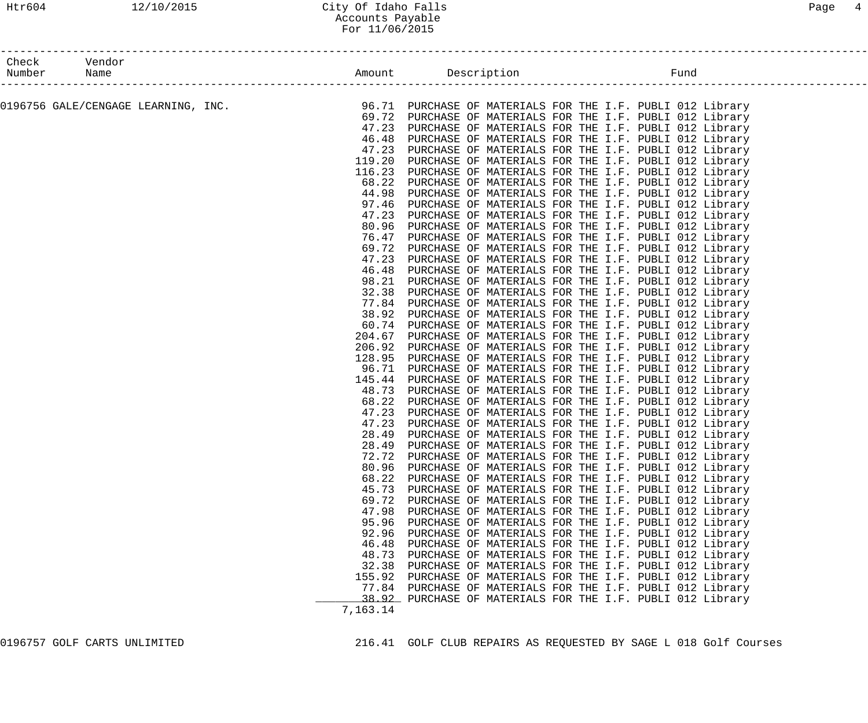## Htr604 12/10/2015 City Of Idaho Falls Page 4 Accounts Payable For 11/06/2015

| Check  |                                     |                |                                                                                                              |  |
|--------|-------------------------------------|----------------|--------------------------------------------------------------------------------------------------------------|--|
| Number |                                     |                | Fund                                                                                                         |  |
|        |                                     |                |                                                                                                              |  |
|        | 0196756 GALE/CENGAGE LEARNING, INC. |                | 96.71 PURCHASE OF MATERIALS FOR THE I.F. PUBLI 012 Library                                                   |  |
|        |                                     |                | 69.72 PURCHASE OF MATERIALS FOR THE I.F. PUBLI 012 Library                                                   |  |
|        |                                     | 47.23          | PURCHASE OF MATERIALS FOR THE I.F. PUBLI 012 Library                                                         |  |
|        |                                     | 46.48          | PURCHASE OF MATERIALS FOR THE I.F. PUBLI 012 Library                                                         |  |
|        |                                     | 47.23          | PURCHASE OF MATERIALS FOR THE I.F. PUBLI 012 Library                                                         |  |
|        |                                     | 119.20         | PURCHASE OF MATERIALS FOR THE I.F. PUBLI 012 Library                                                         |  |
|        |                                     | 116.23         | PURCHASE OF MATERIALS FOR THE I.F. PUBLI 012 Library                                                         |  |
|        |                                     | 68.22          | PURCHASE OF MATERIALS FOR THE I.F. PUBLI 012 Library                                                         |  |
|        |                                     | 44.98          | PURCHASE OF MATERIALS FOR THE I.F. PUBLI 012 Library                                                         |  |
|        |                                     | 97.46          | PURCHASE OF MATERIALS FOR THE I.F. PUBLI 012 Library                                                         |  |
|        |                                     | 47.23          | PURCHASE OF MATERIALS FOR THE I.F. PUBLI 012 Library                                                         |  |
|        |                                     | 80.96          | PURCHASE OF MATERIALS FOR THE I.F. PUBLI 012 Library                                                         |  |
|        |                                     | 76.47          | PURCHASE OF MATERIALS FOR THE I.F. PUBLI 012 Library                                                         |  |
|        |                                     | 69.72          | PURCHASE OF MATERIALS FOR THE I.F. PUBLI 012 Library                                                         |  |
|        |                                     | 47.23          | PURCHASE OF MATERIALS FOR THE I.F. PUBLI 012 Library                                                         |  |
|        |                                     | 46.48          | PURCHASE OF MATERIALS FOR THE I.F. PUBLI 012 Library                                                         |  |
|        |                                     | 98.21          | PURCHASE OF MATERIALS FOR THE I.F. PUBLI 012 Library                                                         |  |
|        |                                     | 32.38          | PURCHASE OF MATERIALS FOR THE I.F. PUBLI 012 Library                                                         |  |
|        |                                     | 77.84          | PURCHASE OF MATERIALS FOR THE I.F. PUBLI 012 Library                                                         |  |
|        |                                     | 38.92          | PURCHASE OF MATERIALS FOR THE I.F. PUBLI 012 Library                                                         |  |
|        |                                     | 60.74          | PURCHASE OF MATERIALS FOR THE I.F. PUBLI 012 Library                                                         |  |
|        |                                     | 204.67         | PURCHASE OF MATERIALS FOR THE I.F. PUBLI 012 Library                                                         |  |
|        |                                     | 206.92         | PURCHASE OF MATERIALS FOR THE I.F. PUBLI 012 Library                                                         |  |
|        |                                     | 128.95         | PURCHASE OF MATERIALS FOR THE I.F. PUBLI 012 Library                                                         |  |
|        |                                     | 96.71          | PURCHASE OF MATERIALS FOR THE I.F. PUBLI 012 Library                                                         |  |
|        |                                     | 145.44         | PURCHASE OF MATERIALS FOR THE I.F. PUBLI 012 Library                                                         |  |
|        |                                     | 48.73          | PURCHASE OF MATERIALS FOR THE I.F. PUBLI 012 Library                                                         |  |
|        |                                     | 68.22          | PURCHASE OF MATERIALS FOR THE I.F. PUBLI 012 Library                                                         |  |
|        |                                     | 47.23          | PURCHASE OF MATERIALS FOR THE I.F. PUBLI 012 Library                                                         |  |
|        |                                     | 47.23          | PURCHASE OF MATERIALS FOR THE I.F. PUBLI 012 Library                                                         |  |
|        |                                     | 28.49          | PURCHASE OF MATERIALS FOR THE I.F. PUBLI 012 Library<br>PURCHASE OF MATERIALS FOR THE I.F. PUBLI 012 Library |  |
|        |                                     | 28.49<br>72.72 | PURCHASE OF MATERIALS FOR THE I.F. PUBLI 012 Library                                                         |  |
|        |                                     | 80.96          | PURCHASE OF MATERIALS FOR THE I.F. PUBLI 012 Library                                                         |  |
|        |                                     | 68.22          | PURCHASE OF MATERIALS FOR THE I.F. PUBLI 012 Library                                                         |  |
|        |                                     | 45.73          | PURCHASE OF MATERIALS FOR THE I.F. PUBLI 012 Library                                                         |  |
|        |                                     | 69.72          | PURCHASE OF MATERIALS FOR THE I.F. PUBLI 012 Library                                                         |  |
|        |                                     | 47.98          | PURCHASE OF MATERIALS FOR THE I.F. PUBLI 012 Library                                                         |  |
|        |                                     | 95.96          | PURCHASE OF MATERIALS FOR THE I.F. PUBLI 012 Library                                                         |  |
|        |                                     | 92.96          | PURCHASE OF MATERIALS FOR THE I.F. PUBLI 012 Library                                                         |  |
|        |                                     | 46.48          | PURCHASE OF MATERIALS FOR THE I.F. PUBLI 012 Library                                                         |  |
|        |                                     | 48.73          | PURCHASE OF MATERIALS FOR THE I.F. PUBLI 012 Library                                                         |  |
|        |                                     | 32.38          | PURCHASE OF MATERIALS FOR THE I.F. PUBLI 012 Library                                                         |  |
|        |                                     | 155.92         | PURCHASE OF MATERIALS FOR THE I.F. PUBLI 012 Library                                                         |  |
|        |                                     | 77.84          | PURCHASE OF MATERIALS FOR THE I.F. PUBLI 012 Library                                                         |  |
|        |                                     | 38.92          | PURCHASE OF MATERIALS FOR THE I.F. PUBLI 012 Library                                                         |  |
|        |                                     | 7,163.14       |                                                                                                              |  |
|        |                                     |                |                                                                                                              |  |

0196757 GOLF CARTS UNLIMITED 216.41 GOLF CLUB REPAIRS AS REQUESTED BY SAGE L 018 Golf Courses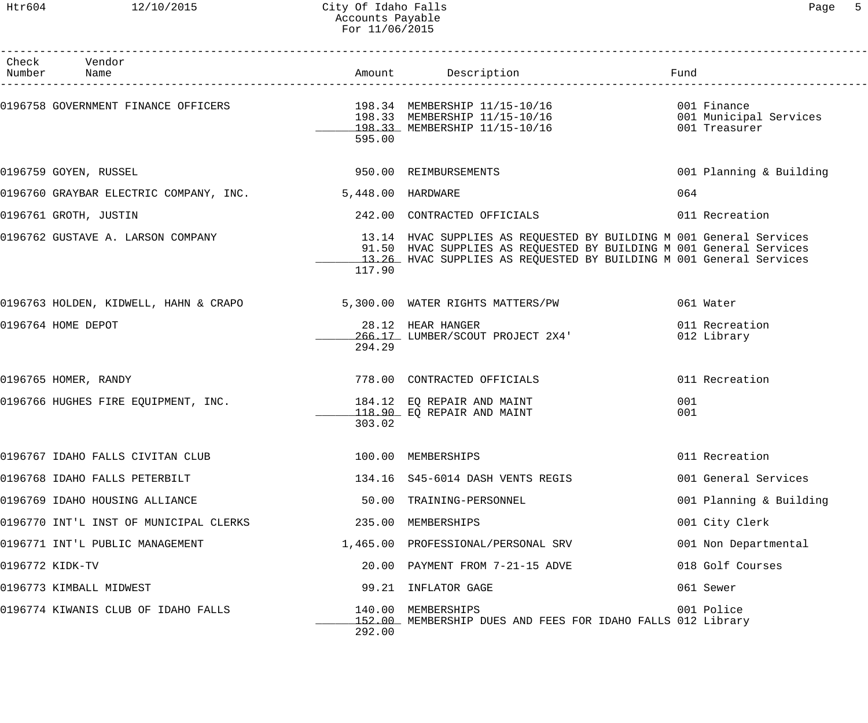## Htr604 12/10/2015 City Of Idaho Falls Page 5 Accounts Payable For 11/06/2015

| Check Vendor<br>Number Name                                       |                    | Amount Description                                                                                                                                                                                                | Fund                          |
|-------------------------------------------------------------------|--------------------|-------------------------------------------------------------------------------------------------------------------------------------------------------------------------------------------------------------------|-------------------------------|
| 0196758 GOVERNMENT FINANCE OFFICERS 198.34 MEMBERSHIP 11/15-10/16 | 595.00             | 198.33 MEMBERSHIP 11/15-10/16 001 Municipal Services<br>198.33 MEMBERSHIP 11/15-10/16                                                                                                                             | 001 Finance<br>001 Treasurer  |
| 0196759 GOYEN, RUSSEL                                             |                    | 950.00 REIMBURSEMENTS                                                                                                                                                                                             | 001 Planning & Building       |
| 0196760 GRAYBAR ELECTRIC COMPANY, INC.                            | 5,448.00 HARDWARE  |                                                                                                                                                                                                                   | 064                           |
| 0196761 GROTH, JUSTIN                                             |                    | 242.00 CONTRACTED OFFICIALS                                                                                                                                                                                       | 011 Recreation                |
| 0196762 GUSTAVE A. LARSON COMPANY                                 | 117.90             | 13.14 HVAC SUPPLIES AS REQUESTED BY BUILDING M 001 General Services<br>91.50 HVAC SUPPLIES AS REQUESTED BY BUILDING M 001 General Services<br>13.26 HVAC SUPPLIES AS REQUESTED BY BUILDING M 001 General Services |                               |
| 0196763 HOLDEN, KIDWELL, HAHN & CRAPO                             |                    | 5,300.00 WATER RIGHTS MATTERS/PW                                                                                                                                                                                  | 061 Water                     |
| 0196764 HOME DEPOT                                                | 294.29             | 28.12 HEAR HANGER<br>266.17 LUMBER/SCOUT PROJECT 2X4'                                                                                                                                                             | 011 Recreation<br>012 Library |
| 0196765 HOMER, RANDY                                              |                    | 778.00 CONTRACTED OFFICIALS                                                                                                                                                                                       | 011 Recreation                |
| 0196766 HUGHES FIRE EOUIPMENT, INC.                               | 303.02             | 184.12 EQ REPAIR AND MAINT<br>118.90 EQ REPAIR AND MAINT                                                                                                                                                          | 001<br>001                    |
| 0196767 IDAHO FALLS CIVITAN CLUB                                  | 100.00 MEMBERSHIPS |                                                                                                                                                                                                                   | 011 Recreation                |
| 0196768 IDAHO FALLS PETERBILT                                     |                    | 134.16 S45-6014 DASH VENTS REGIS                                                                                                                                                                                  | 001 General Services          |
| 0196769 IDAHO HOUSING ALLIANCE                                    |                    | 50.00 TRAINING-PERSONNEL                                                                                                                                                                                          | 001 Planning & Building       |
| 0196770 INT'L INST OF MUNICIPAL CLERKS                            |                    | 235.00 MEMBERSHIPS                                                                                                                                                                                                | 001 City Clerk                |
| 0196771 INT'L PUBLIC MANAGEMENT                                   |                    | 1,465.00 PROFESSIONAL/PERSONAL SRV                                                                                                                                                                                | 001 Non Departmental          |
| 0196772 KIDK-TV                                                   |                    | 20.00 PAYMENT FROM 7-21-15 ADVE                                                                                                                                                                                   | 018 Golf Courses              |
| 0196773 KIMBALL MIDWEST                                           |                    | 99.21 INFLATOR GAGE                                                                                                                                                                                               | 061 Sewer                     |
| 0196774 KIWANIS CLUB OF IDAHO FALLS                               | 292.00             | 140.00 MEMBERSHIPS<br>152.00 MEMBERSHIP DUES AND FEES FOR IDAHO FALLS 012 Library                                                                                                                                 | 001 Police                    |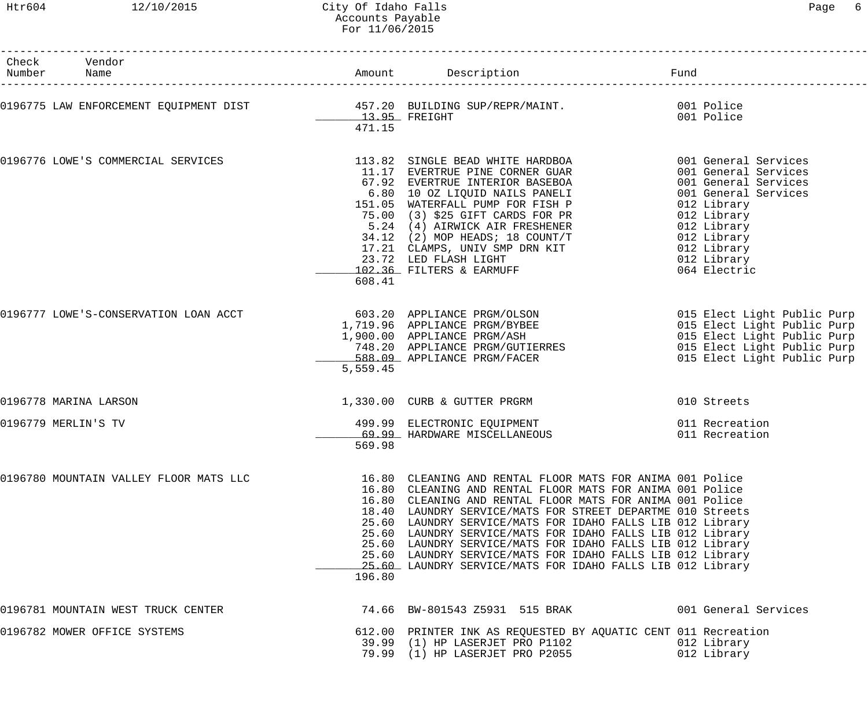------------------------------------------------------------------------------------------------------------------------------------

| Check<br>Number     | Vendor<br>Name                                                         |                         | Amount Description                                                                                                                                                                                                                                                                                                                                                                                                                                                                                                                                                      | Fund                                                                                                                                                                                                   |
|---------------------|------------------------------------------------------------------------|-------------------------|-------------------------------------------------------------------------------------------------------------------------------------------------------------------------------------------------------------------------------------------------------------------------------------------------------------------------------------------------------------------------------------------------------------------------------------------------------------------------------------------------------------------------------------------------------------------------|--------------------------------------------------------------------------------------------------------------------------------------------------------------------------------------------------------|
|                     | 0196775 LAW ENFORCEMENT EQUIPMENT DIST 457.20 BUILDING SUP/REPR/MAINT. | 13.95 FREIGHT<br>471.15 |                                                                                                                                                                                                                                                                                                                                                                                                                                                                                                                                                                         | 001 Police<br>001 Police                                                                                                                                                                               |
|                     | 0196776 LOWE'S COMMERCIAL SERVICES                                     | 608.41                  | 113.82 SINGLE BEAD WHITE HARDBOA<br>11.17 EVERTRUE PINE CORNER GUAR<br>67.92 EVERTRUE INTERIOR BASEBOA<br>6.80 10 OZ LIQUID NAILS PANELI<br>151.05 WATERFALL PUMP FOR FISH P<br>75.00 (3) \$25 GIFT CARDS FOR PR<br>5.24 (4) AIRWICK AIR FRESHENER<br>34.12 (2) MOP HEADS; 18 COUNT/T<br>17.21 CLAMPS, UNIV SMP DRN KIT<br>23.72 LED FLASH LIGHT<br>102.36 FILTERS & EARMUFF                                                                                                                                                                                            | 001 General Services<br>001 General Services<br>001 General Services<br>001 General Services<br>012 Library<br>012 Library<br>012 Library<br>012 Library<br>012 Library<br>012 Library<br>064 Electric |
|                     | 0196777 LOWE'S-CONSERVATION LOAN ACCT                                  | 5,559.45                | 603.20 APPLIANCE PRGM/OLSON<br>1,719.96 APPLIANCE PRGM/BYBEE<br>1,900.00 APPLIANCE PRGM/ASH<br>748.20 APPLIANCE PRGM/GUTIERRES<br>588.09 APPLIANCE PRGM/FACER                                                                                                                                                                                                                                                                                                                                                                                                           | 015 Elect Light Public Purp<br>015 Elect Light Public Purp<br>015 Elect Light Public Purp<br>015 Elect Light Public Purp<br>015 Elect Light Public Purp                                                |
|                     | 0196778 MARINA LARSON                                                  |                         | 1,330.00 CURB & GUTTER PRGRM                                                                                                                                                                                                                                                                                                                                                                                                                                                                                                                                            | 010 Streets                                                                                                                                                                                            |
| 0196779 MERLIN'S TV |                                                                        | 569.98                  | 499.99 ELECTRONIC EQUIPMENT<br>69.99 HARDWARE MISCELLANEOUS                                                                                                                                                                                                                                                                                                                                                                                                                                                                                                             | 011 Recreation<br>011 Recreation                                                                                                                                                                       |
|                     | 0196780 MOUNTAIN VALLEY FLOOR MATS LLC                                 | 196.80                  | 16.80 CLEANING AND RENTAL FLOOR MATS FOR ANIMA 001 Police<br>16.80 CLEANING AND RENTAL FLOOR MATS FOR ANIMA 001 Police<br>16.80 CLEANING AND RENTAL FLOOR MATS FOR ANIMA 001 Police<br>18.40 LAUNDRY SERVICE/MATS FOR STREET DEPARTME 010 Streets<br>25.60 LAUNDRY SERVICE/MATS FOR IDAHO FALLS LIB 012 Library<br>25.60 LAUNDRY SERVICE/MATS FOR IDAHO FALLS LIB 012 Library<br>25.60 LAUNDRY SERVICE/MATS FOR IDAHO FALLS LIB 012 Library<br>25.60 LAUNDRY SERVICE/MATS FOR IDAHO FALLS LIB 012 Library<br>25.60 LAUNDRY SERVICE/MATS FOR IDAHO FALLS LIB 012 Library |                                                                                                                                                                                                        |
|                     | 0196781 MOUNTAIN WEST TRUCK CENTER                                     |                         | 74.66 BW-801543 Z5931 515 BRAK                                                                                                                                                                                                                                                                                                                                                                                                                                                                                                                                          | 001 General Services                                                                                                                                                                                   |
|                     | 0196782 MOWER OFFICE SYSTEMS                                           |                         | 612.00 PRINTER INK AS REQUESTED BY AQUATIC CENT 011 Recreation<br>39.99 (1) HP LASERJET PRO P1102<br>79.99 (1) HP LASERJET PRO P2055                                                                                                                                                                                                                                                                                                                                                                                                                                    | 012 Library<br>012 Library                                                                                                                                                                             |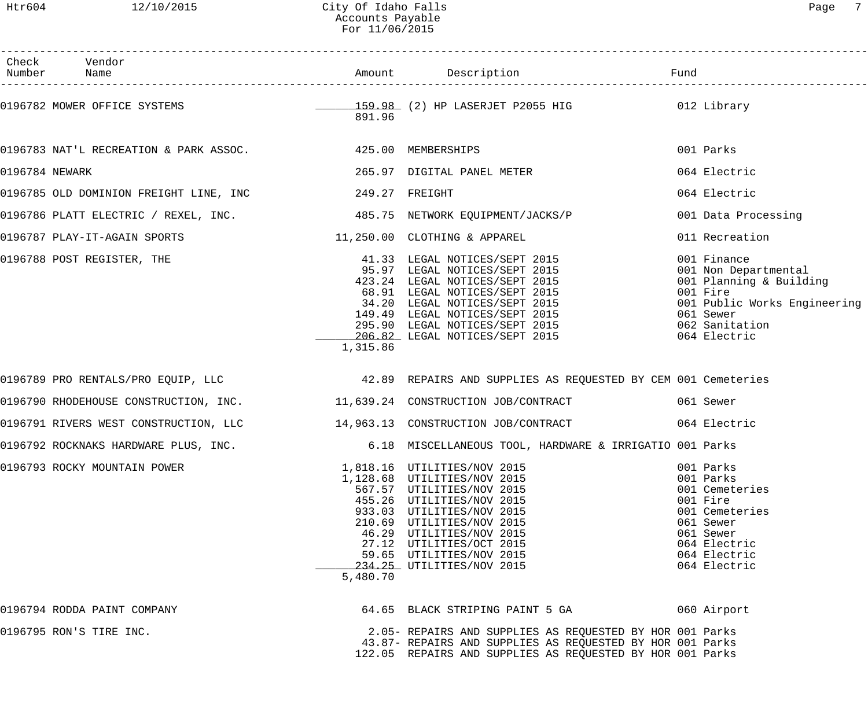|                | Check Vendor                                                                |          |                                                                                                                                                                                                                                                                                                 |                                                                                                                                                           |
|----------------|-----------------------------------------------------------------------------|----------|-------------------------------------------------------------------------------------------------------------------------------------------------------------------------------------------------------------------------------------------------------------------------------------------------|-----------------------------------------------------------------------------------------------------------------------------------------------------------|
|                |                                                                             | 891.96   | 0196782 MOWER OFFICE SYSTEMS <b>159.98</b> (2) HP LASERJET P2055 HIG 312 Library                                                                                                                                                                                                                |                                                                                                                                                           |
|                | 0196783 NAT'L RECREATION & PARK ASSOC. 425.00 MEMBERSHIPS                   |          |                                                                                                                                                                                                                                                                                                 | 001 Parks                                                                                                                                                 |
| 0196784 NEWARK |                                                                             |          | 265.97 DIGITAL PANEL METER                                                                                                                                                                                                                                                                      | 064 Electric                                                                                                                                              |
|                |                                                                             |          |                                                                                                                                                                                                                                                                                                 | 064 Electric                                                                                                                                              |
|                | 0196786 PLATT ELECTRIC / REXEL, INC. 485.75 NETWORK EQUIPMENT/JACKS/P       |          |                                                                                                                                                                                                                                                                                                 | 001 Data Processing                                                                                                                                       |
|                | 0196787 PLAY-IT-AGAIN SPORTS                                                |          | 11,250.00 CLOTHING & APPAREL                                                                                                                                                                                                                                                                    | 011 Recreation                                                                                                                                            |
|                | 0196788 POST REGISTER, THE                                                  | 1,315.86 | 41.33 LEGAL NOTICES/SEPT 2015<br>95.97 LEGAL NOTICES/SEPT 2015<br>423.24 LEGAL NOTICES/SEPT 2015<br>68.91 LEGAL NOTICES/SEPT 2015<br>34.20 LEGAL NOTICES/SEPT 2015<br>149.49 LEGAL NOTICES/SEPT 2015<br>295.90 LEGAL NOTICES/SEPT 2015<br>206.82 LEGAL NOTICES/SEPT 2015                        | 001 Finance<br>001 Non Departmental<br>001 Planning & Building<br>001 Fire<br>001 Public Works Engineering<br>061 Sewer<br>062 Sanitation<br>064 Electric |
|                |                                                                             |          | 0196789 PRO RENTALS/PRO EQUIP, LLC 1999 1999 1999 REPAIRS AND SUPPLIES AS REQUESTED BY CEM 001 Cemeteries                                                                                                                                                                                       |                                                                                                                                                           |
|                | 0196790 RHODEHOUSE CONSTRUCTION, INC. 4 11,639.24 CONSTRUCTION JOB/CONTRACT |          |                                                                                                                                                                                                                                                                                                 | 061 Sewer                                                                                                                                                 |
|                |                                                                             |          | 0196791 RIVERS WEST CONSTRUCTION, LLC 14,963.13 CONSTRUCTION JOB/CONTRACT                                                                                                                                                                                                                       | 064 Electric                                                                                                                                              |
|                | 0196792 ROCKNAKS HARDWARE PLUS, INC.                                        |          | 6.18 MISCELLANEOUS TOOL, HARDWARE & IRRIGATIO 001 Parks                                                                                                                                                                                                                                         |                                                                                                                                                           |
|                | 0196793 ROCKY MOUNTAIN POWER                                                | 5,480.70 | 1,818.16 UTILITIES/NOV 2015<br>1,128.68 UTILITIES/NOV 2015<br>567.57 UTILITIES/NOV 2015<br>455.26 UTILITIES/NOV 2015<br>933.03 UTILITIES/NOV 2015<br>210.69 UTILITIES/NOV 2015<br>46.29 UTILITIES/NOV 2015<br>27.12 UTILITIES/OCT 2015<br>59.65 UTILITIES/NOV 2015<br>234.25 UTILITIES/NOV 2015 | 001 Parks<br>001 Parks<br>001 Cemeteries<br>001 Fire<br>001 Cemeteries<br>061 Sewer<br>061 Sewer<br>064 Electric<br>064 Electric<br>064 Electric          |
|                | 0196794 RODDA PAINT COMPANY                                                 |          | 64.65 BLACK STRIPING PAINT 5 GA                                                                                                                                                                                                                                                                 | 060 Airport                                                                                                                                               |
|                | 0196795 RON'S TIRE INC.                                                     |          | 2.05- REPAIRS AND SUPPLIES AS REQUESTED BY HOR 001 Parks<br>43.87- REPAIRS AND SUPPLIES AS REQUESTED BY HOR 001 Parks<br>122.05 REPAIRS AND SUPPLIES AS REQUESTED BY HOR 001 Parks                                                                                                              |                                                                                                                                                           |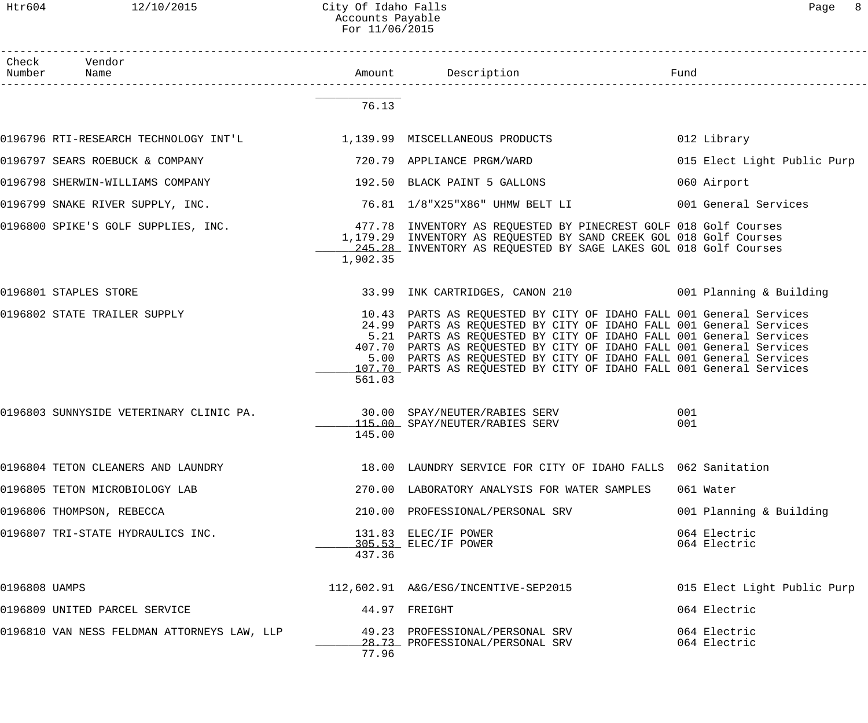#### Htr604 12/10/2015 City Of Idaho Falls Page 8 Accounts Payable For 11/06/2015

| Check         | Vendor<br>Number Name                       |          |                                                                                                                                                                                                                                                                                                                                                                                                                                        |                              |
|---------------|---------------------------------------------|----------|----------------------------------------------------------------------------------------------------------------------------------------------------------------------------------------------------------------------------------------------------------------------------------------------------------------------------------------------------------------------------------------------------------------------------------------|------------------------------|
|               |                                             | 76.13    |                                                                                                                                                                                                                                                                                                                                                                                                                                        |                              |
|               |                                             |          |                                                                                                                                                                                                                                                                                                                                                                                                                                        | 012 Library                  |
|               | 0196797 SEARS ROEBUCK & COMPANY             |          | 720.79 APPLIANCE PRGM/WARD                                                                                                                                                                                                                                                                                                                                                                                                             | 015 Elect Light Public Purp  |
|               | 0196798 SHERWIN-WILLIAMS COMPANY            |          | 192.50 BLACK PAINT 5 GALLONS                                                                                                                                                                                                                                                                                                                                                                                                           | 060 Airport                  |
|               | 0196799 SNAKE RIVER SUPPLY, INC.            |          | 76.81 1/8"X25"X86" UHMW BELT LI                                                                                                                                                                                                                                                                                                                                                                                                        | 001 General Services         |
|               | 0196800 SPIKE'S GOLF SUPPLIES, INC.         | 1,902.35 | 477.78 INVENTORY AS REQUESTED BY PINECREST GOLF 018 Golf Courses<br>1,179.29 INVENTORY AS REQUESTED BY SAND CREEK GOL 018 Golf Courses<br>245.28 INVENTORY AS REQUESTED BY SAGE LAKES GOL 018 Golf Courses                                                                                                                                                                                                                             |                              |
|               | 0196801 STAPLES STORE                       |          | 33.99 INK CARTRIDGES, CANON 210 001 Planning & Building                                                                                                                                                                                                                                                                                                                                                                                |                              |
|               | 0196802 STATE TRAILER SUPPLY                | 561.03   | 10.43 PARTS AS REQUESTED BY CITY OF IDAHO FALL 001 General Services<br>24.99 PARTS AS REQUESTED BY CITY OF IDAHO FALL 001 General Services<br>5.21 PARTS AS REQUESTED BY CITY OF IDAHO FALL 001 General Services<br>407.70 PARTS AS REQUESTED BY CITY OF IDAHO FALL 001 General Services<br>5.00 PARTS AS REQUESTED BY CITY OF IDAHO FALL 001 General Services<br>107.70 PARTS AS REQUESTED BY CITY OF IDAHO FALL 001 General Services |                              |
|               | 0196803 SUNNYSIDE VETERINARY CLINIC PA.     | 145.00   | 30.00 SPAY/NEUTER/RABIES SERV<br>115.00 SPAY/NEUTER/RABIES SERV                                                                                                                                                                                                                                                                                                                                                                        | 001<br>001                   |
|               | 0196804 TETON CLEANERS AND LAUNDRY          |          | 18.00 LAUNDRY SERVICE FOR CITY OF IDAHO FALLS 062 Sanitation                                                                                                                                                                                                                                                                                                                                                                           |                              |
|               | 0196805 TETON MICROBIOLOGY LAB              |          | 270.00 LABORATORY ANALYSIS FOR WATER SAMPLES                                                                                                                                                                                                                                                                                                                                                                                           | 061 Water                    |
|               | 0196806 THOMPSON, REBECCA                   |          | 210.00 PROFESSIONAL/PERSONAL SRV                                                                                                                                                                                                                                                                                                                                                                                                       | 001 Planning & Building      |
|               | 0196807 TRI-STATE HYDRAULICS INC.           | 437.36   | 131.83 ELEC/IF POWER<br>305.53 ELEC/IF POWER                                                                                                                                                                                                                                                                                                                                                                                           | 064 Electric<br>064 Electric |
| 0196808 UAMPS |                                             |          | 112,602.91 A&G/ESG/INCENTIVE-SEP2015                                                                                                                                                                                                                                                                                                                                                                                                   | 015 Elect Light Public Purp  |
|               | 0196809 UNITED PARCEL SERVICE               |          | 44.97 FREIGHT                                                                                                                                                                                                                                                                                                                                                                                                                          | 064 Electric                 |
|               | 0196810 VAN NESS FELDMAN ATTORNEYS LAW, LLP | 77.96    | 49.23 PROFESSIONAL/PERSONAL SRV<br>28.73 PROFESSIONAL/PERSONAL SRV                                                                                                                                                                                                                                                                                                                                                                     | 064 Electric<br>064 Electric |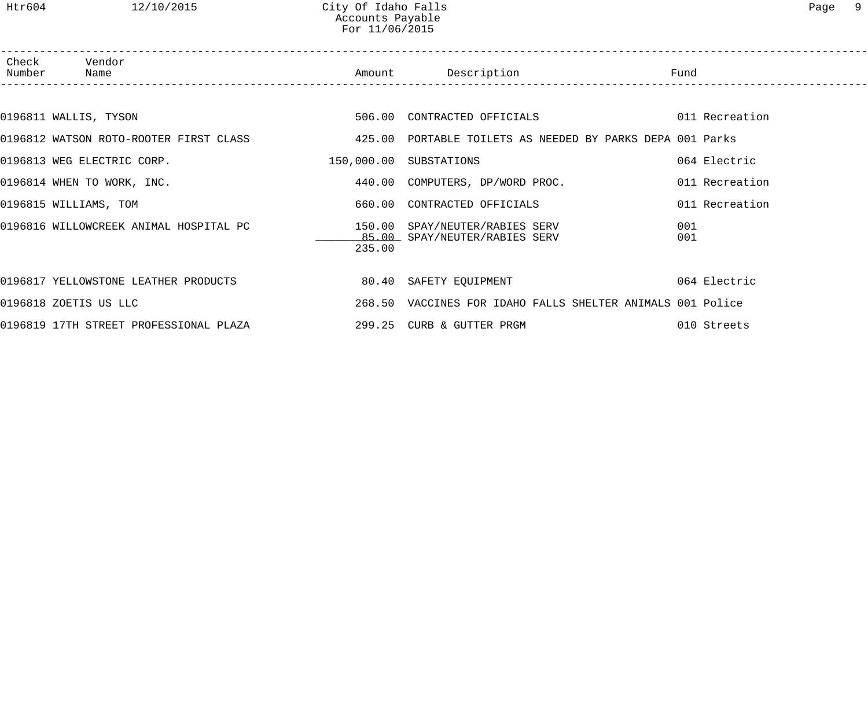| Check Vendor<br>Number Name                                                                            |        | Amount Description Description Fund                        |                |
|--------------------------------------------------------------------------------------------------------|--------|------------------------------------------------------------|----------------|
|                                                                                                        |        |                                                            |                |
| 0196811 WALLIS, TYSON                                                                                  |        | 506.00 CONTRACTED OFFICIALS 6011 Recreation                |                |
| 0196812 WATSON ROTO-ROOTER FIRST CLASS 60 70 425.00 PORTABLE TOILETS AS NEEDED BY PARKS DEPA 001 Parks |        |                                                            |                |
| 0196813 WEG ELECTRIC CORP.                                                                             |        | 150,000.00 SUBSTATIONS                                     | 064 Electric   |
| 0196814 WHEN TO WORK, INC.                                                                             |        | 440.00 COMPUTERS, DP/WORD PROC.                            | 011 Recreation |
| 0196815 WILLIAMS, TOM                                                                                  |        | 660.00 CONTRACTED OFFICIALS                                | 011 Recreation |
| 0196816 WILLOWCREEK ANIMAL HOSPITAL PC 150.00 SPAY/NEUTER/RABIES SERV                                  | 235.00 | 85.00 SPAY/NEUTER/RABIES SERV                              | 001<br>001     |
| 0196817 YELLOWSTONE LEATHER PRODUCTS                                                                   |        | 80.40 SAFETY EQUIPMENT                                     | 064 Electric   |
| 0196818 ZOETIS US LLC                                                                                  |        | 268.50 VACCINES FOR IDAHO FALLS SHELTER ANIMALS 001 Police |                |
| 0196819 17TH STREET PROFESSIONAL PLAZA                                                                 |        | 299.25 CURB & GUTTER PRGM                                  | 010 Streets    |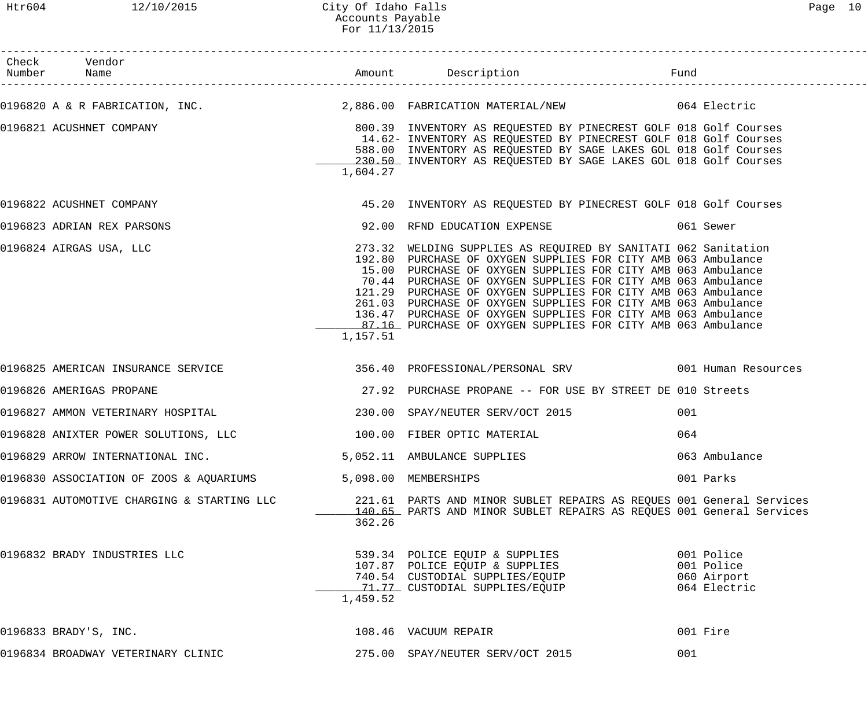| Check Vendor<br>Number Name                |                                         |          |                                                                                                                                                                                                                                                                                                                                                                                                                                                                                                                                    |     |                                                         |
|--------------------------------------------|-----------------------------------------|----------|------------------------------------------------------------------------------------------------------------------------------------------------------------------------------------------------------------------------------------------------------------------------------------------------------------------------------------------------------------------------------------------------------------------------------------------------------------------------------------------------------------------------------------|-----|---------------------------------------------------------|
|                                            |                                         |          | 0196820 A & R FABRICATION, INC. 2,886.00 FABRICATION MATERIAL/NEW 664 Electric                                                                                                                                                                                                                                                                                                                                                                                                                                                     |     |                                                         |
| 0196821 ACUSHNET COMPANY                   |                                         | 1,604.27 | 800.39 INVENTORY AS REQUESTED BY PINECREST GOLF 018 Golf Courses<br>14.62- INVENTORY AS REQUESTED BY PINECREST GOLF 018 Golf Courses<br>588.00 INVENTORY AS REQUESTED BY SAGE LAKES GOL 018 Golf Courses<br>230.50 INVENTORY AS REQUESTED BY SAGE LAKES GOL 018 Golf Courses                                                                                                                                                                                                                                                       |     |                                                         |
| 0196822 ACUSHNET COMPANY                   |                                         |          | 45.20 INVENTORY AS REQUESTED BY PINECREST GOLF 018 Golf Courses                                                                                                                                                                                                                                                                                                                                                                                                                                                                    |     |                                                         |
| 0196823 ADRIAN REX PARSONS                 |                                         |          | 92.00 RFND EDUCATION EXPENSE THE SERIES OF SEWER                                                                                                                                                                                                                                                                                                                                                                                                                                                                                   |     |                                                         |
| 0196824 AIRGAS USA, LLC                    |                                         | 1,157.51 | 273.32 WELDING SUPPLIES AS REQUIRED BY SANITATI 062 Sanitation<br>192.80 PURCHASE OF OXYGEN SUPPLIES FOR CITY AMB 063 Ambulance<br>15.00 PURCHASE OF OXYGEN SUPPLIES FOR CITY AMB 063 Ambulance<br>70.44 PURCHASE OF OXYGEN SUPPLIES FOR CITY AMB 063 Ambulance<br>121.29 PURCHASE OF OXYGEN SUPPLIES FOR CITY AMB 063 Ambulance<br>261.03 PURCHASE OF OXYGEN SUPPLIES FOR CITY AMB 063 Ambulance<br>136.47 PURCHASE OF OXYGEN SUPPLIES FOR CITY AMB 063 Ambulance<br>87.16 PURCHASE OF OXYGEN SUPPLIES FOR CITY AMB 063 Ambulance |     |                                                         |
| 0196825 AMERICAN INSURANCE SERVICE         |                                         |          | 356.40 PROFESSIONAL/PERSONAL SRV 1999 1001 Human Resources                                                                                                                                                                                                                                                                                                                                                                                                                                                                         |     |                                                         |
| 0196826 AMERIGAS PROPANE                   |                                         |          | 27.92 PURCHASE PROPANE -- FOR USE BY STREET DE 010 Streets                                                                                                                                                                                                                                                                                                                                                                                                                                                                         |     |                                                         |
|                                            |                                         |          |                                                                                                                                                                                                                                                                                                                                                                                                                                                                                                                                    | 001 |                                                         |
| 0196828 ANIXTER POWER SOLUTIONS, LLC       |                                         |          | 100.00 FIBER OPTIC MATERIAL                                                                                                                                                                                                                                                                                                                                                                                                                                                                                                        | 064 |                                                         |
|                                            | 0196829 ARROW INTERNATIONAL INC.        |          | 5,052.11 AMBULANCE SUPPLIES                                                                                                                                                                                                                                                                                                                                                                                                                                                                                                        |     | 063 Ambulance                                           |
|                                            | 0196830 ASSOCIATION OF ZOOS & AQUARIUMS |          | 5,098.00 MEMBERSHIPS                                                                                                                                                                                                                                                                                                                                                                                                                                                                                                               |     | 001 Parks                                               |
| 0196831 AUTOMOTIVE CHARGING & STARTING LLC |                                         | 362.26   | 221.61 PARTS AND MINOR SUBLET REPAIRS AS REQUES 001 General Services<br>140.65 PARTS AND MINOR SUBLET REPAIRS AS REQUES 001 General Services                                                                                                                                                                                                                                                                                                                                                                                       |     |                                                         |
| 0196832 BRADY INDUSTRIES LLC               |                                         | 1,459.52 | 539.34    POLICE  EQUIP  &  SUPPLIES<br>107.87    POLICE  EQUIP  &  SUPPLIES<br>740.54 CUSTODIAL SUPPLIES/EQUIP<br>71.77 CUSTODIAL SUPPLIES/EQUIP                                                                                                                                                                                                                                                                                                                                                                                  |     | 001 Police<br>001 Police<br>060 Airport<br>064 Electric |
| 0196833 BRADY'S, INC.                      |                                         |          | 108.46 VACUUM REPAIR                                                                                                                                                                                                                                                                                                                                                                                                                                                                                                               |     | 001 Fire                                                |
| 0196834 BROADWAY VETERINARY CLINIC         |                                         |          | 275.00 SPAY/NEUTER SERV/OCT 2015                                                                                                                                                                                                                                                                                                                                                                                                                                                                                                   | 001 |                                                         |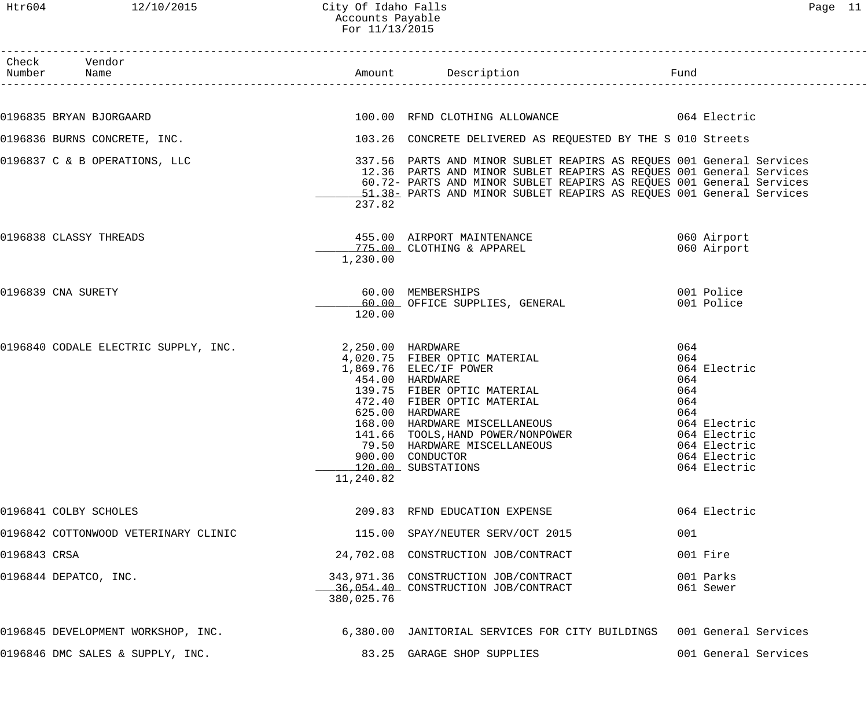#### Htr604 12/10/2015 City Of Idaho Falls Page 11 Accounts Payable For 11/13/2015

|              | Check Vendor<br>Number Name          |                                | Amount Description                                                                                                                                                                                                                                                                                          | Fund                                                                                                                                   |
|--------------|--------------------------------------|--------------------------------|-------------------------------------------------------------------------------------------------------------------------------------------------------------------------------------------------------------------------------------------------------------------------------------------------------------|----------------------------------------------------------------------------------------------------------------------------------------|
|              |                                      |                                |                                                                                                                                                                                                                                                                                                             |                                                                                                                                        |
|              | 0196835 BRYAN BJORGAARD              |                                | 100.00 RFND CLOTHING ALLOWANCE 664 Electric                                                                                                                                                                                                                                                                 |                                                                                                                                        |
|              | 0196836 BURNS CONCRETE, INC.         |                                | 103.26 CONCRETE DELIVERED AS REQUESTED BY THE S 010 Streets                                                                                                                                                                                                                                                 |                                                                                                                                        |
|              | 0196837 C & B OPERATIONS, LLC        | 237.82                         | 337.56 PARTS AND MINOR SUBLET REAPIRS AS REQUES 001 General Services<br>12.36 PARTS AND MINOR SUBLET REAPIRS AS REQUES 001 General Services<br>60.72- PARTS AND MINOR SUBLET REAPIRS AS REQUES 001 General Services<br>-51.38- PARTS AND MINOR SUBLET REAPIRS AS REQUES 001 General Services                |                                                                                                                                        |
|              | 0196838 CLASSY THREADS               | 1,230.00                       | 455.00 AIRPORT MAINTENANCE<br>775.00 CLOTHING & APPAREL                                                                                                                                                                                                                                                     | 060 Airport<br>060 Airport                                                                                                             |
|              | 0196839 CNA SURETY                   | 120.00                         | 60.00 MEMBERSHIPS<br>60.00 OFFICE SUPPLIES, GENERAL                                                                                                                                                                                                                                                         | 001 Police<br>001 Police                                                                                                               |
|              | 0196840 CODALE ELECTRIC SUPPLY, INC. | 2,250.00 HARDWARE<br>11,240.82 | 4,020.75 FIBER OPTIC MATERIAL<br>1,869.76 ELEC/IF POWER<br>454.00 HARDWARE<br>139.75 FIBER OPTIC MATERIAL<br>472.40 FIBER OPTIC MATERIAL<br>625.00 HARDWARE<br>168.00 HARDWARE MISCELLANEOUS<br>141.66 TOOLS, HAND POWER/NONPOWER<br>79.50 HARDWARE MISCELLANEOUS<br>900.00 CONDUCTOR<br>120.00 SUBSTATIONS | 064<br>064<br>064 Electric<br>064<br>064<br>064<br>064<br>064 Electric<br>064 Electric<br>064 Electric<br>064 Electric<br>064 Electric |
|              | 0196841 COLBY SCHOLES                |                                | 209.83 RFND EDUCATION EXPENSE                                                                                                                                                                                                                                                                               | 064 Electric                                                                                                                           |
|              | 0196842 COTTONWOOD VETERINARY CLINIC |                                | 115.00 SPAY/NEUTER SERV/OCT 2015                                                                                                                                                                                                                                                                            | 001                                                                                                                                    |
| 0196843 CRSA |                                      |                                | 24,702.08 CONSTRUCTION JOB/CONTRACT                                                                                                                                                                                                                                                                         | 001 Fire                                                                                                                               |
|              | 0196844 DEPATCO, INC.                | 380,025.76                     | 343,971.36 CONSTRUCTION JOB/CONTRACT<br>36,054.40 CONSTRUCTION JOB/CONTRACT                                                                                                                                                                                                                                 | 001 Parks<br>061 Sewer                                                                                                                 |
|              | 0196845 DEVELOPMENT WORKSHOP, INC.   |                                | 6,380.00 JANITORIAL SERVICES FOR CITY BUILDINGS 001 General Services                                                                                                                                                                                                                                        |                                                                                                                                        |
|              | 0196846 DMC SALES & SUPPLY, INC.     |                                | 83.25 GARAGE SHOP SUPPLIES                                                                                                                                                                                                                                                                                  | 001 General Services                                                                                                                   |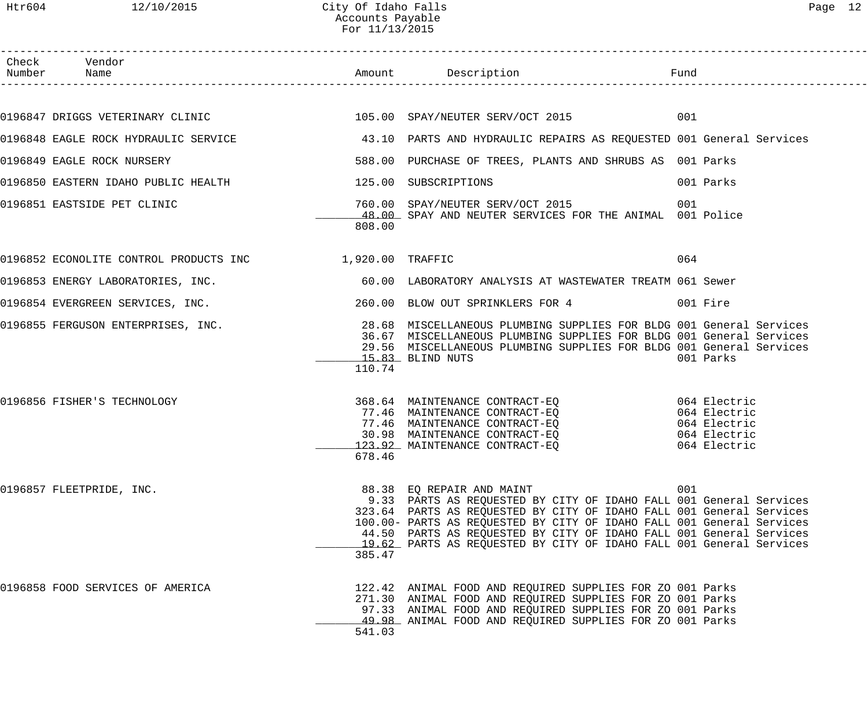------------------------------------------------------------------------------------------------------------------------------------

| Check | Vendor<br>Number Name                                    |        |                                                                                                                                                                                                                                                                                                                                                                                                | Fund         |
|-------|----------------------------------------------------------|--------|------------------------------------------------------------------------------------------------------------------------------------------------------------------------------------------------------------------------------------------------------------------------------------------------------------------------------------------------------------------------------------------------|--------------|
|       |                                                          |        |                                                                                                                                                                                                                                                                                                                                                                                                |              |
|       |                                                          |        | 0196847 DRIGGS VETERINARY CLINIC (2015) 2018 105.00 SPAY/NEUTER SERV/OCT 2015                                                                                                                                                                                                                                                                                                                  |              |
|       |                                                          |        | 0196848 EAGLE ROCK HYDRAULIC SERVICE 43.10 PARTS AND HYDRAULIC REPAIRS AS REQUESTED 001 General Services                                                                                                                                                                                                                                                                                       |              |
|       | 0196849 EAGLE ROCK NURSERY                               |        | 588.00 PURCHASE OF TREES, PLANTS AND SHRUBS AS 001 Parks                                                                                                                                                                                                                                                                                                                                       |              |
|       | 0196850 EASTERN IDAHO PUBLIC HEALTH 125.00 SUBSCRIPTIONS |        |                                                                                                                                                                                                                                                                                                                                                                                                | 001 Parks    |
|       | 0196851 EASTSIDE PET CLINIC                              | 808.00 | 760.00 SPAY/NEUTER SERV/OCT 2015<br>48.00 SPAY AND NEUTER SERVICES FOR THE ANIMAL 001 Police                                                                                                                                                                                                                                                                                                   | 001          |
|       | 0196852 ECONOLITE CONTROL PRODUCTS INC 1,920.00 TRAFFIC  |        |                                                                                                                                                                                                                                                                                                                                                                                                | 064          |
|       |                                                          |        | 0196853 ENERGY LABORATORIES, INC.<br>60.00 LABORATORY ANALYSIS AT WASTEWATER TREATM 061 Sewer                                                                                                                                                                                                                                                                                                  |              |
|       |                                                          |        | 0196854 EVERGREEN SERVICES, INC. 260.00 BLOW OUT SPRINKLERS FOR 4 001 Fire                                                                                                                                                                                                                                                                                                                     |              |
|       |                                                          | 110.74 | 0196855 FERGUSON ENTERPRISES, INC. 28.68 MISCELLANEOUS PLUMBING SUPPLIES FOR BLDG 001 General Services<br>36.67 MISCELLANEOUS PLUMBING SUPPLIES FOR BLDG 001 General Services<br>29.56 MISCELLANEOUS PLUMBING SUPPLIES FOR BLDG 001 General Services<br>15.83 BLIND NUTS                                                                                                                       | 001 Parks    |
|       | 0196856 FISHER'S TECHNOLOGY                              | 678.46 | 368.64 MAINTENANCE CONTRACT-EQ 064 Electric<br>77.46 MAINTENANCE CONTRACT-EQ 064 Electric<br>77.46 MAINTENANCE CONTRACT-EQ 064 Electric<br>30.98 MAINTENANCE CONTRACT-EQ 064 Electric<br>123.92 MAINTENANCE CONTRACT-EQ                                                                                                                                                                        | 064 Electric |
|       | 0196857 FLEETPRIDE, INC.                                 | 385.47 | 88.38 EQ REPAIR AND MAINT<br>9.33 PARTS AS REQUESTED BY CITY OF IDAHO FALL 001 General Services<br>323.64 PARTS AS REQUESTED BY CITY OF IDAHO FALL 001 General Services<br>100.00- PARTS AS REQUESTED BY CITY OF IDAHO FALL 001 General Services<br>44.50 PARTS AS REQUESTED BY CITY OF IDAHO FALL 001 General Services<br>19.62 PARTS AS REQUESTED BY CITY OF IDAHO FALL 001 General Services | 001          |
|       | 0196858 FOOD SERVICES OF AMERICA                         | 541.03 | 122.42 ANIMAL FOOD AND REQUIRED SUPPLIES FOR ZO 001 Parks<br>271.30 ANIMAL FOOD AND REQUIRED SUPPLIES FOR ZO 001 Parks<br>97.33 ANIMAL FOOD AND REQUIRED SUPPLIES FOR ZO 001 Parks<br>49.98 ANIMAL FOOD AND REQUIRED SUPPLIES FOR ZO 001 Parks                                                                                                                                                 |              |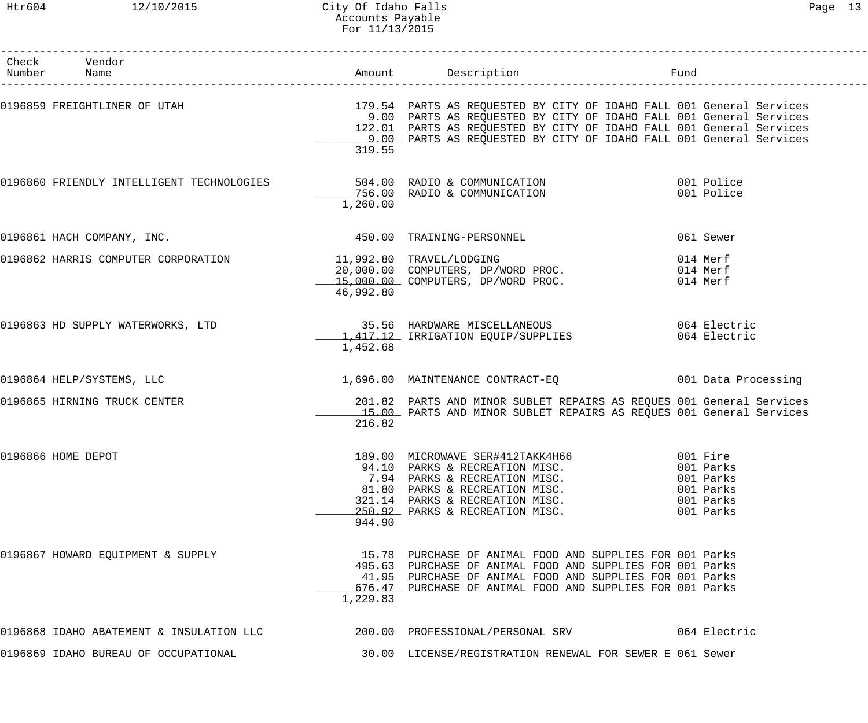| Check Vendor<br>Number Name                                                                                 |           | Amount Description                                                                                                                                                                                                                                                                                                                                | Fund                                                                      |
|-------------------------------------------------------------------------------------------------------------|-----------|---------------------------------------------------------------------------------------------------------------------------------------------------------------------------------------------------------------------------------------------------------------------------------------------------------------------------------------------------|---------------------------------------------------------------------------|
|                                                                                                             | 319.55    | 0196859 FREIGHTLINER OF UTAH THE SENIMAL SENIMAL SENIMAL 179.54 PARTS AS REQUESTED BY CITY OF IDAHO FALL 001 General Services<br>9.00 PARTS AS REQUESTED BY CITY OF IDAHO FALL 001 General Services<br>122.01 PARTS AS REQUESTED BY CITY OF IDAHO FALL 001 General Services<br>9.00 PARTS AS REQUESTED BY CITY OF IDAHO FALL 001 General Services |                                                                           |
|                                                                                                             | 1,260.00  | 0196860 FRIENDLY INTELLIGENT TECHNOLOGIES 504.00 RADIO & COMMUNICATION<br>756.00 RADIO & COMMUNICATION                                                                                                                                                                                                                                            | 001 Police<br>001 Police                                                  |
| 0196861 HACH COMPANY, INC.                                                                                  |           | 450.00 TRAINING-PERSONNEL                                                                                                                                                                                                                                                                                                                         | 061 Sewer                                                                 |
| 0196862 HARRIS COMPUTER CORPORATION          11,992.80 TRAVEL/LODGING<br>20,000.00 COMPUTERS, DP/WORD PROC. | 46,992.80 | 15,000.00 COMPUTERS, DP/WORD PROC.                                                                                                                                                                                                                                                                                                                | 014 Merf<br>014 Merf<br>014 Merf                                          |
| 0196863 HD SUPPLY WATERWORKS, LTD                                                                           | 1,452.68  | 35.56 HARDWARE MISCELLANEOUS 6064 Electric<br>1,417.12 IRRIGATION EQUIP/SUPPLIES                                                                                                                                                                                                                                                                  | 064 Electric                                                              |
| 0196864 HELP/SYSTEMS, LLC                                                                                   |           | 1,696.00 MAINTENANCE CONTRACT-EQ 001 Data Processing                                                                                                                                                                                                                                                                                              |                                                                           |
| 0196865 HIRNING TRUCK CENTER                                                                                | 216.82    | 201.82 PARTS AND MINOR SUBLET REPAIRS AS REQUES 001 General Services<br>15.00 PARTS AND MINOR SUBLET REPAIRS AS REQUES 001 General Services                                                                                                                                                                                                       |                                                                           |
| 0196866 HOME DEPOT                                                                                          | 944.90    | 189.00 MICROWAVE SER#412TAKK4H66<br>94.10 PARKS & RECREATION MISC.<br>7.94 PARKS & RECREATION MISC.<br>81.80 PARKS & RECREATION MISC.<br>321.14 PARKS & RECREATION MISC.<br>250.92 PARKS & RECREATION MISC.                                                                                                                                       | 001 Fire<br>001 Parks<br>001 Parks<br>001 Parks<br>001 Parks<br>001 Parks |
| 0196867 HOWARD EQUIPMENT & SUPPLY                                                                           | 1,229.83  | 15.78 PURCHASE OF ANIMAL FOOD AND SUPPLIES FOR 001 Parks<br>495.63 PURCHASE OF ANIMAL FOOD AND SUPPLIES FOR 001 Parks<br>41.95 PURCHASE OF ANIMAL FOOD AND SUPPLIES FOR 001 Parks<br>676.47 PURCHASE OF ANIMAL FOOD AND SUPPLIES FOR 001 Parks                                                                                                    |                                                                           |
|                                                                                                             |           | 0196868 IDAHO ABATEMENT & INSULATION LLC<br>200.00 PROFESSIONAL/PERSONAL SRV<br>064 Electric                                                                                                                                                                                                                                                      |                                                                           |
| 0196869 IDAHO BUREAU OF OCCUPATIONAL                                                                        |           | 30.00 LICENSE/REGISTRATION RENEWAL FOR SEWER E 061 Sewer                                                                                                                                                                                                                                                                                          |                                                                           |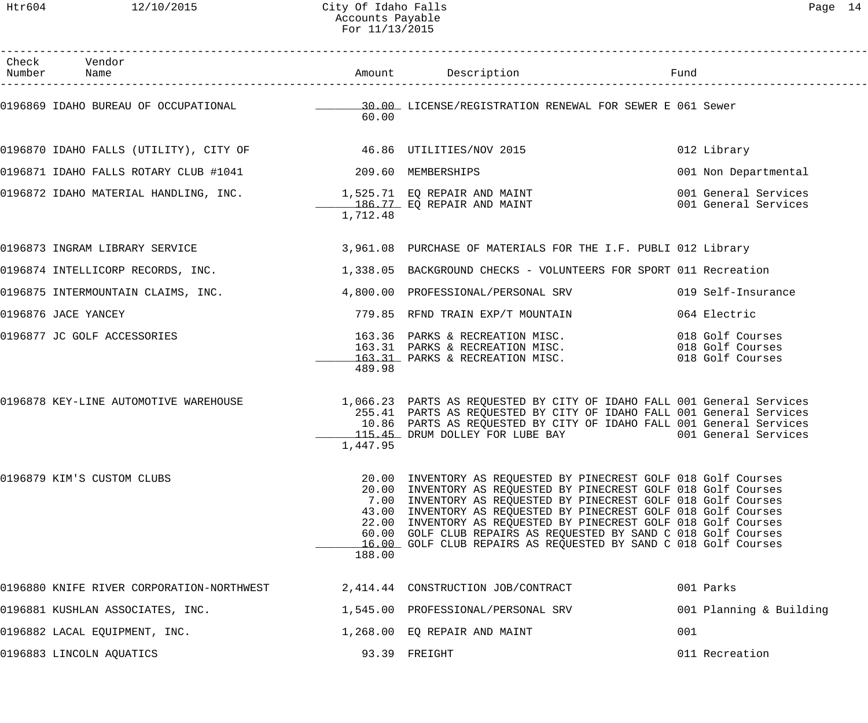| .,<br>- |  |
|---------|--|
|---------|--|

| Check Vendor<br>Number Name                                                                              |          | Amount Description                                                                                                                                                                                                                                                                                                                                                                                                                                                               | Fund                                                     |
|----------------------------------------------------------------------------------------------------------|----------|----------------------------------------------------------------------------------------------------------------------------------------------------------------------------------------------------------------------------------------------------------------------------------------------------------------------------------------------------------------------------------------------------------------------------------------------------------------------------------|----------------------------------------------------------|
|                                                                                                          | 60.00    | 0196869 IDAHO BUREAU OF OCCUPATIONAL CONSENSION CONSENSION RENEWAL FOR SEWER E 061 Sewer                                                                                                                                                                                                                                                                                                                                                                                         |                                                          |
| 0196870 IDAHO FALLS (UTILITY), CITY OF $$46.86$ UTILITIES/NOV 2015                                       |          |                                                                                                                                                                                                                                                                                                                                                                                                                                                                                  | 012 Library                                              |
| 0196871 IDAHO FALLS ROTARY CLUB #1041 209.60 MEMBERSHIPS                                                 |          |                                                                                                                                                                                                                                                                                                                                                                                                                                                                                  | 001 Non Departmental                                     |
| 0196872 IDAHO MATERIAL HANDLING, INC.         1,525.71 EQ REPAIR AND MAINT<br>186.77 EQ REPAIR AND MAINT | 1,712.48 |                                                                                                                                                                                                                                                                                                                                                                                                                                                                                  | 001 General Services<br>001 General Services             |
| 0196873 INGRAM LIBRARY SERVICE                                                                           |          | 3,961.08 PURCHASE OF MATERIALS FOR THE I.F. PUBLI 012 Library                                                                                                                                                                                                                                                                                                                                                                                                                    |                                                          |
| 0196874 INTELLICORP RECORDS, INC.                                                                        |          | 1,338.05 BACKGROUND CHECKS - VOLUNTEERS FOR SPORT 011 Recreation                                                                                                                                                                                                                                                                                                                                                                                                                 |                                                          |
| 0196875 INTERMOUNTAIN CLAIMS, INC.                                                                       |          | 4,800.00 PROFESSIONAL/PERSONAL SRV                                                                                                                                                                                                                                                                                                                                                                                                                                               | 019 Self-Insurance                                       |
| 0196876 JACE YANCEY                                                                                      |          | 779.85 RFND TRAIN EXP/T MOUNTAIN                                                                                                                                                                                                                                                                                                                                                                                                                                                 | 064 Electric                                             |
| 0196877 JC GOLF ACCESSORIES                                                                              | 489.98   | 163.36   PARKS & RECREATION MISC.<br>163.31   PARKS & RECREATION MISC.<br>163.31 PARKS & RECREATION MISC.                                                                                                                                                                                                                                                                                                                                                                        | 018 Golf Courses<br>018 Golf Courses<br>018 Golf Courses |
| 0196878 KEY-LINE AUTOMOTIVE WAREHOUSE                                                                    | 1,447.95 | 1,066.23 PARTS AS REQUESTED BY CITY OF IDAHO FALL 001 General Services<br>255.41 PARTS AS REQUESTED BY CITY OF IDAHO FALL 001 General Services<br>10.86 PARTS AS REQUESTED BY CITY OF IDAHO FALL 001 General Services<br>115.45 DRUM DOLLEY FOR LUBE BAY                                                                                                                                                                                                                         | 001 General Services                                     |
| 0196879 KIM'S CUSTOM CLUBS                                                                               | 188.00   | 20.00 INVENTORY AS REQUESTED BY PINECREST GOLF 018 Golf Courses<br>20.00 INVENTORY AS REQUESTED BY PINECREST GOLF 018 Golf Courses<br>7.00 INVENTORY AS REQUESTED BY PINECREST GOLF 018 Golf Courses<br>43.00 INVENTORY AS REQUESTED BY PINECREST GOLF 018 Golf Courses<br>22.00 INVENTORY AS REQUESTED BY PINECREST GOLF 018 Golf Courses<br>60.00 GOLF CLUB REPAIRS AS REQUESTED BY SAND C 018 Golf Courses<br>16.00 GOLF CLUB REPAIRS AS REQUESTED BY SAND C 018 Golf Courses |                                                          |
| 0196880 KNIFE RIVER CORPORATION-NORTHWEST                                                                |          | 2,414.44 CONSTRUCTION JOB/CONTRACT                                                                                                                                                                                                                                                                                                                                                                                                                                               | 001 Parks                                                |
| 0196881 KUSHLAN ASSOCIATES, INC.                                                                         |          | 1,545.00 PROFESSIONAL/PERSONAL SRV                                                                                                                                                                                                                                                                                                                                                                                                                                               | 001 Planning & Building                                  |
| 0196882 LACAL EQUIPMENT, INC.                                                                            |          | 1,268.00 EQ REPAIR AND MAINT                                                                                                                                                                                                                                                                                                                                                                                                                                                     | 001                                                      |
| 0196883 LINCOLN AQUATICS                                                                                 |          | 93.39 FREIGHT                                                                                                                                                                                                                                                                                                                                                                                                                                                                    | 011 Recreation                                           |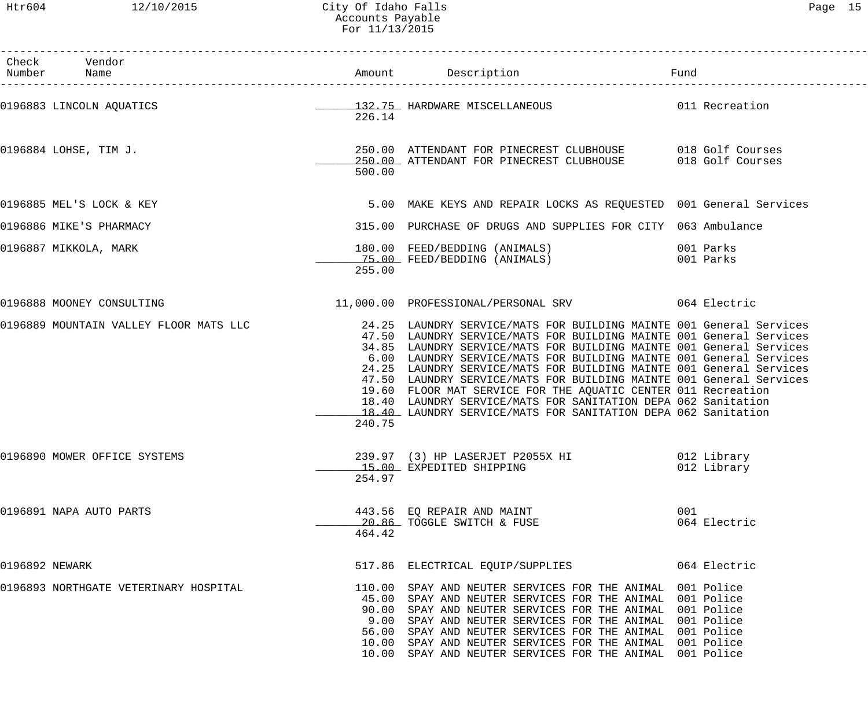|                | Check Vendor<br>Number Name            |        | Amount Description                                                                                                                                                                                                                                                                                                                                                                                                                                                                                                                                                                                                                       | Fund |                            |
|----------------|----------------------------------------|--------|------------------------------------------------------------------------------------------------------------------------------------------------------------------------------------------------------------------------------------------------------------------------------------------------------------------------------------------------------------------------------------------------------------------------------------------------------------------------------------------------------------------------------------------------------------------------------------------------------------------------------------------|------|----------------------------|
|                | 0196883 LINCOLN AQUATICS               | 226.14 | 132.75 HARDWARE MISCELLANEOUS 011 Recreation                                                                                                                                                                                                                                                                                                                                                                                                                                                                                                                                                                                             |      |                            |
|                | 0196884 LOHSE, TIM J.                  | 500.00 | 250.00 ATTENDANT FOR PINECREST CLUBHOUSE 018 Golf Courses<br>250.00 ATTENDANT FOR PINECREST CLUBHOUSE 018 Golf Courses                                                                                                                                                                                                                                                                                                                                                                                                                                                                                                                   |      |                            |
|                | 0196885 MEL'S LOCK & KEY               |        | 5.00 MAKE KEYS AND REPAIR LOCKS AS REQUESTED 001 General Services                                                                                                                                                                                                                                                                                                                                                                                                                                                                                                                                                                        |      |                            |
|                | 0196886 MIKE'S PHARMACY                |        | 315.00 PURCHASE OF DRUGS AND SUPPLIES FOR CITY 063 Ambulance                                                                                                                                                                                                                                                                                                                                                                                                                                                                                                                                                                             |      |                            |
|                | 0196887 MIKKOLA, MARK                  | 255.00 |                                                                                                                                                                                                                                                                                                                                                                                                                                                                                                                                                                                                                                          |      |                            |
|                | 0196888 MOONEY CONSULTING              |        | 11,000.00 PROFESSIONAL/PERSONAL SRV 064 Electric                                                                                                                                                                                                                                                                                                                                                                                                                                                                                                                                                                                         |      |                            |
|                | 0196889 MOUNTAIN VALLEY FLOOR MATS LLC | 240.75 | 24.25 LAUNDRY SERVICE/MATS FOR BUILDING MAINTE 001 General Services<br>47.50 LAUNDRY SERVICE/MATS FOR BUILDING MAINTE 001 General Services<br>34.85 LAUNDRY SERVICE/MATS FOR BUILDING MAINTE 001 General Services<br>6.00 LAUNDRY SERVICE/MATS FOR BUILDING MAINTE 001 General Services<br>24.25 LAUNDRY SERVICE/MATS FOR BUILDING MAINTE 001 General Services<br>47.50 LAUNDRY SERVICE/MATS FOR BUILDING MAINTE 001 General Services<br>19.60 FLOOR MAT SERVICE FOR THE AQUATIC CENTER 011 Recreation<br>18.40 LAUNDRY SERVICE/MATS FOR SANITATION DEPA 062 Sanitation<br>18.40 LAUNDRY SERVICE/MATS FOR SANITATION DEPA 062 Sanitation |      |                            |
|                | 0196890 MOWER OFFICE SYSTEMS           | 254.97 | 239.97 (3) HP LASERJET P2055X HI<br>15.00 EXPEDITED SHIPPING                                                                                                                                                                                                                                                                                                                                                                                                                                                                                                                                                                             |      | 012 Library<br>012 Library |
|                | 0196891 NAPA AUTO PARTS                | 464.42 | 443.56 EQ REPAIR AND MAINT<br>20.86 TOGGLE SWITCH & FUSE                                                                                                                                                                                                                                                                                                                                                                                                                                                                                                                                                                                 | 001  | 064 Electric               |
| 0196892 NEWARK |                                        |        | 517.86 ELECTRICAL EQUIP/SUPPLIES                                                                                                                                                                                                                                                                                                                                                                                                                                                                                                                                                                                                         |      | 064 Electric               |
|                | 0196893 NORTHGATE VETERINARY HOSPITAL  |        | 110.00 SPAY AND NEUTER SERVICES FOR THE ANIMAL 001 Police<br>45.00 SPAY AND NEUTER SERVICES FOR THE ANIMAL 001 Police<br>90.00 SPAY AND NEUTER SERVICES FOR THE ANIMAL 001 Police<br>9.00 SPAY AND NEUTER SERVICES FOR THE ANIMAL 001 Police<br>56.00 SPAY AND NEUTER SERVICES FOR THE ANIMAL 001 Police<br>10.00 SPAY AND NEUTER SERVICES FOR THE ANIMAL 001 Police<br>10.00 SPAY AND NEUTER SERVICES FOR THE ANIMAL 001 Police                                                                                                                                                                                                         |      |                            |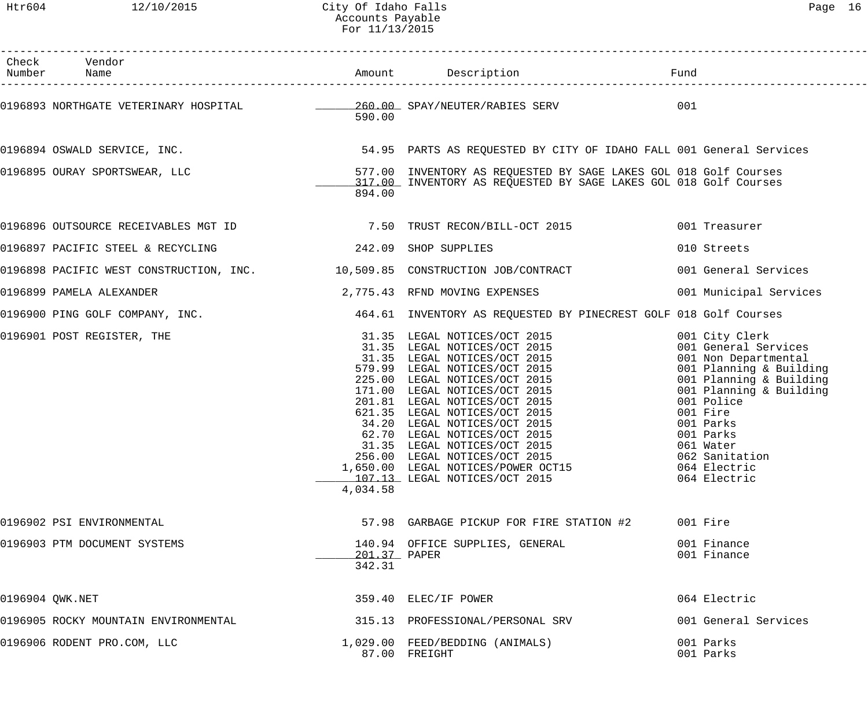| Check Vendor<br>Number Name                                                          |                        |                                                                                                                                                                                                                                                                                                                                                                                                                             |                                                                                                                                                                                                                                                                    |
|--------------------------------------------------------------------------------------|------------------------|-----------------------------------------------------------------------------------------------------------------------------------------------------------------------------------------------------------------------------------------------------------------------------------------------------------------------------------------------------------------------------------------------------------------------------|--------------------------------------------------------------------------------------------------------------------------------------------------------------------------------------------------------------------------------------------------------------------|
| 0196893 NORTHGATE VETERINARY HOSPITAL $\qquad \qquad 260.00$ SPAY/NEUTER/RABIES SERV | 590.00                 |                                                                                                                                                                                                                                                                                                                                                                                                                             | 001                                                                                                                                                                                                                                                                |
|                                                                                      |                        | 0196894 OSWALD SERVICE, INC. THE SALL SERVICES SERVICES SERVICES AS REQUESTED BY CITY OF IDAHO FALL 001 General Services                                                                                                                                                                                                                                                                                                    |                                                                                                                                                                                                                                                                    |
| 0196895 OURAY SPORTSWEAR, LLC                                                        | 894.00                 | 577.00 INVENTORY AS REQUESTED BY SAGE LAKES GOL 018 Golf Courses<br>117.00 INVENTORY AS REQUESTED BY SAGE LAKES GOL 018 Golf Courses                                                                                                                                                                                                                                                                                        |                                                                                                                                                                                                                                                                    |
|                                                                                      |                        |                                                                                                                                                                                                                                                                                                                                                                                                                             | 001 Treasurer                                                                                                                                                                                                                                                      |
| 0196897 PACIFIC STEEL & RECYCLING<br>242.09 SHOP SUPPLIES                            |                        |                                                                                                                                                                                                                                                                                                                                                                                                                             | 010 Streets                                                                                                                                                                                                                                                        |
|                                                                                      |                        | 0196898 PACIFIC WEST CONSTRUCTION, INC. 40 10,509.85 CONSTRUCTION JOB/CONTRACT                                                                                                                                                                                                                                                                                                                                              | 001 General Services                                                                                                                                                                                                                                               |
| 0196899 PAMELA ALEXANDER                                                             |                        | 2,775.43 RFND MOVING EXPENSES                                                                                                                                                                                                                                                                                                                                                                                               | 001 Municipal Services                                                                                                                                                                                                                                             |
|                                                                                      |                        | 0196900 PING GOLF COMPANY, INC. THE REAL AGA.61 INVENTORY AS REQUESTED BY PINECREST GOLF 018 Golf Courses                                                                                                                                                                                                                                                                                                                   |                                                                                                                                                                                                                                                                    |
| 0196901 POST REGISTER, THE                                                           | 4,034.58               | 31.35 LEGAL NOTICES/OCT 2015<br>31.35 LEGAL NOTICES/OCT 2015<br>31.35 LEGAL NOTICES/OCT 2015<br>579.99 LEGAL NOTICES/OCT 2015<br>225.00 LEGAL NOTICES/OCT 2015<br>171.00 LEGAL NOTICES/OCT 2015<br>201.81 LEGAL NOTICES/OCT 2015<br>621.35 LEGAL NO<br>62.70 LEGAL NOTICES/OCT 2015<br>31.35 LEGAL NOTICES/OCT 2015<br>256.00 LEGAL NOTICES/OCT 2015<br>1,650.00 LEGAL NOTICES/POWER OCT15<br>107.13 LEGAL NOTICES/OCT 2015 | 001 City Clerk<br>001 General Services<br>001 Non Departmental<br>001 Planning & Building<br>001 Planning & Building<br>001 Planning & Building<br>001 Police<br>001 Fire<br>001 Parks<br>001 Parks<br>061 Water<br>062 Sanitation<br>064 Electric<br>064 Electric |
| 0196902 PSI ENVIRONMENTAL                                                            |                        | 57.98 GARBAGE PICKUP FOR FIRE STATION #2                                                                                                                                                                                                                                                                                                                                                                                    | 001 Fire                                                                                                                                                                                                                                                           |
| 0196903 PTM DOCUMENT SYSTEMS                                                         | 201.37 PAPER<br>342.31 | 140.94 OFFICE SUPPLIES, GENERAL                                                                                                                                                                                                                                                                                                                                                                                             | 001 Finance<br>001 Finance                                                                                                                                                                                                                                         |
| 0196904 OWK.NET                                                                      |                        | 359.40 ELEC/IF POWER                                                                                                                                                                                                                                                                                                                                                                                                        | 064 Electric                                                                                                                                                                                                                                                       |
| 0196905 ROCKY MOUNTAIN ENVIRONMENTAL                                                 |                        | 315.13 PROFESSIONAL/PERSONAL SRV                                                                                                                                                                                                                                                                                                                                                                                            | 001 General Services                                                                                                                                                                                                                                               |
| 0196906 RODENT PRO.COM, LLC                                                          |                        | 1,029.00 FEED/BEDDING (ANIMALS)<br>87.00 FREIGHT                                                                                                                                                                                                                                                                                                                                                                            | 001 Parks<br>001 Parks                                                                                                                                                                                                                                             |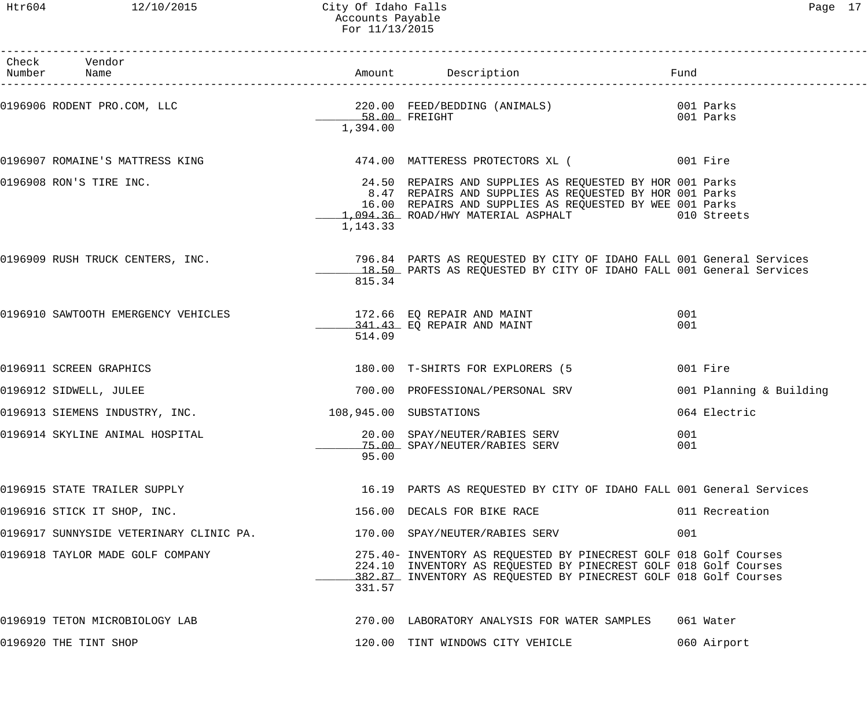| Check Vendor<br>Number Name                                                                                                                                                                     |                        |                                                                                                                                                                                                                                   | Fund                    |
|-------------------------------------------------------------------------------------------------------------------------------------------------------------------------------------------------|------------------------|-----------------------------------------------------------------------------------------------------------------------------------------------------------------------------------------------------------------------------------|-------------------------|
|                                                                                                                                                                                                 | 1,394.00               |                                                                                                                                                                                                                                   |                         |
| 0196907 ROMAINE'S MATTRESS KING                             474.00 MATTERESS PROTECTORS XL (                 001 Fire                                                                           |                        |                                                                                                                                                                                                                                   |                         |
| 0196908 RON'S TIRE INC.                                                                                                                                                                         | 1,143.33               | 24.50 REPAIRS AND SUPPLIES AS REQUESTED BY HOR 001 Parks<br>8.47 REPAIRS AND SUPPLIES AS REQUESTED BY HOR 001 Parks<br>16.00 REPAIRS AND SUPPLIES AS REQUESTED BY WEE 001 Parks<br>1,094.36 ROAD/HWY MATERIAL ASPHALT 010 Streets |                         |
| 0196909 RUSH TRUCK CENTERS, INC.                    796.84 PARTS AS REQUESTED BY CITY OF IDAHO FALL 001 General Services<br>18.50 PARTS AS REQUESTED BY CITY OF IDAHO FALL 001 General Services | 815.34                 |                                                                                                                                                                                                                                   |                         |
| 0196910 SAWTOOTH EMERGENCY VEHICLES                                                                                                                                                             | 514.09                 | 172.66 EQ REPAIR AND MAINT<br>341.43 EQ REPAIR AND MAINT                                                                                                                                                                          | 001<br>001              |
| 0196911 SCREEN GRAPHICS                                                                                                                                                                         |                        | 180.00 T-SHIRTS FOR EXPLORERS (5                                                                                                                                                                                                  | 001 Fire                |
| 0196912 SIDWELL, JULEE                                                                                                                                                                          |                        | 700.00 PROFESSIONAL/PERSONAL SRV                                                                                                                                                                                                  | 001 Planning & Building |
| 0196913 SIEMENS INDUSTRY, INC.                                                                                                                                                                  | 108,945.00 SUBSTATIONS |                                                                                                                                                                                                                                   | 064 Electric            |
| 0196914 SKYLINE ANIMAL HOSPITAL                                                                                                                                                                 | 95.00                  | 20.00 SPAY/NEUTER/RABIES SERV<br>75.00 SPAY/NEUTER/RABIES SERV                                                                                                                                                                    | 001<br>001              |
| 0196915 STATE TRAILER SUPPLY                                                                                                                                                                    |                        | 16.19 PARTS AS REQUESTED BY CITY OF IDAHO FALL 001 General Services                                                                                                                                                               |                         |
| 0196916 STICK IT SHOP, INC.                                                                                                                                                                     |                        | 156.00 DECALS FOR BIKE RACE                                                                                                                                                                                                       | 011 Recreation          |
| 0196917 SUNNYSIDE VETERINARY CLINIC PA.                                                                                                                                                         |                        | 170.00 SPAY/NEUTER/RABIES SERV                                                                                                                                                                                                    | 001                     |
| 0196918 TAYLOR MADE GOLF COMPANY                                                                                                                                                                | 331.57                 | 275.40- INVENTORY AS REQUESTED BY PINECREST GOLF 018 Golf Courses<br>224.10 INVENTORY AS REQUESTED BY PINECREST GOLF 018 Golf Courses<br>382.87 INVENTORY AS REQUESTED BY PINECREST GOLF 018 Golf Courses                         |                         |
| 0196919 TETON MICROBIOLOGY LAB                                                                                                                                                                  |                        | 270.00 LABORATORY ANALYSIS FOR WATER SAMPLES                                                                                                                                                                                      | 061 Water               |
| 0196920 THE TINT SHOP                                                                                                                                                                           |                        | 120.00 TINT WINDOWS CITY VEHICLE                                                                                                                                                                                                  | 060 Airport             |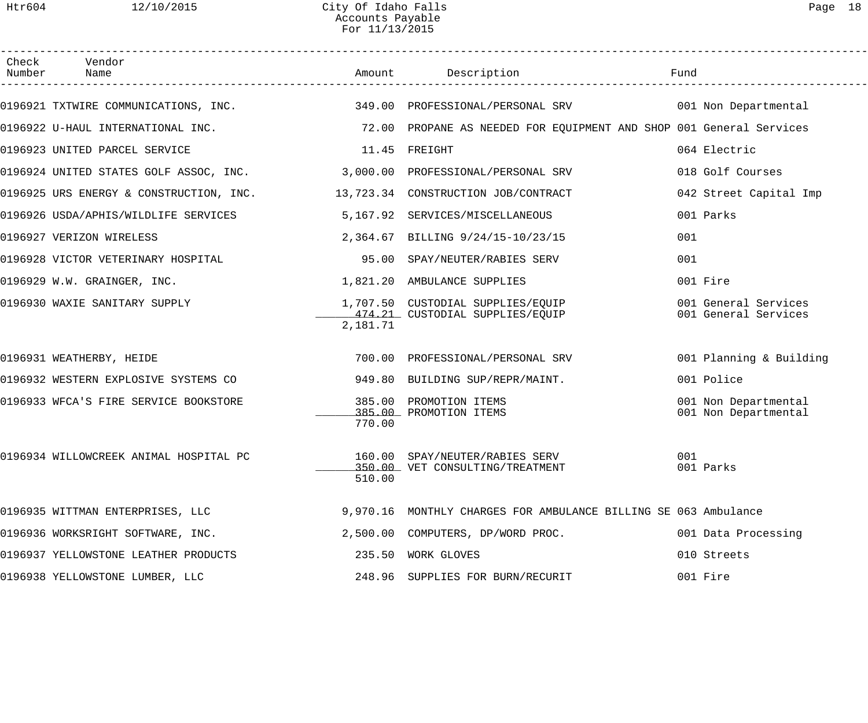| Check Vendor<br>Number Name                                                  |               | Amount Description                                                     | Fund                                         |
|------------------------------------------------------------------------------|---------------|------------------------------------------------------------------------|----------------------------------------------|
| 0196921 TXTWIRE COMMUNICATIONS, INC.                                         |               | 349.00 PROFESSIONAL/PERSONAL SRV 001 Non Departmental                  |                                              |
| 0196922 U-HAUL INTERNATIONAL INC.                                            |               | 72.00 PROPANE AS NEEDED FOR EQUIPMENT AND SHOP 001 General Services    |                                              |
| 0196923 UNITED PARCEL SERVICE                                                | 11.45 FREIGHT |                                                                        | 064 Electric                                 |
| 0196924 UNITED STATES GOLF ASSOC, INC. 3,000.00 PROFESSIONAL/PERSONAL SRV    |               |                                                                        | 018 Golf Courses                             |
| 0196925 URS ENERGY & CONSTRUCTION, INC. 413,723.34 CONSTRUCTION JOB/CONTRACT |               |                                                                        | 042 Street Capital Imp                       |
| 0196926 USDA/APHIS/WILDLIFE SERVICES 5,167.92 SERVICES/MISCELLANEOUS         |               |                                                                        | 001 Parks                                    |
| 0196927 VERIZON WIRELESS                                                     |               | 2,364.67 BILLING 9/24/15-10/23/15                                      | 001                                          |
| 0196928 VICTOR VETERINARY HOSPITAL                                           | 95.00         | SPAY/NEUTER/RABIES SERV                                                | 001                                          |
| 0196929 W.W. GRAINGER, INC.                                                  |               | 1,821.20 AMBULANCE SUPPLIES                                            | 001 Fire                                     |
| 0196930 WAXIE SANITARY SUPPLY                                                | 2,181.71      | 1,707.50  CUSTODIAL SUPPLIES/EQUIP<br>474.21  CUSTODIAL SUPPLIES/EQUIP | 001 General Services<br>001 General Services |
| 0196931 WEATHERBY, HEIDE                                                     |               | 700.00 PROFESSIONAL/PERSONAL SRV                                       | 001 Planning & Building                      |
| 0196932 WESTERN EXPLOSIVE SYSTEMS CO                                         |               | 949.80 BUILDING SUP/REPR/MAINT.                                        | 001 Police                                   |
| 0196933 WFCA'S FIRE SERVICE BOOKSTORE                                        | 770.00        | 385.00 PROMOTION ITEMS<br>385.00 PROMOTION ITEMS                       | 001 Non Departmental<br>001 Non Departmental |
| 0196934 WILLOWCREEK ANIMAL HOSPITAL PC $160.00$ SPAY/NEUTER/RABIES SERV      | 510.00        | 350.00 VET CONSULTING/TREATMENT                                        | 001<br>001 Parks                             |
| 0196935 WITTMAN ENTERPRISES, LLC                                             |               | 9,970.16 MONTHLY CHARGES FOR AMBULANCE BILLING SE 063 Ambulance        |                                              |
| 0196936 WORKSRIGHT SOFTWARE, INC.                                            |               | 2,500.00 COMPUTERS, DP/WORD PROC.                                      | 001 Data Processing                          |
| 0196937 YELLOWSTONE LEATHER PRODUCTS                                         |               | 235.50 WORK GLOVES                                                     | 010 Streets                                  |
| 0196938 YELLOWSTONE LUMBER, LLC                                              |               | 248.96 SUPPLIES FOR BURN/RECURIT                                       | 001 Fire                                     |
|                                                                              |               |                                                                        |                                              |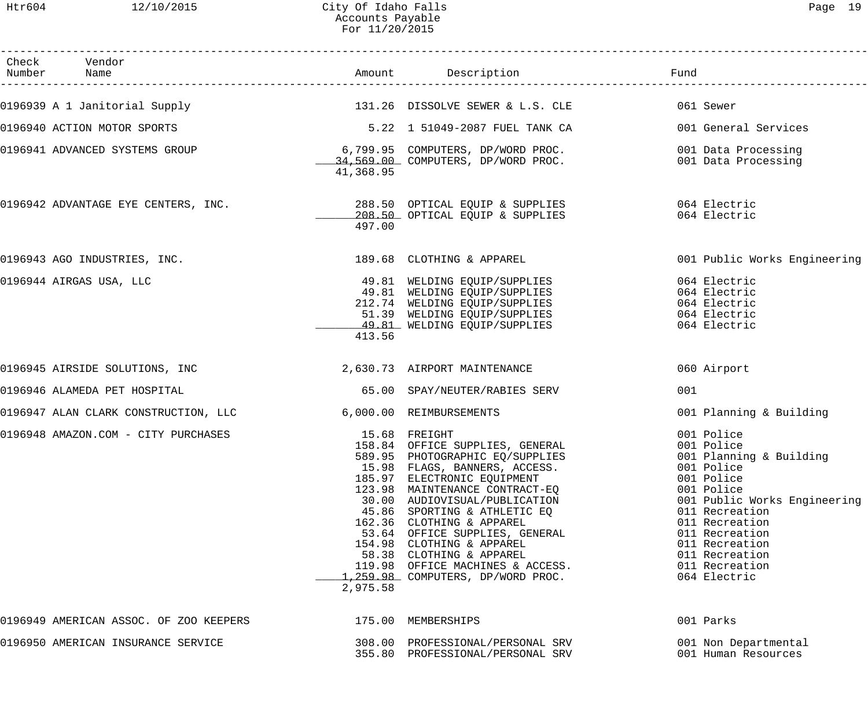| Раае |  |
|------|--|
|------|--|

| Check Vendor<br>Number Name            |           | Amount Description                                                                                                                                                                                                                                                                                                                                                                                                                                             | Fund                                                                                                                                                                                                                                                      |
|----------------------------------------|-----------|----------------------------------------------------------------------------------------------------------------------------------------------------------------------------------------------------------------------------------------------------------------------------------------------------------------------------------------------------------------------------------------------------------------------------------------------------------------|-----------------------------------------------------------------------------------------------------------------------------------------------------------------------------------------------------------------------------------------------------------|
| 0196939 A 1 Janitorial Supply          |           | 131.26 DISSOLVE SEWER & L.S. CLE                                                                                                                                                                                                                                                                                                                                                                                                                               | 061 Sewer                                                                                                                                                                                                                                                 |
| 0196940 ACTION MOTOR SPORTS            |           | 5.22 1 51049-2087 FUEL TANK CA                                                                                                                                                                                                                                                                                                                                                                                                                                 | 001 General Services                                                                                                                                                                                                                                      |
| 0196941 ADVANCED SYSTEMS GROUP         | 41,368.95 | 6,799.95 COMPUTERS, DP/WORD PROC.<br>34,569.00 COMPUTERS, DP/WORD PROC.                                                                                                                                                                                                                                                                                                                                                                                        | 001 Data Processing<br>001 Data Processing                                                                                                                                                                                                                |
| 0196942 ADVANTAGE EYE CENTERS, INC.    | 497.00    | 288.50 OPTICAL EQUIP & SUPPLIES<br>208.50 OPTICAL EQUIP & SUPPLIES                                                                                                                                                                                                                                                                                                                                                                                             | 064 Electric<br>064 Electric                                                                                                                                                                                                                              |
| 0196943 AGO INDUSTRIES, INC.           |           | 189.68 CLOTHING & APPAREL                                                                                                                                                                                                                                                                                                                                                                                                                                      | 001 Public Works Engineering                                                                                                                                                                                                                              |
| 0196944 AIRGAS USA, LLC                | 413.56    | 49.81 WELDING EQUIP/SUPPLIES<br>49.81 WELDING EQUIP/SUPPLIES<br>212.74 WELDING EQUIP/SUPPLIES<br>51.39 WELDING EQUIP/SUPPLIES<br>49.81 WELDING EQUIP/SUPPLIES                                                                                                                                                                                                                                                                                                  | 064 Electric<br>064 Electric<br>064 Electric<br>064 Electric<br>064 Electric                                                                                                                                                                              |
| 0196945 AIRSIDE SOLUTIONS, INC         |           | 2,630.73 AIRPORT MAINTENANCE                                                                                                                                                                                                                                                                                                                                                                                                                                   | 060 Airport                                                                                                                                                                                                                                               |
| 0196946 ALAMEDA PET HOSPITAL           |           | 65.00 SPAY/NEUTER/RABIES SERV                                                                                                                                                                                                                                                                                                                                                                                                                                  | 001                                                                                                                                                                                                                                                       |
| 0196947 ALAN CLARK CONSTRUCTION, LLC   |           | 6,000.00 REIMBURSEMENTS                                                                                                                                                                                                                                                                                                                                                                                                                                        | 001 Planning & Building                                                                                                                                                                                                                                   |
| 0196948 AMAZON.COM - CITY PURCHASES    | 2,975.58  | 15.68 FREIGHT<br>158.84 OFFICE SUPPLIES, GENERAL<br>589.95 PHOTOGRAPHIC EQ/SUPPLIES<br>15.98 FLAGS, BANNERS, ACCESS.<br>185.97 ELECTRONIC EQUIPMENT<br>123.98 MAINTENANCE CONTRACT-EQ<br>30.00 AUDIOVISUAL/PUBLICATION<br>45.86 SPORTING & ATHLETIC EQ<br>162.36 CLOTHING & APPAREL<br>53.64 OFFICE SUPPLIES, GENERAL<br>154.98 CLOTHING & APPAREL<br>58.38 CLOTHING & APPAREL<br>119.98 OFFICE MACHINES & ACCESS.<br><u>1,259.98</u> COMPUTERS, DP/WORD PROC. | 001 Police<br>001 Police<br>001 Planning & Building<br>001 Police<br>001 Police<br>001 Police<br>001 Public Works Engineering<br>011 Recreation<br>011 Recreation<br>011 Recreation<br>011 Recreation<br>011 Recreation<br>011 Recreation<br>064 Electric |
| 0196949 AMERICAN ASSOC. OF ZOO KEEPERS |           | 175.00 MEMBERSHIPS                                                                                                                                                                                                                                                                                                                                                                                                                                             | 001 Parks                                                                                                                                                                                                                                                 |
| 0196950 AMERICAN INSURANCE SERVICE     |           | 308.00 PROFESSIONAL/PERSONAL SRV<br>355.80 PROFESSIONAL/PERSONAL SRV                                                                                                                                                                                                                                                                                                                                                                                           | 001 Non Departmental<br>001 Human Resources                                                                                                                                                                                                               |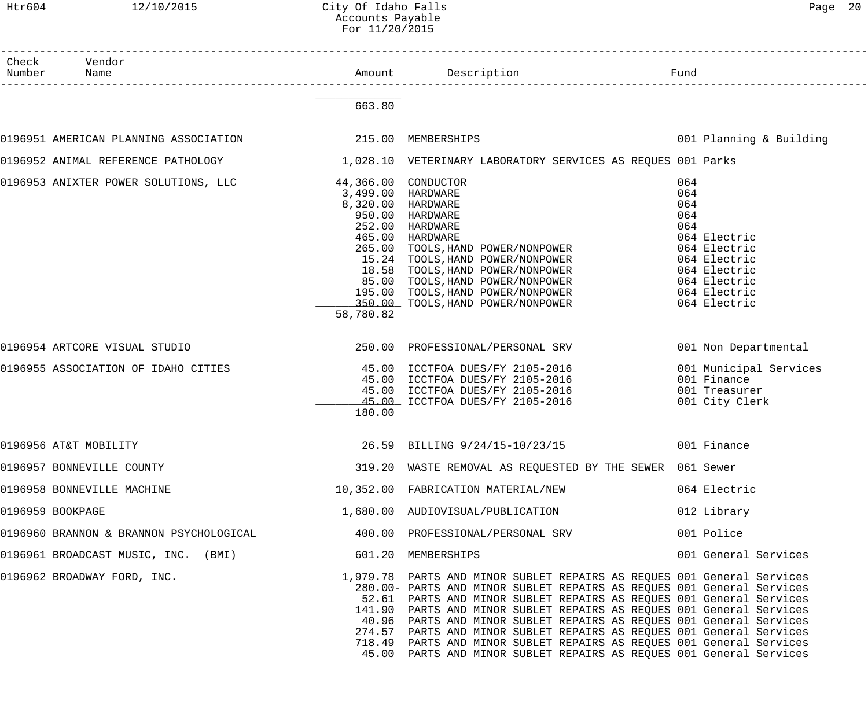#### Htr604 12/10/2015 City Of Idaho Falls Page 20 Accounts Payable For 11/20/2015

| Check Vendor<br>Number Name                              |                                                     |                                                                                                                                                                                                                                                                                                                                                                                                                                                                                                                                                                                              |                                                                                                                                                 |
|----------------------------------------------------------|-----------------------------------------------------|----------------------------------------------------------------------------------------------------------------------------------------------------------------------------------------------------------------------------------------------------------------------------------------------------------------------------------------------------------------------------------------------------------------------------------------------------------------------------------------------------------------------------------------------------------------------------------------------|-------------------------------------------------------------------------------------------------------------------------------------------------|
|                                                          | 663.80                                              |                                                                                                                                                                                                                                                                                                                                                                                                                                                                                                                                                                                              |                                                                                                                                                 |
|                                                          |                                                     |                                                                                                                                                                                                                                                                                                                                                                                                                                                                                                                                                                                              | 001 Planning & Building                                                                                                                         |
|                                                          |                                                     | 0196952 ANIMAL REFERENCE PATHOLOGY 1,028.10 VETERINARY LABORATORY SERVICES AS REQUES 001 Parks                                                                                                                                                                                                                                                                                                                                                                                                                                                                                               |                                                                                                                                                 |
| 0196953 ANIXTER POWER SOLUTIONS, LLC 44,366.00 CONDUCTOR | 3,499.00 HARDWARE<br>8,320.00 HARDWARE<br>58,780.82 | 950.00 HARDWARE<br>252.00 HARDWARE<br>465.00 HARDWARE<br>265.00 TOOLS, HAND POWER/NONPOWER<br>265.00 TOOLS, HAND POWER/NONPOWER<br>15.24 TOOLS, HAND POWER/NONPOWER<br>18.58 TOOLS, HAND POWER/NONPOWER<br>85.00 TOOLS, HAND POWER/NONPOWER<br>195.00 TOOLS, HAND POWER/NONPOWER<br>350.00 TOOLS, HAND POWER/NONPOWER                                                                                                                                                                                                                                                                        | 064<br>064<br>064<br>064<br>064<br>064 Electric<br>064 Electric<br>064 Electric<br>064 Electric<br>064 Electric<br>064 Electric<br>064 Electric |
| 0196954 ARTCORE VISUAL STUDIO                            |                                                     | 250.00 PROFESSIONAL/PERSONAL SRV                                                                                                                                                                                                                                                                                                                                                                                                                                                                                                                                                             | 001 Non Departmental                                                                                                                            |
| 0196955 ASSOCIATION OF IDAHO CITIES                      | 180.00                                              | 45.00 ICCTFOA DUES/FY 2105-2016<br>45.00 ICCTFOA DUES/FY 2105-2016<br>45.00 ICCTFOA DUES/FY 2105-2016<br>45.00 ICCTFOA DUES/FY 2105-2016                                                                                                                                                                                                                                                                                                                                                                                                                                                     | 001 Municipal Services<br>001 Finance<br>001 Treasurer<br>001 City Clerk                                                                        |
| 0196956 AT&T MOBILITY                                    |                                                     | 26.59 BILLING 9/24/15-10/23/15                                                                                                                                                                                                                                                                                                                                                                                                                                                                                                                                                               | 001 Finance                                                                                                                                     |
| 0196957 BONNEVILLE COUNTY                                |                                                     | 319.20 WASTE REMOVAL AS REQUESTED BY THE SEWER 061 Sewer                                                                                                                                                                                                                                                                                                                                                                                                                                                                                                                                     |                                                                                                                                                 |
|                                                          |                                                     | 0196958 BONNEVILLE MACHINE<br>10,352.00 FABRICATION MATERIAL/NEW                                                                                                                                                                                                                                                                                                                                                                                                                                                                                                                             | 064 Electric                                                                                                                                    |
| 0196959 BOOKPAGE                                         |                                                     | 1,680.00 AUDIOVISUAL/PUBLICATION                                                                                                                                                                                                                                                                                                                                                                                                                                                                                                                                                             | 012 Library                                                                                                                                     |
|                                                          |                                                     | 0196960 BRANNON & BRANNON PSYCHOLOGICAL 400.00 PROFESSIONAL/PERSONAL SRV                                                                                                                                                                                                                                                                                                                                                                                                                                                                                                                     | 001 Police                                                                                                                                      |
| 0196961 BROADCAST MUSIC, INC. (BMI) 601.20 MEMBERSHIPS   |                                                     |                                                                                                                                                                                                                                                                                                                                                                                                                                                                                                                                                                                              | 001 General Services                                                                                                                            |
| 0196962 BROADWAY FORD, INC.                              |                                                     | 1,979.78 PARTS AND MINOR SUBLET REPAIRS AS REQUES 001 General Services<br>280.00- PARTS AND MINOR SUBLET REPAIRS AS REQUES 001 General Services<br>52.61 PARTS AND MINOR SUBLET REPAIRS AS REQUES 001 General Services<br>141.90 PARTS AND MINOR SUBLET REPAIRS AS REQUES 001 General Services<br>40.96 PARTS AND MINOR SUBLET REPAIRS AS REQUES 001 General Services<br>274.57 PARTS AND MINOR SUBLET REPAIRS AS REQUES 001 General Services<br>718.49 PARTS AND MINOR SUBLET REPAIRS AS REQUES 001 General Services<br>45.00 PARTS AND MINOR SUBLET REPAIRS AS REQUES 001 General Services |                                                                                                                                                 |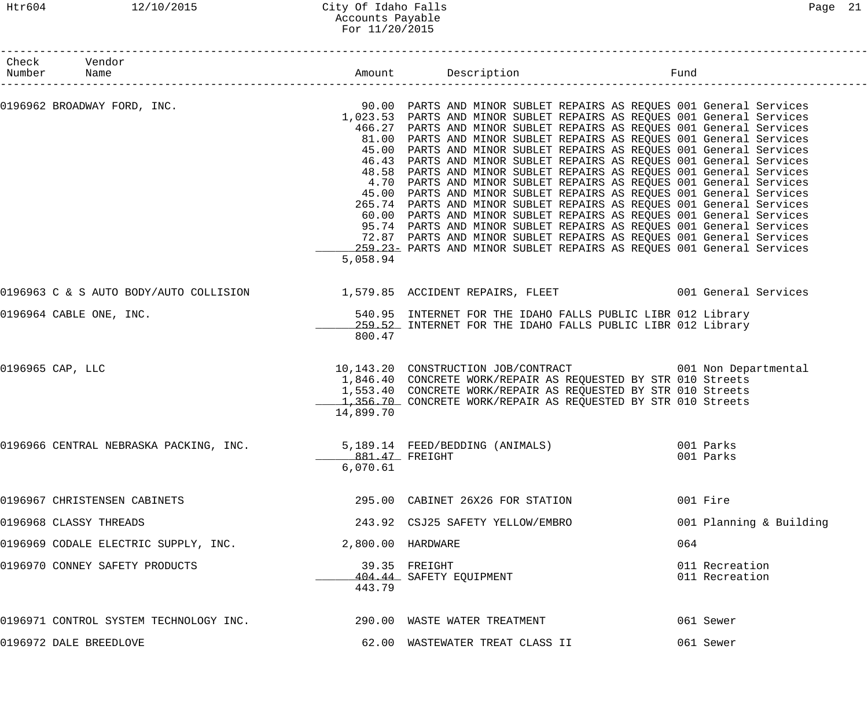## Htr604 12/10/2015 City Of Idaho Falls Page 21 Accounts Payable For 11/20/2015

| Check Vendor<br>Number Name                                            |                   |                                                                                                                                                                                                                                                                                                                                                                                                                                                                                                                                                                                                                                                                                                                                                                                                                                                                                                                                                                                                                                      | Fund                             |
|------------------------------------------------------------------------|-------------------|--------------------------------------------------------------------------------------------------------------------------------------------------------------------------------------------------------------------------------------------------------------------------------------------------------------------------------------------------------------------------------------------------------------------------------------------------------------------------------------------------------------------------------------------------------------------------------------------------------------------------------------------------------------------------------------------------------------------------------------------------------------------------------------------------------------------------------------------------------------------------------------------------------------------------------------------------------------------------------------------------------------------------------------|----------------------------------|
| 0196962 BROADWAY FORD, INC.                                            | 5,058.94          | 90.00 PARTS AND MINOR SUBLET REPAIRS AS REQUES 001 General Services<br>1,023.53 PARTS AND MINOR SUBLET REPAIRS AS REQUES 001 General Services<br>466.27 PARTS AND MINOR SUBLET REPAIRS AS REQUES 001 General Services<br>81.00 PARTS AND MINOR SUBLET REPAIRS AS REQUES 001 General Services<br>45.00 PARTS AND MINOR SUBLET REPAIRS AS REQUES 001 General Services<br>46.43 PARTS AND MINOR SUBLET REPAIRS AS REQUES 001 General Services<br>48.58 PARTS AND MINOR SUBLET REPAIRS AS REQUES 001 General Services<br>4.70 PARTS AND MINOR SUBLET REPAIRS AS REQUES 001 General Services<br>45.00 PARTS AND MINOR SUBLET REPAIRS AS REQUES 001 General Services<br>265.74 PARTS AND MINOR SUBLET REPAIRS AS REQUES 001 General Services<br>60.00 PARTS AND MINOR SUBLET REPAIRS AS REQUES 001 General Services<br>95.74 PARTS AND MINOR SUBLET REPAIRS AS REQUES 001 General Services<br>72.87 PARTS AND MINOR SUBLET REPAIRS AS REQUES 001 General Services<br>259.23- PARTS AND MINOR SUBLET REPAIRS AS REQUES 001 General Services |                                  |
|                                                                        |                   | 0196963 C & S AUTO BODY/AUTO COLLISION 1,579.85 ACCIDENT REPAIRS, FLEET 001 General Services                                                                                                                                                                                                                                                                                                                                                                                                                                                                                                                                                                                                                                                                                                                                                                                                                                                                                                                                         |                                  |
| 0196964 CABLE ONE, INC.                                                | 800.47            | 540.95 INTERNET FOR THE IDAHO FALLS PUBLIC LIBR 012 Library<br>259.52 INTERNET FOR THE IDAHO FALLS PUBLIC LIBR 012 Library                                                                                                                                                                                                                                                                                                                                                                                                                                                                                                                                                                                                                                                                                                                                                                                                                                                                                                           |                                  |
| 0196965 CAP, LLC                                                       | 14,899.70         | 10,143.20 CONSTRUCTION JOB/CONTRACT 001 Non Departmental<br>1,846.40 CONCRETE WORK/REPAIR AS REQUESTED BY STR 010 Streets<br>1,553.40 CONCRETE WORK/REPAIR AS REQUESTED BY STR 010 Streets<br>1,356.70 CONCRETE WORK/REPAIR AS REQUESTED BY STR 010 Streets                                                                                                                                                                                                                                                                                                                                                                                                                                                                                                                                                                                                                                                                                                                                                                          |                                  |
| 0196966 CENTRAL NEBRASKA PACKING, INC. 5,189.14 FEED/BEDDING (ANIMALS) | 6,070.61          | 881.47 FREIGHT                                                                                                                                                                                                                                                                                                                                                                                                                                                                                                                                                                                                                                                                                                                                                                                                                                                                                                                                                                                                                       | 001 Parks<br>001 Parks           |
| 0196967 CHRISTENSEN CABINETS                                           |                   | 295.00 CABINET 26X26 FOR STATION                                                                                                                                                                                                                                                                                                                                                                                                                                                                                                                                                                                                                                                                                                                                                                                                                                                                                                                                                                                                     | 001 Fire                         |
| 0196968 CLASSY THREADS                                                 |                   | 243.92 CSJ25 SAFETY YELLOW/EMBRO                                                                                                                                                                                                                                                                                                                                                                                                                                                                                                                                                                                                                                                                                                                                                                                                                                                                                                                                                                                                     | 001 Planning & Building          |
| 0196969 CODALE ELECTRIC SUPPLY, INC.                                   | 2,800.00 HARDWARE |                                                                                                                                                                                                                                                                                                                                                                                                                                                                                                                                                                                                                                                                                                                                                                                                                                                                                                                                                                                                                                      | 064                              |
| 0196970 CONNEY SAFETY PRODUCTS                                         | 443.79            | 39.35 FREIGHT<br>404.44 SAFETY EQUIPMENT                                                                                                                                                                                                                                                                                                                                                                                                                                                                                                                                                                                                                                                                                                                                                                                                                                                                                                                                                                                             | 011 Recreation<br>011 Recreation |
| 0196971 CONTROL SYSTEM TECHNOLOGY INC.                                 |                   | 290.00 WASTE WATER TREATMENT                                                                                                                                                                                                                                                                                                                                                                                                                                                                                                                                                                                                                                                                                                                                                                                                                                                                                                                                                                                                         | 061 Sewer                        |
| 0196972 DALE BREEDLOVE                                                 |                   | 62.00 WASTEWATER TREAT CLASS II                                                                                                                                                                                                                                                                                                                                                                                                                                                                                                                                                                                                                                                                                                                                                                                                                                                                                                                                                                                                      | 061 Sewer                        |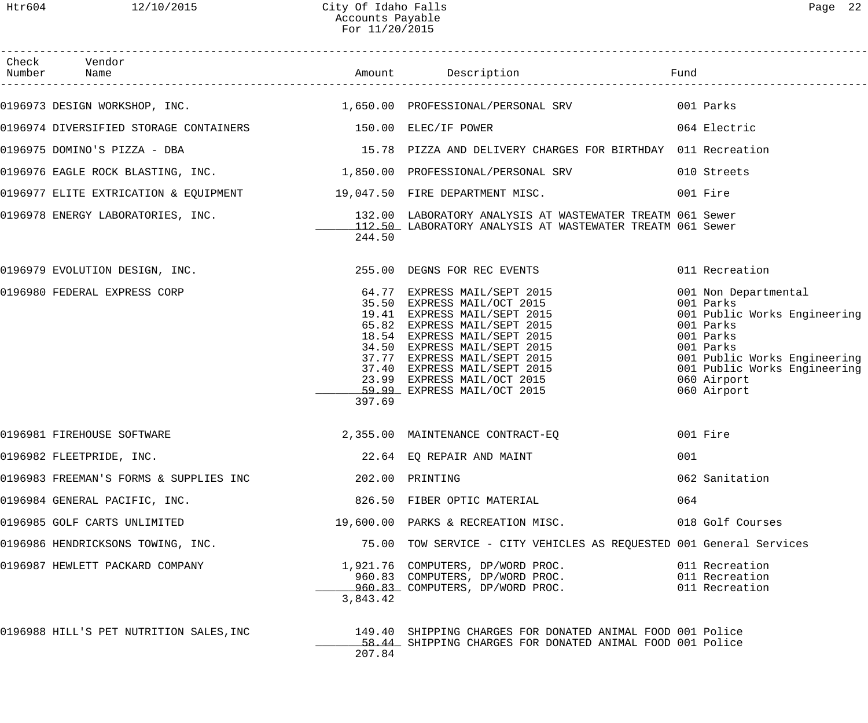| Check Vendor                                               |          |                                                                                                                                                                                                                                                     |                                                                                                                                                                                                        |
|------------------------------------------------------------|----------|-----------------------------------------------------------------------------------------------------------------------------------------------------------------------------------------------------------------------------------------------------|--------------------------------------------------------------------------------------------------------------------------------------------------------------------------------------------------------|
|                                                            |          | 0196973 DESIGN WORKSHOP, INC. 1,650.00 PROFESSIONAL/PERSONAL SRV 001 Parks                                                                                                                                                                          |                                                                                                                                                                                                        |
|                                                            |          |                                                                                                                                                                                                                                                     |                                                                                                                                                                                                        |
|                                                            |          |                                                                                                                                                                                                                                                     |                                                                                                                                                                                                        |
|                                                            |          | 0196976 EAGLE ROCK BLASTING, INC. 1,850.00 PROFESSIONAL/PERSONAL SRV 010 Streets                                                                                                                                                                    |                                                                                                                                                                                                        |
|                                                            |          | 0196977 ELITE EXTRICATION & EQUIPMENT 19,047.50 FIRE DEPARTMENT MISC. 001 Fire                                                                                                                                                                      |                                                                                                                                                                                                        |
|                                                            | 244.50   | 0196978 ENERGY LABORATORIES, INC. 132.00 LABORATORY ANALYSIS AT WASTEWATER TREATM 061 Sewer<br>112.50 LABORATORY ANALYSIS AT WASTEWATER TREATM 061 Sewer                                                                                            |                                                                                                                                                                                                        |
| 0196979 EVOLUTION DESIGN, INC. 255.00 DEGNS FOR REC EVENTS |          |                                                                                                                                                                                                                                                     | 011 Recreation                                                                                                                                                                                         |
| 0196980 FEDERAL EXPRESS CORP                               | 397.69   | 64.77 EXPRESS MAIL/SEPT 2015<br>35.50 EXPRESS MAIL/OCT 2015<br>19.41 EXPRESS MAIL/SEPT 2015<br>65.82 EXPRESS MAIL/SEPT 2015<br>18.54 EXPRESS MAIL/SEPT 2015<br>34.50 EXPRESS MAIL/SEPT 2015<br>37.77 EXPRESS MAIL/SEPT 2015<br>37.40 EXPRESS MAIL/S | 001 Non Departmental<br>001 Parks<br>001 Public Works Engineering<br>001 Parks<br>001 Parks<br>001 Parks<br>001 Public Works Engineering<br>001 Public Works Engineering<br>060 Airport<br>060 Airport |
| 0196981 FIREHOUSE SOFTWARE                                 |          | 2,355.00 MAINTENANCE CONTRACT-EQ                                                                                                                                                                                                                    | 001 Fire                                                                                                                                                                                               |
| 0196982 FLEETPRIDE, INC.                                   |          | 22.64 EQ REPAIR AND MAINT                                                                                                                                                                                                                           | 001                                                                                                                                                                                                    |
| 0196983 FREEMAN'S FORMS & SUPPLIES INC                     |          | 202.00 PRINTING                                                                                                                                                                                                                                     | 062 Sanitation                                                                                                                                                                                         |
| 0196984 GENERAL PACIFIC, INC.                              |          | 826.50 FIBER OPTIC MATERIAL                                                                                                                                                                                                                         | 064                                                                                                                                                                                                    |
| 0196985 GOLF CARTS UNLIMITED                               |          | 19,600.00 PARKS & RECREATION MISC. 018 Golf Courses                                                                                                                                                                                                 |                                                                                                                                                                                                        |
| 0196986 HENDRICKSONS TOWING, INC.                          |          | 75.00 TOW SERVICE - CITY VEHICLES AS REQUESTED 001 General Services                                                                                                                                                                                 |                                                                                                                                                                                                        |
| 0196987 HEWLETT PACKARD COMPANY                            | 3,843.42 | 1,921.76 COMPUTERS, DP/WORD PROC. 011 Recreation<br>960.83 COMPUTERS, DP/WORD PROC. 011 Recreation<br>960.83 COMPUTERS, DP/WORD PROC. 011 Recreation                                                                                                |                                                                                                                                                                                                        |
| 0196988 HILL'S PET NUTRITION SALES, INC                    | 207.84   | 149.40 SHIPPING CHARGES FOR DONATED ANIMAL FOOD 001 Police<br>58.44 SHIPPING CHARGES FOR DONATED ANIMAL FOOD 001 Police                                                                                                                             |                                                                                                                                                                                                        |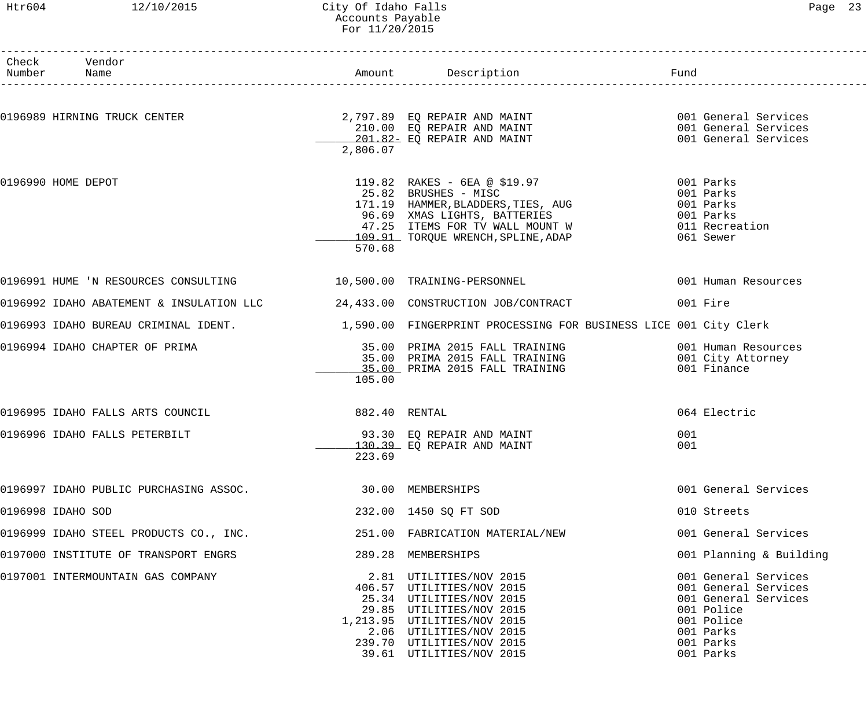#### Htr604 12/10/2015 City Of Idaho Falls Page 23 Accounts Payable For 11/20/2015

| Number Name        | Check Vendor                                                      |                   |                                                                                                                                                                                                         |     |                                    |
|--------------------|-------------------------------------------------------------------|-------------------|---------------------------------------------------------------------------------------------------------------------------------------------------------------------------------------------------------|-----|------------------------------------|
|                    |                                                                   |                   |                                                                                                                                                                                                         |     |                                    |
|                    | 0196989 HIRNING TRUCK CENTER                                      |                   |                                                                                                                                                                                                         |     |                                    |
|                    |                                                                   |                   | 2,797.89 EQ REPAIR AND MAINT 6001 General Services<br>210.00 EQ REPAIR AND MAINT 6001 General Services<br>201.82 EQ REPAIR AND MAINT 601 General Services                                               |     |                                    |
|                    |                                                                   | 2,806.07          |                                                                                                                                                                                                         |     |                                    |
| 0196990 HOME DEPOT |                                                                   |                   | 119.82 RAKES - 6EA @ \$19.97 001 Parks                                                                                                                                                                  |     |                                    |
|                    |                                                                   |                   | 119.62 KAKES - UEA WAJAZZ<br>25.82 BRUSHES - MISC 001 Parks<br>171.19 HAMMER, BLADDERS, TIES, AUG 001 Parks<br>96.69 XMAS LIGHTS, BATTERIES 001 Parks<br>47.25 ITEMS FOR TV WALL MOUNT W 011 Recreation |     |                                    |
|                    |                                                                   |                   |                                                                                                                                                                                                         |     |                                    |
|                    |                                                                   |                   |                                                                                                                                                                                                         |     |                                    |
|                    |                                                                   |                   | 109.91 TORQUE WRENCH, SPLINE, ADAP                                                                                                                                                                      |     | 061 Sewer                          |
|                    |                                                                   | 570.68            |                                                                                                                                                                                                         |     |                                    |
|                    | 0196991 HUME 'N RESOURCES CONSULTING 10,500.00 TRAINING-PERSONNEL |                   |                                                                                                                                                                                                         |     | 001 Human Resources                |
|                    |                                                                   |                   | 0196992 IDAHO ABATEMENT & INSULATION LLC $24,433.00$ CONSTRUCTION JOB/CONTRACT                                                                                                                          |     | 001 Fire                           |
|                    |                                                                   |                   | 0196993 IDAHO BUREAU CRIMINAL IDENT. 1,590.00 FINGERPRINT PROCESSING FOR BUSINESS LICE 001 City Clerk                                                                                                   |     |                                    |
|                    | 0196994 IDAHO CHAPTER OF PRIMA                                    |                   | 35.00 PRIMA 2015 FALL TRAINING                                                                                                                                                                          |     | 001 Human Resources                |
|                    |                                                                   |                   | 35.00 PRIMA 2015 FALL TRAINING                                                                                                                                                                          |     | 001 City Attorney                  |
|                    |                                                                   | 105.00            | 35.00 PRIMA 2015 FALL TRAINING                                                                                                                                                                          |     | 001 Finance                        |
|                    |                                                                   |                   |                                                                                                                                                                                                         |     |                                    |
|                    | 0196995 IDAHO FALLS ARTS COUNCIL                                  | 882.40 RENTAL     |                                                                                                                                                                                                         |     | 064 Electric                       |
|                    | 0196996 IDAHO FALLS PETERBILT                                     |                   | 93.30 EQ REPAIR AND MAINT                                                                                                                                                                               | 001 |                                    |
|                    |                                                                   |                   | 130.39 EO REPAIR AND MAINT                                                                                                                                                                              | 001 |                                    |
|                    |                                                                   | 223.69            |                                                                                                                                                                                                         |     |                                    |
|                    | 0196997 IDAHO PUBLIC PURCHASING ASSOC.                            | 30.00 MEMBERSHIPS |                                                                                                                                                                                                         |     | 001 General Services               |
| 0196998 IDAHO SOD  |                                                                   |                   | 232.00 1450 SQ FT SOD                                                                                                                                                                                   |     | 010 Streets                        |
|                    | 0196999 IDAHO STEEL PRODUCTS CO., INC.                            |                   | 251.00 FABRICATION MATERIAL/NEW                                                                                                                                                                         |     | 001 General Services               |
|                    | 0197000 INSTITUTE OF TRANSPORT ENGRS                              |                   | 289.28 MEMBERSHIPS                                                                                                                                                                                      |     | 001 Planning & Building            |
|                    | 0197001 INTERMOUNTAIN GAS COMPANY                                 |                   | 2.81 UTILITIES/NOV 2015                                                                                                                                                                                 |     | 001 General Services               |
|                    |                                                                   |                   | 406.57 UTILITIES/NOV 2015                                                                                                                                                                               |     | 001 General Services               |
|                    |                                                                   |                   | 25.34 UTILITIES/NOV 2015<br>29.85 UTILITIES/NOV 2015                                                                                                                                                    |     | 001 General Services<br>001 Police |
|                    |                                                                   |                   | 1, 213.95 UTILITIES/NOV 2015                                                                                                                                                                            |     | 001 Police                         |
|                    |                                                                   |                   | 2.06 UTILITIES/NOV 2015                                                                                                                                                                                 |     | 001 Parks                          |
|                    |                                                                   |                   | 239.70 UTILITIES/NOV 2015                                                                                                                                                                               |     | 001 Parks                          |
|                    |                                                                   |                   | 39.61 UTILITIES/NOV 2015                                                                                                                                                                                |     | 001 Parks                          |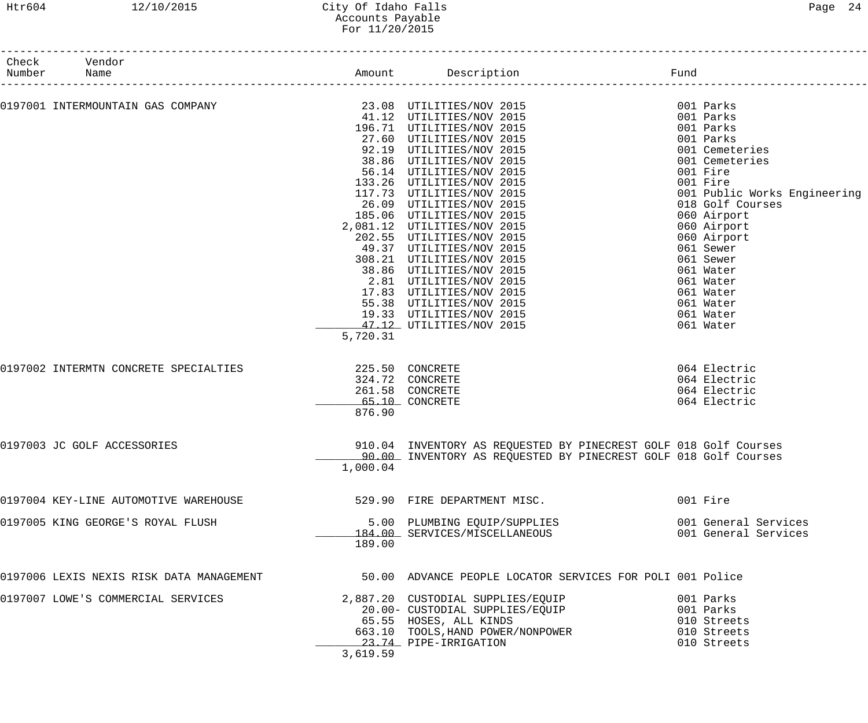## Htr604 12/10/2015 City Of Idaho Falls Page 24 Accounts Payable For 11/20/2015

| Check  | Vendor                                   |                 |                                                                  |          |                              |
|--------|------------------------------------------|-----------------|------------------------------------------------------------------|----------|------------------------------|
| Number | Name                                     |                 | Amount Description                                               | Fund     |                              |
|        |                                          |                 |                                                                  |          |                              |
|        |                                          |                 |                                                                  |          | 001 Parks                    |
|        |                                          |                 |                                                                  |          | 001 Parks                    |
|        |                                          |                 | 196.71 UTILITIES/NOV 2015                                        |          | 001 Parks                    |
|        |                                          |                 | 27.60 UTILITIES/NOV 2015                                         |          | 001 Parks                    |
|        |                                          |                 | 92.19 UTILITIES/NOV 2015                                         |          | 001 Cemeteries               |
|        |                                          |                 | 38.86 UTILITIES/NOV 2015                                         |          | 001 Cemeteries               |
|        |                                          |                 | 56.14 UTILITIES/NOV 2015                                         | 001 Fire |                              |
|        |                                          |                 | 133.26 UTILITIES/NOV 2015                                        | 001 Fire |                              |
|        |                                          |                 |                                                                  |          |                              |
|        |                                          |                 | 117.73 UTILITIES/NOV 2015                                        |          | 001 Public Works Engineering |
|        |                                          |                 | 26.09 UTILITIES/NOV 2015                                         |          | 018 Golf Courses             |
|        |                                          |                 | 185.06 UTILITIES/NOV 2015                                        |          | 060 Airport                  |
|        |                                          |                 | 2,081.12 UTILITIES/NOV 2015                                      |          | 060 Airport                  |
|        |                                          |                 | 202.55 UTILITIES/NOV 2015                                        |          | 060 Airport                  |
|        |                                          |                 | 49.37 UTILITIES/NOV 2015                                         |          | 061 Sewer                    |
|        |                                          |                 | 308.21 UTILITIES/NOV 2015                                        |          | 061 Sewer                    |
|        |                                          |                 | 38.86 UTILITIES/NOV 2015                                         |          | 061 Water                    |
|        |                                          |                 | 2.81 UTILITIES/NOV 2015                                          |          | 061 Water                    |
|        |                                          |                 | 17.83 UTILITIES/NOV 2015                                         |          | 061 Water                    |
|        |                                          |                 | 55.38 UTILITIES/NOV 2015                                         |          |                              |
|        |                                          |                 |                                                                  |          | 061 Water                    |
|        |                                          |                 | 19.33 UTILITIES/NOV 2015                                         |          | 061 Water                    |
|        |                                          |                 | 47.12 UTILITIES/NOV 2015                                         |          | 061 Water                    |
|        |                                          | 5,720.31        |                                                                  |          |                              |
|        | 0197002 INTERMTN CONCRETE SPECIALTIES    | 225.50 CONCRETE |                                                                  |          | 064 Electric                 |
|        |                                          |                 |                                                                  |          |                              |
|        |                                          |                 | 324.72 CONCRETE                                                  |          | 064 Electric                 |
|        |                                          |                 | 261.58 CONCRETE                                                  |          | 064 Electric                 |
|        |                                          |                 | 65.10 CONCRETE                                                   |          | 064 Electric                 |
|        |                                          | 876.90          |                                                                  |          |                              |
|        | 0197003 JC GOLF ACCESSORIES              |                 | 910.04 INVENTORY AS REQUESTED BY PINECREST GOLF 018 Golf Courses |          |                              |
|        |                                          |                 | 90.00 INVENTORY AS REQUESTED BY PINECREST GOLF 018 Golf Courses  |          |                              |
|        |                                          | 1,000.04        |                                                                  |          |                              |
|        |                                          |                 |                                                                  |          |                              |
|        | 0197004 KEY-LINE AUTOMOTIVE WAREHOUSE    |                 | 529.90 FIRE DEPARTMENT MISC.                                     | 001 Fire |                              |
|        | 0197005 KING GEORGE'S ROYAL FLUSH        |                 |                                                                  |          | 001 General Services         |
|        |                                          |                 | 5.00 PLUMBING EQUIP/SUPPLIES<br>184.00 SERVICES/MISCELLANEOUS    |          | 001 General Services         |
|        |                                          | 189.00          |                                                                  |          |                              |
|        |                                          |                 |                                                                  |          |                              |
|        | 0197006 LEXIS NEXIS RISK DATA MANAGEMENT |                 | 50.00 ADVANCE PEOPLE LOCATOR SERVICES FOR POLI 001 Police        |          |                              |
|        | 0197007 LOWE'S COMMERCIAL SERVICES       |                 | 2,887.20 CUSTODIAL SUPPLIES/EQUIP                                |          | 001 Parks                    |
|        |                                          |                 | 20.00- CUSTODIAL SUPPLIES/EQUIP                                  |          | 001 Parks                    |
|        |                                          |                 | 65.55 HOSES, ALL KINDS                                           |          | 010 Streets                  |
|        |                                          |                 | $663.10$ TOOLS, HAND POWER/NONPOWER                              |          | 010 Streets                  |
|        |                                          |                 | 23.74 PIPE-IRRIGATION                                            |          | 010 Streets                  |
|        |                                          | 3,619.59        |                                                                  |          |                              |
|        |                                          |                 |                                                                  |          |                              |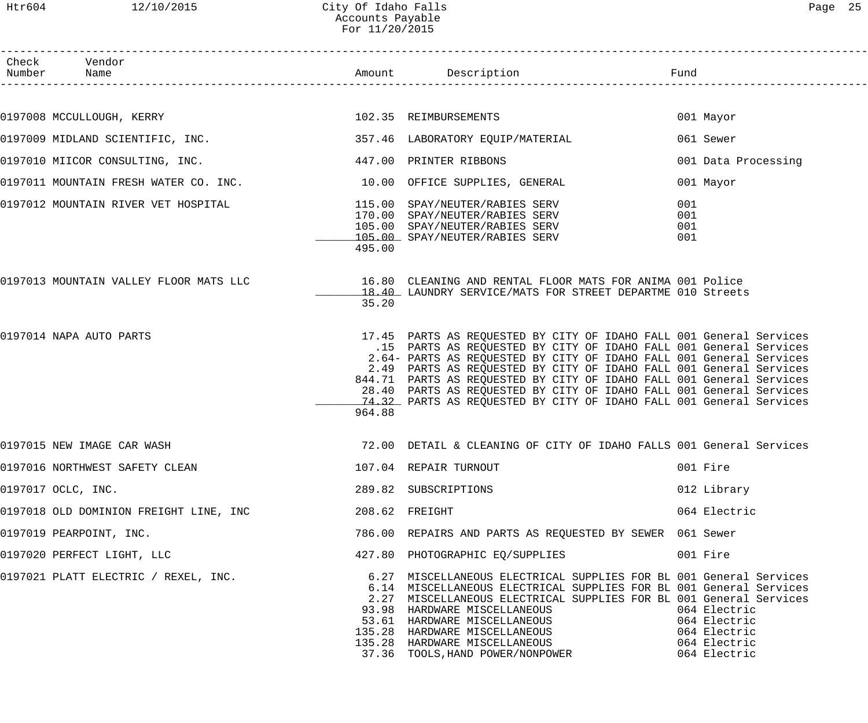| Check Vendor<br>Number Name                                                                           |        | Amount Description Description Fund                                                                                                                                                                                                                                                                                                                                                                                                                                                                         |                          |                                                                              |
|-------------------------------------------------------------------------------------------------------|--------|-------------------------------------------------------------------------------------------------------------------------------------------------------------------------------------------------------------------------------------------------------------------------------------------------------------------------------------------------------------------------------------------------------------------------------------------------------------------------------------------------------------|--------------------------|------------------------------------------------------------------------------|
|                                                                                                       |        |                                                                                                                                                                                                                                                                                                                                                                                                                                                                                                             |                          |                                                                              |
| 0197008 MCCULLOUGH, KERRY 102.35 REIMBURSEMENTS                                                       |        |                                                                                                                                                                                                                                                                                                                                                                                                                                                                                                             |                          | 001 Mayor                                                                    |
| 0197009 MIDLAND SCIENTIFIC, INC. 257.46 LABORATORY EQUIP/MATERIAL                                     |        |                                                                                                                                                                                                                                                                                                                                                                                                                                                                                                             |                          | 061 Sewer                                                                    |
| 0197010 MIICOR CONSULTING, INC. 447.00 PRINTER RIBBONS                                                |        |                                                                                                                                                                                                                                                                                                                                                                                                                                                                                                             |                          | 001 Data Processing                                                          |
| 0197011 MOUNTAIN FRESH WATER CO. INC. 10.00 OFFICE SUPPLIES, GENERAL                                  |        |                                                                                                                                                                                                                                                                                                                                                                                                                                                                                                             |                          | 001 Mayor                                                                    |
| 0197012 MOUNTAIN RIVER VET HOSPITAL (115.00 SPAY/NEUTER/RABIES SERV<br>170.00 SPAY/NEUTER/RABIES SERV | 495.00 | 105.00 SPAY/NEUTER/RABIES SERV<br>105.00 SPAY/NEUTER/RABIES SERV                                                                                                                                                                                                                                                                                                                                                                                                                                            | 001<br>001<br>001<br>001 |                                                                              |
| 0197013 MOUNTAIN VALLEY FLOOR MATS LLC 16.80 CLEANING AND RENTAL FLOOR MATS FOR ANIMA 001 Police      | 35.20  | 18.40 LAUNDRY SERVICE/MATS FOR STREET DEPARTME 010 Streets                                                                                                                                                                                                                                                                                                                                                                                                                                                  |                          |                                                                              |
| 0197014 NAPA AUTO PARTS                                                                               | 964.88 | 17.45 PARTS AS REQUESTED BY CITY OF IDAHO FALL 001 General Services<br>.15 PARTS AS REQUESTED BY CITY OF IDAHO FALL 001 General Services<br>2.64- PARTS AS REQUESTED BY CITY OF IDAHO FALL 001 General Services<br>2.49 PARTS AS REQUESTED BY CITY OF IDAHO FALL 001 General Services<br>844.71 PARTS AS REQUESTED BY CITY OF IDAHO FALL 001 General Services<br>28.40 PARTS AS REQUESTED BY CITY OF IDAHO FALL 001 General Services<br>74.32 PARTS AS REQUESTED BY CITY OF IDAHO FALL 001 General Services |                          |                                                                              |
| 0197015 NEW IMAGE CAR WASH                                                                            |        | 72.00 DETAIL & CLEANING OF CITY OF IDAHO FALLS 001 General Services                                                                                                                                                                                                                                                                                                                                                                                                                                         |                          |                                                                              |
|                                                                                                       |        |                                                                                                                                                                                                                                                                                                                                                                                                                                                                                                             |                          | 001 Fire                                                                     |
| 0197017 OCLC, INC.                                                                                    |        | 289.82 SUBSCRIPTIONS                                                                                                                                                                                                                                                                                                                                                                                                                                                                                        |                          | 012 Library                                                                  |
|                                                                                                       |        |                                                                                                                                                                                                                                                                                                                                                                                                                                                                                                             |                          | 064 Electric                                                                 |
| 0197019 PEARPOINT, INC.                                                                               |        | 786.00 REPAIRS AND PARTS AS REQUESTED BY SEWER 061 Sewer                                                                                                                                                                                                                                                                                                                                                                                                                                                    |                          |                                                                              |
| 0197020 PERFECT LIGHT, LLC                                                                            |        | 427.80 PHOTOGRAPHIC EQ/SUPPLIES                                                                                                                                                                                                                                                                                                                                                                                                                                                                             |                          | 001 Fire                                                                     |
| 0197021 PLATT ELECTRIC / REXEL, INC.                                                                  |        | 6.27 MISCELLANEOUS ELECTRICAL SUPPLIES FOR BL 001 General Services<br>6.14 MISCELLANEOUS ELECTRICAL SUPPLIES FOR BL 001 General Services<br>2.27 MISCELLANEOUS ELECTRICAL SUPPLIES FOR BL 001 General Services<br>93.98 HARDWARE MISCELLANEOUS<br>53.61 HARDWARE MISCELLANEOUS<br>135.28 HARDWARE MISCELLANEOUS<br>135.28 HARDWARE MISCELLANEOUS<br>37.36 TOOLS,HAND POWER/NONPOWER                                                                                                                         |                          | 064 Electric<br>064 Electric<br>064 Electric<br>064 Electric<br>064 Electric |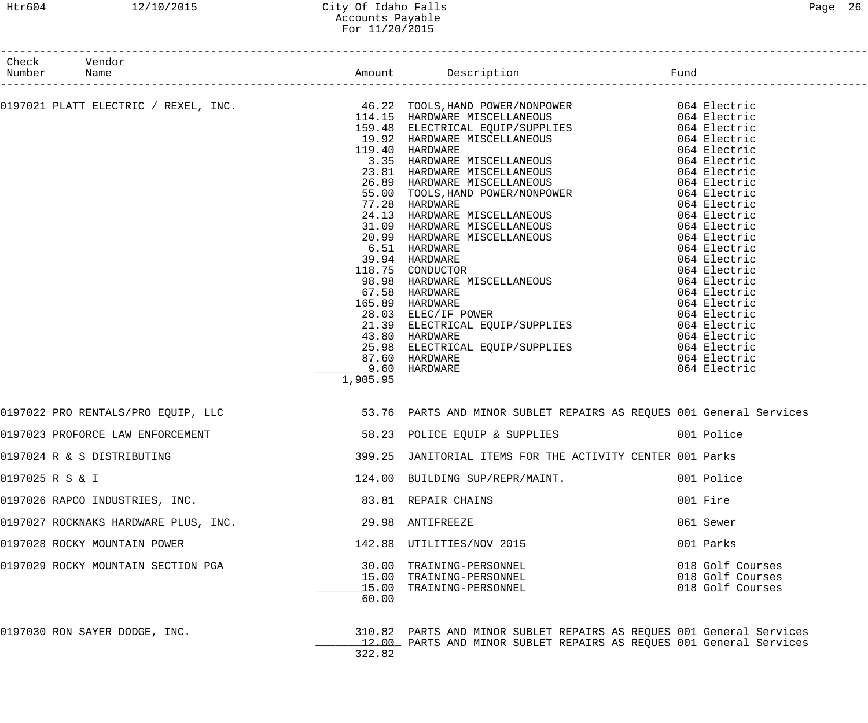# Htr604 12/10/2015 City Of Idaho Falls 26 Accounts Payable For 11/20/2015

| Number Name     | Check Vendor                         |                           |                                                                                                                                                                                                                                              |                                                          |
|-----------------|--------------------------------------|---------------------------|----------------------------------------------------------------------------------------------------------------------------------------------------------------------------------------------------------------------------------------------|----------------------------------------------------------|
|                 |                                      |                           |                                                                                                                                                                                                                                              |                                                          |
|                 |                                      |                           | 0197021 PLATT ELECTRIC / REXEL, INC.<br>114.15 HARDWARE MISCELLANEOUS 1064 Electric<br>159.48 ELECTRICAL EQUIP/SUPPLIES 064 Electric<br>159.48 ELECTRICAL EQUIP/SUPPLIES 064 Electric                                                        |                                                          |
|                 |                                      | 9.60 HARDWARE<br>1,905.95 | 159.48 ELECTRICAL EQUIP/SUPPLIES<br>19.48 ELECTRICAL EQUIP/SUPPLIES<br>19.48 ELECTRICAL EQUIP/SUPPLIES<br>19.40 HARDWARE MISCELLANEOUS<br>20.81 HARDWARE MISCELLANEOUS<br>26.89 HARDWARE MISCELLANEOUS<br>26.89 HARDWARE MISCELLANEOUS<br>26 | 064 Electric                                             |
|                 |                                      |                           | 0197022 PRO RENTALS/PRO EQUIP, LLC <b>1996 - 1997 - 1998 - 1998 - 1998 - 1998</b> - 1998 - 1998 - 1998 - 1<br>53.76 PARTS AND MINOR SUBLET REPAIRS AS REQUES 001 General Services                                                            |                                                          |
|                 |                                      |                           | 0197023 PROFORCE LAW ENFORCEMENT (2008) S8.23 POLICE EQUIP & SUPPLIES (2008) 001 Police                                                                                                                                                      |                                                          |
|                 | 0197024 R & S DISTRIBUTING           |                           | 399.25 JANITORIAL ITEMS FOR THE ACTIVITY CENTER 001 Parks                                                                                                                                                                                    |                                                          |
| 0197025 R S & I |                                      |                           | 124.00 BUILDING SUP/REPR/MAINT.                                                                                                                                                                                                              | 001 Police                                               |
|                 | 0197026 RAPCO INDUSTRIES, INC.       |                           | 83.81 REPAIR CHAINS                                                                                                                                                                                                                          | 001 Fire                                                 |
|                 | 0197027 ROCKNAKS HARDWARE PLUS, INC. |                           | 29.98 ANTIFREEZE                                                                                                                                                                                                                             | 061 Sewer                                                |
|                 | 0197028 ROCKY MOUNTAIN POWER         |                           | 142.88 UTILITIES/NOV 2015                                                                                                                                                                                                                    | 001 Parks                                                |
|                 | 0197029 ROCKY MOUNTAIN SECTION PGA   | 60.00                     | 30.00 TRAINING-PERSONNEL<br>15.00 TRAINING-PERSONNEL<br>15.00 TRAINING-PERSONNEL                                                                                                                                                             | 018 Golf Courses<br>018 Golf Courses<br>018 Golf Courses |

0197030 RON SAYER DODGE, INC. 310.82 PARTS AND MINOR SUBLET REPAIRS AS REQUES 001 General Services 12.00 PARTS AND MINOR SUBLET REPAIRS AS REQUES 001 General Services 322.82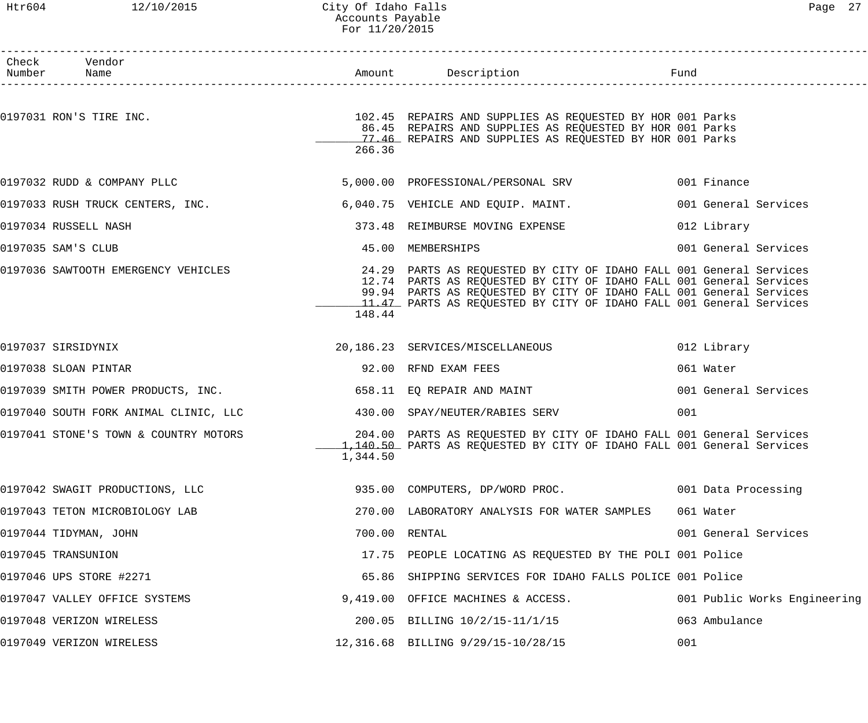#### Htr604 12/10/2015 City Of Idaho Falls Page 27 Accounts Payable For 11/20/2015

| Check Vendor<br>Number Name           |          |                                                                                                                                                                                                                                                                                          |                              |
|---------------------------------------|----------|------------------------------------------------------------------------------------------------------------------------------------------------------------------------------------------------------------------------------------------------------------------------------------------|------------------------------|
| 0197031 RON'S TIRE INC.               | 266.36   | 102.45 REPAIRS AND SUPPLIES AS REQUESTED BY HOR 001 Parks<br>86.45 REPAIRS AND SUPPLIES AS REQUESTED BY HOR 001 Parks<br>17.46 REPAIRS AND SUPPLIES AS REQUESTED BY HOR 001 Parks                                                                                                        |                              |
| 0197032 RUDD & COMPANY PLLC           |          | 5,000.00 PROFESSIONAL/PERSONAL SRV 001 Finance                                                                                                                                                                                                                                           |                              |
| 0197033 RUSH TRUCK CENTERS, INC.      |          | 6,040.75 VEHICLE AND EQUIP. MAINT.                                                                                                                                                                                                                                                       | 001 General Services         |
| 0197034 RUSSELL NASH                  |          | 373.48 REIMBURSE MOVING EXPENSE                                                                                                                                                                                                                                                          | 012 Library                  |
| 0197035 SAM'S CLUB                    |          | 45.00 MEMBERSHIPS                                                                                                                                                                                                                                                                        | 001 General Services         |
| 0197036 SAWTOOTH EMERGENCY VEHICLES   | 148.44   | 24.29 PARTS AS REQUESTED BY CITY OF IDAHO FALL 001 General Services<br>12.74 PARTS AS REQUESTED BY CITY OF IDAHO FALL 001 General Services<br>99.94 PARTS AS REQUESTED BY CITY OF IDAHO FALL 001 General Services<br>11.47 PARTS AS REQUESTED BY CITY OF IDAHO FALL 001 General Services |                              |
| 0197037 SIRSIDYNIX                    |          | 20,186.23 SERVICES/MISCELLANEOUS                                                                                                                                                                                                                                                         | 012 Library                  |
| 0197038 SLOAN PINTAR                  |          | 92.00 RFND EXAM FEES                                                                                                                                                                                                                                                                     | 061 Water                    |
| 0197039 SMITH POWER PRODUCTS, INC.    |          | 658.11 EQ REPAIR AND MAINT                                                                                                                                                                                                                                                               | 001 General Services         |
| 0197040 SOUTH FORK ANIMAL CLINIC, LLC |          | 430.00 SPAY/NEUTER/RABIES SERV                                                                                                                                                                                                                                                           | 001                          |
| 0197041 STONE'S TOWN & COUNTRY MOTORS | 1,344.50 | 204.00 PARTS AS REQUESTED BY CITY OF IDAHO FALL 001 General Services<br>1,140.50 PARTS AS REQUESTED BY CITY OF IDAHO FALL 001 General Services                                                                                                                                           |                              |
| 0197042 SWAGIT PRODUCTIONS, LLC       |          | 935.00 COMPUTERS, DP/WORD PROC.                                                                                                                                                                                                                                                          | 001 Data Processing          |
| 0197043 TETON MICROBIOLOGY LAB        |          | 270.00 LABORATORY ANALYSIS FOR WATER SAMPLES                                                                                                                                                                                                                                             | 061 Water                    |
| 0197044 TIDYMAN, JOHN                 |          | 700.00 RENTAL                                                                                                                                                                                                                                                                            | 001 General Services         |
| 0197045 TRANSUNION                    |          | 17.75 PEOPLE LOCATING AS REQUESTED BY THE POLI 001 Police                                                                                                                                                                                                                                |                              |
| 0197046 UPS STORE #2271               |          | 65.86 SHIPPING SERVICES FOR IDAHO FALLS POLICE 001 Police                                                                                                                                                                                                                                |                              |
| 0197047 VALLEY OFFICE SYSTEMS         |          | 9,419.00 OFFICE MACHINES & ACCESS.                                                                                                                                                                                                                                                       | 001 Public Works Engineering |
| 0197048 VERIZON WIRELESS              |          | 200.05 BILLING 10/2/15-11/1/15                                                                                                                                                                                                                                                           | 063 Ambulance                |
| 0197049 VERIZON WIRELESS              |          | 12,316.68 BILLING 9/29/15-10/28/15                                                                                                                                                                                                                                                       | 001                          |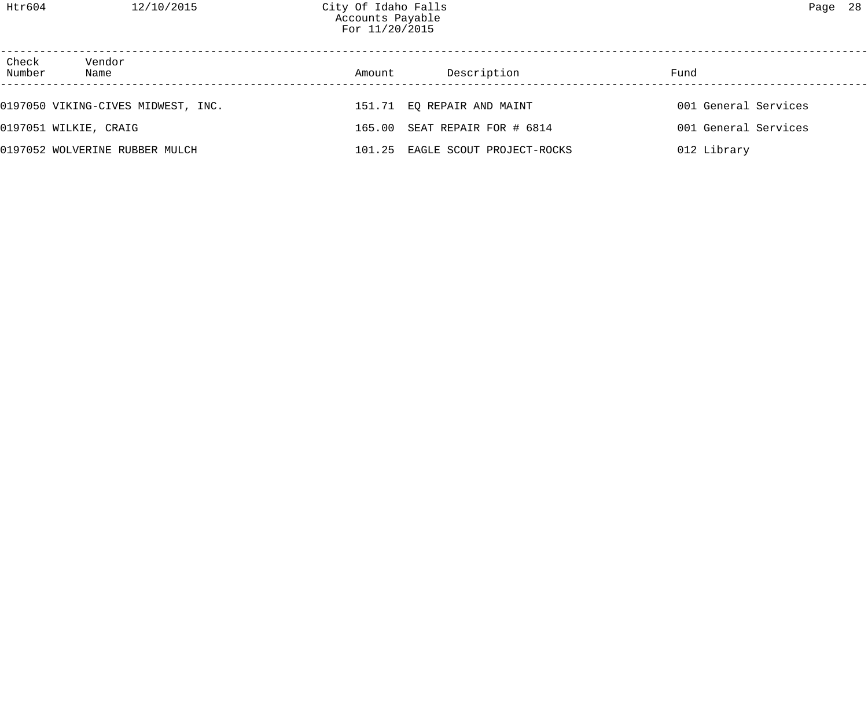| Check<br>Number | Vendor<br>Name                     | Amount | Description                      | Fund                 |
|-----------------|------------------------------------|--------|----------------------------------|----------------------|
|                 | 0197050 VIKING-CIVES MIDWEST, INC. |        | 151.71 EQ REPAIR AND MAINT       | 001 General Services |
|                 | 0197051 WILKIE, CRAIG              |        | 165.00 SEAT REPAIR FOR # 6814    | 001 General Services |
|                 | 0197052 WOLVERINE RUBBER MULCH     |        | 101.25 EAGLE SCOUT PROJECT-ROCKS | 012 Library          |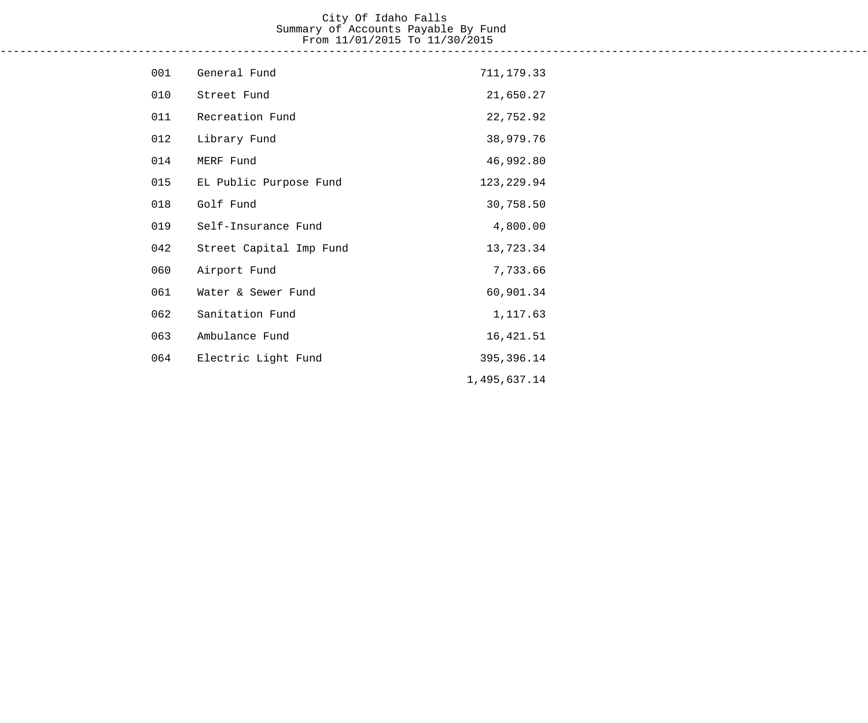#### City Of Idaho Falls Summary of Accounts Payable By Fund From 11/01/2015 To 11/30/2015 ------------------------------------------------------------------------------------------------------------------------------------

| 001 | General Fund            | 711, 179.33  |
|-----|-------------------------|--------------|
| 010 | Street Fund             | 21,650.27    |
| 011 | Recreation Fund         | 22,752.92    |
| 012 | Library Fund            | 38,979.76    |
| 014 | MERF Fund               | 46,992.80    |
| 015 | EL Public Purpose Fund  | 123, 229.94  |
| 018 | Golf Fund               | 30,758.50    |
| 019 | Self-Insurance Fund     | 4,800.00     |
| 042 | Street Capital Imp Fund | 13,723.34    |
| 060 | Airport Fund            | 7,733.66     |
| 061 | Water & Sewer Fund      | 60,901.34    |
| 062 | Sanitation Fund         | 1,117.63     |
| 063 | Ambulance Fund          | 16, 421.51   |
| 064 | Electric Light Fund     | 395, 396.14  |
|     |                         | 1,495,637.14 |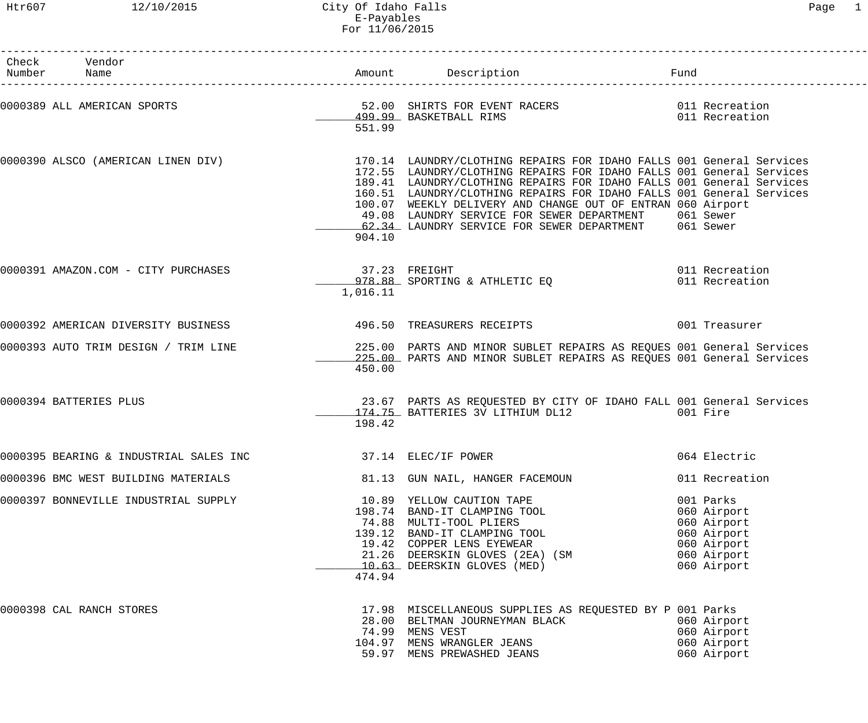Htr607 12/10/2015 City Of Idaho Falls Page 1 E-Payables For 11/06/2015

| Check Vendor<br>Number Name            |                           | Amount Description <b>Example 1</b> Fund                                                                                                                                                                                                                                                                                                                                                                                                                                                                       |                                                                                                     |
|----------------------------------------|---------------------------|----------------------------------------------------------------------------------------------------------------------------------------------------------------------------------------------------------------------------------------------------------------------------------------------------------------------------------------------------------------------------------------------------------------------------------------------------------------------------------------------------------------|-----------------------------------------------------------------------------------------------------|
| 0000389 ALL AMERICAN SPORTS            | 551.99                    | 52.00 SHIRTS FOR EVENT RACERS<br>499.99 BASKETBALL RIMS                                                                                                                                                                                                                                                                                                                                                                                                                                                        | 011 Recreation<br>011 Recreation                                                                    |
|                                        | 904.10                    | 0000390 ALSCO (AMERICAN LINEN DIV) 170.14 LAUNDRY/CLOTHING REPAIRS FOR IDAHO FALLS 001 General Services<br>172.55 LAUNDRY/CLOTHING REPAIRS FOR IDAHO FALLS 001 General Services<br>189.41 LAUNDRY/CLOTHING REPAIRS FOR IDAHO FALLS 001 General Services<br>160.51 LAUNDRY/CLOTHING REPAIRS FOR IDAHO FALLS 001 General Services<br>100.07 WEEKLY DELIVERY AND CHANGE OUT OF ENTRAN 060 Airport<br>49.08 LAUNDRY SERVICE FOR SEWER DEPARTMENT 061 Sewer<br>62.34 LAUNDRY SERVICE FOR SEWER DEPARTMENT 061 Sewer |                                                                                                     |
| 0000391 AMAZON.COM - CITY PURCHASES    | 37.23 FREIGHT<br>1,016.11 | 978.88 SPORTING & ATHLETIC EQ                                                                                                                                                                                                                                                                                                                                                                                                                                                                                  | 011 Recreation<br>011 Recreation                                                                    |
| 0000392 AMERICAN DIVERSITY BUSINESS    |                           | 496.50 TREASURERS RECEIPTS                                                                                                                                                                                                                                                                                                                                                                                                                                                                                     | 001 Treasurer                                                                                       |
| 0000393 AUTO TRIM DESIGN / TRIM LINE   | 450.00                    | 225.00 PARTS AND MINOR SUBLET REPAIRS AS REQUES 001 General Services<br>225.00 PARTS AND MINOR SUBLET REPAIRS AS REQUES 001 General Services                                                                                                                                                                                                                                                                                                                                                                   |                                                                                                     |
| 0000394 BATTERIES PLUS                 | 198.42                    | 23.67 PARTS AS REQUESTED BY CITY OF IDAHO FALL 001 General Services<br>174.75 BATTERIES 3V LITHIUM DL12                                                                                                                                                                                                                                                                                                                                                                                                        | 001 Fire                                                                                            |
| 0000395 BEARING & INDUSTRIAL SALES INC | 37.14 ELEC/IF POWER       |                                                                                                                                                                                                                                                                                                                                                                                                                                                                                                                | 064 Electric                                                                                        |
| 0000396 BMC WEST BUILDING MATERIALS    |                           | 81.13 GUN NAIL, HANGER FACEMOUN                                                                                                                                                                                                                                                                                                                                                                                                                                                                                | 011 Recreation                                                                                      |
| 0000397 BONNEVILLE INDUSTRIAL SUPPLY   | 474.94                    | 10.89 YELLOW CAUTION TAPE<br>198.74 BAND-IT CLAMPING TOOL<br>74.88 MULTI-TOOL PLIERS<br>139.12 BAND-IT CLAMPING TOOL<br>19.42 COPPER LENS EYEWEAR<br>19.42 COPPER LENS EYEWEAR<br>21.26 DEERSKIN GLOVES (2EA) (SM<br>10.63 DEERSKIN GLOVES (MED)                                                                                                                                                                                                                                                               | 001 Parks<br>060 Airport<br>060 Airport<br>060 Airport<br>060 Airport<br>060 Airport<br>060 Airport |
| 0000398 CAL RANCH STORES               |                           | 17.98 MISCELLANEOUS SUPPLIES AS REQUESTED BY P 001 Parks<br>28.00 BELTMAN JOURNEYMAN BLACK<br>74.99 MENS VEST<br>104.97 MENS WRANGLER JEANS<br>59.97 MENS PREWASHED JEANS                                                                                                                                                                                                                                                                                                                                      | 060 Airport<br>060 Airport<br>060 Airport<br>060 Airport                                            |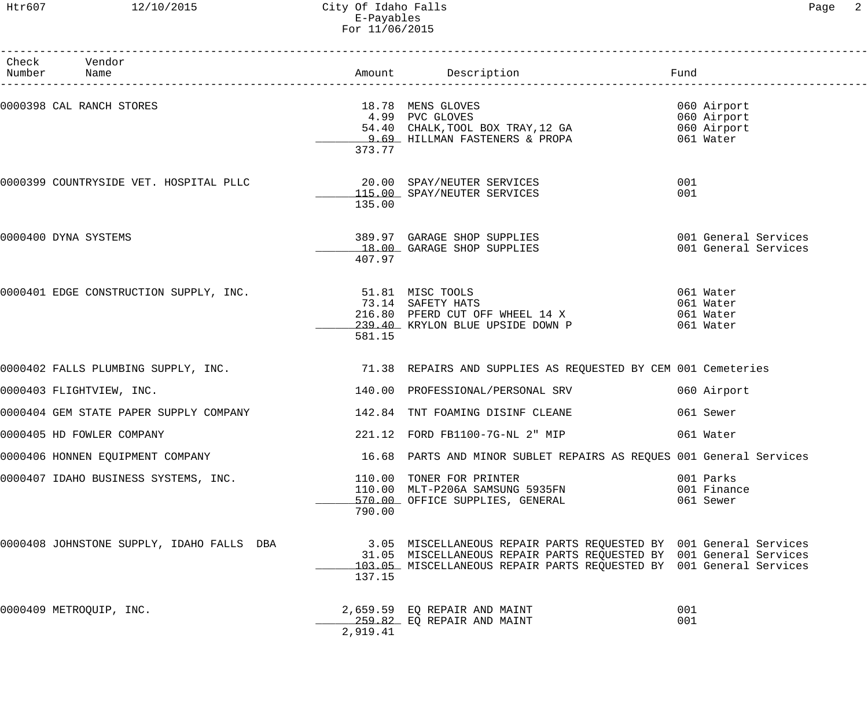#### Htr607 12/10/2015 City Of Idaho Falls Page 2 E-Payables For 11/06/2015

| Check Vendor<br>Number Name               |                            |                                                                                                                                                                                                                | Fund                                                   |
|-------------------------------------------|----------------------------|----------------------------------------------------------------------------------------------------------------------------------------------------------------------------------------------------------------|--------------------------------------------------------|
| 0000398 CAL RANCH STORES                  | 373.77                     | 18.78 MENS GLOVES<br>4.99 PVC GLOVES<br>54.40 CHALK, TOOL BOX TRAY, 12 GA<br>9.69 HILLMAN FASTENERS & PROPA                                                                                                    | 060 Airport<br>060 Airport<br>060 Airport<br>061 Water |
|                                           | 135.00                     | 115.00 SPAY/NEUTER SERVICES                                                                                                                                                                                    | 001<br>001                                             |
| 0000400 DYNA SYSTEMS                      | 407.97                     | 389.97 GARAGE SHOP SUPPLIES<br>18.00 GARAGE SHOP SUPPLIES                                                                                                                                                      | 001 General Services<br>001 General Services           |
| 0000401 EDGE CONSTRUCTION SUPPLY, INC.    | 51.81 MISC TOOLS<br>581.15 | 73.14 SAFETY HATS<br>216.80 PFERD CUT OFF WHEEL 14 X<br>239.40 KRYLON BLUE UPSIDE DOWN P                                                                                                                       | 061 Water<br>061 Water<br>061 Water<br>061 Water       |
|                                           |                            |                                                                                                                                                                                                                |                                                        |
| 0000403 FLIGHTVIEW, INC.                  |                            | 140.00 PROFESSIONAL/PERSONAL SRV                                                                                                                                                                               | 060 Airport                                            |
| 0000404 GEM STATE PAPER SUPPLY COMPANY    |                            | 142.84 TNT FOAMING DISINF CLEANE                                                                                                                                                                               | 061 Sewer                                              |
| 0000405 HD FOWLER COMPANY                 |                            | 221.12 FORD FB1100-7G-NL 2" MIP                                                                                                                                                                                | 061 Water                                              |
| 0000406 HONNEN EQUIPMENT COMPANY          |                            | 16.68 PARTS AND MINOR SUBLET REPAIRS AS REQUES 001 General Services                                                                                                                                            |                                                        |
| 0000407 IDAHO BUSINESS SYSTEMS, INC.      | 790.00                     | 110.00 TONER FOR PRINTER<br>110.00 MLT-P206A SAMSUNG 5935FN<br>570.00 OFFICE SUPPLIES, GENERAL                                                                                                                 | 001 Parks<br>001 Finance<br>061 Sewer                  |
| 0000408 JOHNSTONE SUPPLY, IDAHO FALLS DBA | 137.15                     | 3.05 MISCELLANEOUS REPAIR PARTS REQUESTED BY 001 General Services<br>31.05 MISCELLANEOUS REPAIR PARTS REQUESTED BY 001 General Services<br>103.05 MISCELLANEOUS REPAIR PARTS REQUESTED BY 001 General Services |                                                        |
| 0000409 METROQUIP, INC.                   | 2,919.41                   | 2,659.59 EQ REPAIR AND MAINT<br>259.82 EQ REPAIR AND MAINT                                                                                                                                                     | 001<br>001                                             |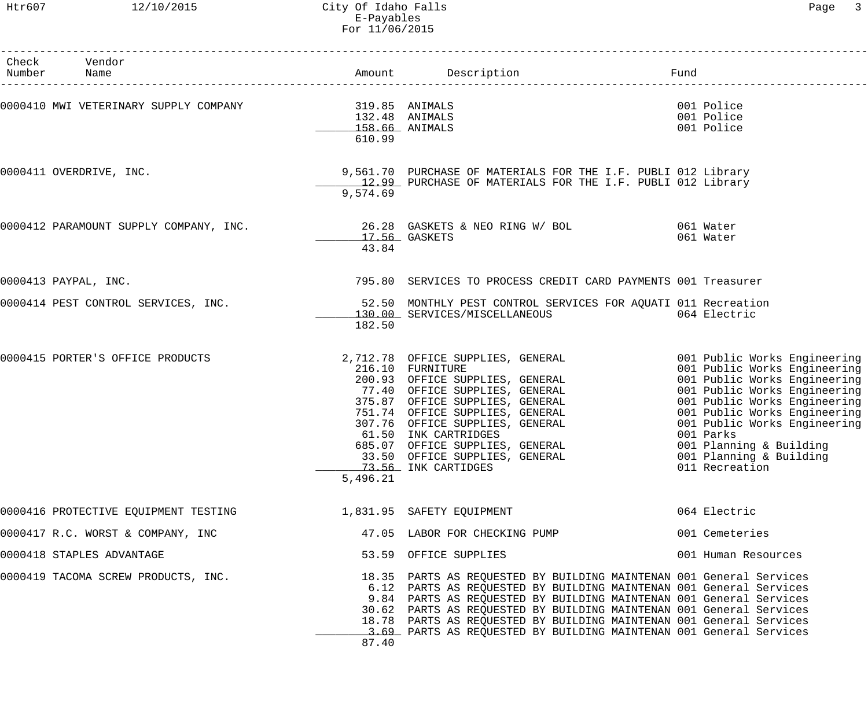Htr607 12/10/2015 City Of Idaho Falls Page 3 E-Payables For 11/06/2015

| Check Vendor<br>Number Name                              |                                            |                                                                                                                                                                                                                                                                                                                                                                                                                                     |                                                                                   |
|----------------------------------------------------------|--------------------------------------------|-------------------------------------------------------------------------------------------------------------------------------------------------------------------------------------------------------------------------------------------------------------------------------------------------------------------------------------------------------------------------------------------------------------------------------------|-----------------------------------------------------------------------------------|
| 0000410 MWI VETERINARY SUPPLY COMPANY 1999 19.85 ANIMALS | 132.48 ANIMALS<br>158.66 ANIMALS<br>610.99 |                                                                                                                                                                                                                                                                                                                                                                                                                                     | 001 Police<br>001 Police<br>001 Police                                            |
| 0000411 OVERDRIVE, INC.                                  | 9,574.69                                   | 9,561.70 PURCHASE OF MATERIALS FOR THE I.F. PUBLI 012 Library<br>12.99 PURCHASE OF MATERIALS FOR THE I.F. PUBLI 012 Library                                                                                                                                                                                                                                                                                                         |                                                                                   |
|                                                          | 17.56 GASKETS<br>43.84                     | 0000412 PARAMOUNT SUPPLY COMPANY, INC. 26.28 GASKETS & NEO RING W/ BOL 361 Mater                                                                                                                                                                                                                                                                                                                                                    | 061 Water                                                                         |
| 0000413 PAYPAL, INC.                                     |                                            | 795.80 SERVICES TO PROCESS CREDIT CARD PAYMENTS 001 Treasurer                                                                                                                                                                                                                                                                                                                                                                       |                                                                                   |
| 0000414 PEST CONTROL SERVICES, INC.                      | 182.50                                     | 52.50 MONTHLY PEST CONTROL SERVICES FOR AQUATI 011 Recreation<br>130.00 SERVICES/MISCELLANEOUS 064 Electric                                                                                                                                                                                                                                                                                                                         |                                                                                   |
| 0000415 PORTER'S OFFICE PRODUCTS                         | 5,496.21                                   | 2,712.78 OFFICE SUPPLIES, GENERAL 001 Public Works Engineering<br>200.93 OFFICE SUPPLIES, GENERAL 001 Public Works Engineering<br>77.40 OFFICE SUPPLIES, GENERAL 001 Public Works Engineering<br>375.87 OFFICE SUPPLIES, GENERAL 001<br>61.50 INK CARTRIDGES<br>61.50 INK CARTRIDGES<br>685.07 OFFICE SUPPLIES, GENERAL<br>33.50 OFFICE SUPPLIES CENERAL<br>33.50 OFFICE SUPPLIES, GENERAL<br>73.56 INK CARTIDGES                   | 001 Parks<br>001 Planning & Building<br>001 Planning & Building<br>011 Recreation |
| 0000416 PROTECTIVE EQUIPMENT TESTING                     |                                            | 1,831.95 SAFETY EQUIPMENT                                                                                                                                                                                                                                                                                                                                                                                                           | 064 Electric                                                                      |
| 0000417 R.C. WORST & COMPANY, INC                        |                                            | 47.05 LABOR FOR CHECKING PUMP                                                                                                                                                                                                                                                                                                                                                                                                       | 001 Cemeteries                                                                    |
| 0000418 STAPLES ADVANTAGE                                |                                            | 53.59 OFFICE SUPPLIES                                                                                                                                                                                                                                                                                                                                                                                                               | 001 Human Resources                                                               |
| 0000419 TACOMA SCREW PRODUCTS, INC.                      | 87.40                                      | 18.35 PARTS AS REQUESTED BY BUILDING MAINTENAN 001 General Services<br>6.12 PARTS AS REQUESTED BY BUILDING MAINTENAN 001 General Services<br>9.84 PARTS AS REQUESTED BY BUILDING MAINTENAN 001 General Services<br>30.62 PARTS AS REQUESTED BY BUILDING MAINTENAN 001 General Services<br>18.78 PARTS AS REQUESTED BY BUILDING MAINTENAN 001 General Services<br>3.69 PARTS AS REQUESTED BY BUILDING MAINTENAN 001 General Services |                                                                                   |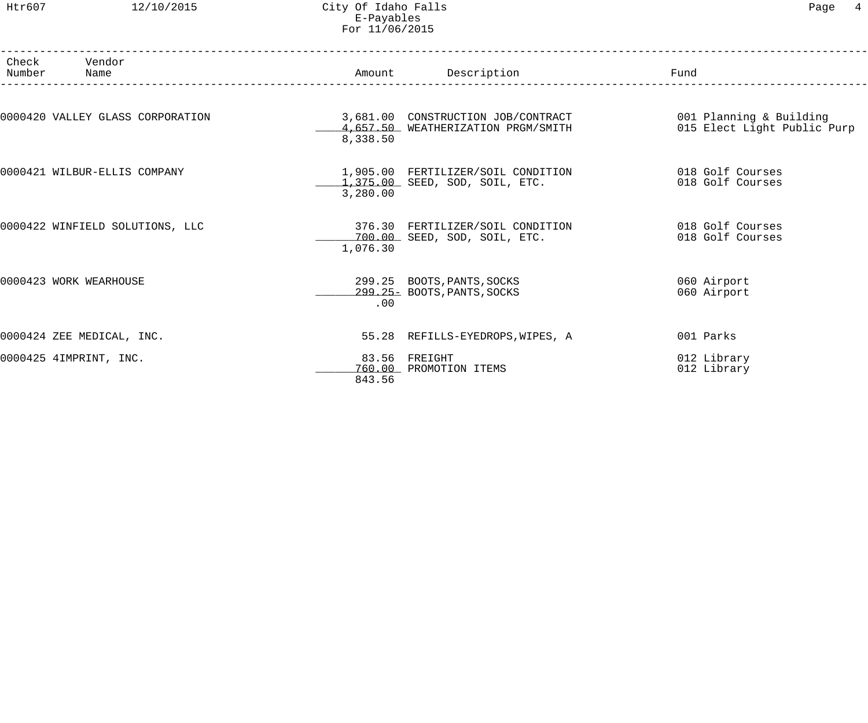Htr607 12/10/2015 City Of Idaho Falls Page 4 E-Payables For 11/06/2015

| Number | Check Vendor<br>Name<br>________________________________ |          | Amount Description                                                       | Fund                                                   |
|--------|----------------------------------------------------------|----------|--------------------------------------------------------------------------|--------------------------------------------------------|
|        | 0000420 VALLEY GLASS CORPORATION                         | 8,338.50 | 3,681.00 CONSTRUCTION JOB/CONTRACT<br>4,657.50 WEATHERIZATION PRGM/SMITH | 001 Planning & Building<br>015 Elect Light Public Purp |
|        | 0000421 WILBUR-ELLIS COMPANY                             | 3,280.00 | 1,905.00 FERTILIZER/SOIL CONDITION<br>1,375.00 SEED, SOD, SOIL, ETC.     | 018 Golf Courses<br>018 Golf Courses                   |
|        | 0000422 WINFIELD SOLUTIONS, LLC                          | 1,076.30 | 376.30 FERTILIZER/SOIL CONDITION<br>700.00 SEED, SOD, SOIL, ETC.         | 018 Golf Courses<br>018 Golf Courses                   |
|        | 0000423 WORK WEARHOUSE                                   | .00      | 299.25 BOOTS, PANTS, SOCKS<br>299.25- BOOTS, PANTS, SOCKS                | 060 Airport<br>060 Airport                             |
|        | 0000424 ZEE MEDICAL, INC.                                |          | 55.28 REFILLS-EYEDROPS, WIPES, A                                         | 001 Parks                                              |
|        | 0000425 4IMPRINT, INC.                                   | 843.56   | 83.56 FREIGHT<br>760.00 PROMOTION ITEMS                                  | 012 Library<br>012 Library                             |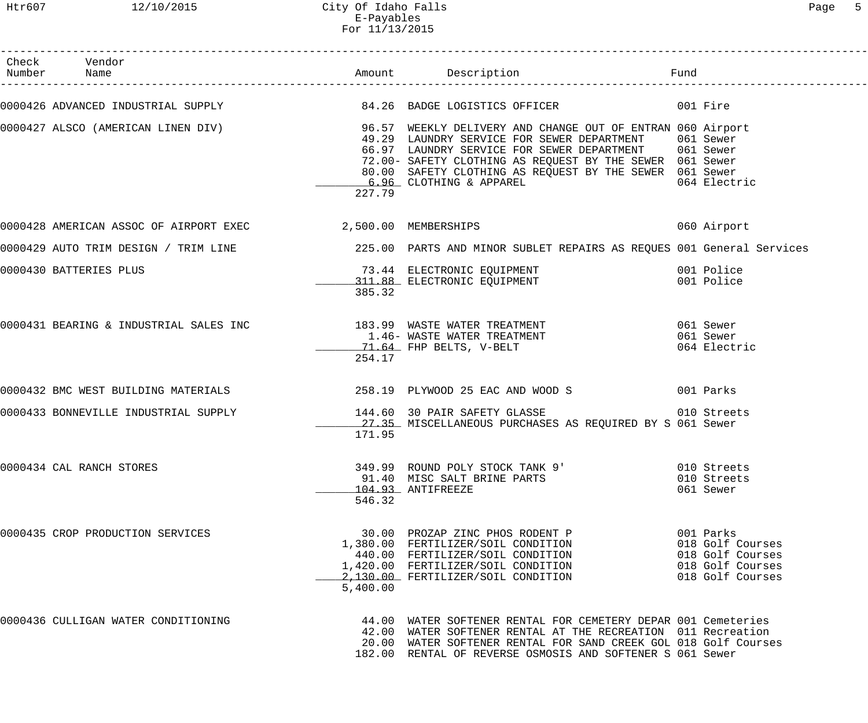| Check Vendor<br>Number Name                                 |          |                                                                                                                                                                                                                                                                                                                                                                 |                                                                                           |
|-------------------------------------------------------------|----------|-----------------------------------------------------------------------------------------------------------------------------------------------------------------------------------------------------------------------------------------------------------------------------------------------------------------------------------------------------------------|-------------------------------------------------------------------------------------------|
|                                                             |          | 0000426 ADVANCED INDUSTRIAL SUPPLY 64.26 BADGE LOGISTICS OFFICER 001 Fire                                                                                                                                                                                                                                                                                       |                                                                                           |
|                                                             | 227.79   | 0000427 ALSCO (AMERICAN LINEN DIV) 36.57 WEEKLY DELIVERY AND CHANGE OUT OF ENTRAN 060 Airport<br>49.29 LAUNDRY SERVICE FOR SEWER DEPARTMENT 061 Sewer<br>66.97 LAUNDRY SERVICE FOR SEWER DEPARTMENT 061 Sewer<br>72.00- SAFETY CLOTHING AS REQUEST BY THE SEWER 061 Sewer<br>80.00 SAFETY CLOTHING AS REQUEST BY THE SEWER 061 Sewer<br>6.96 CLOTHING & APPAREL | 064 Electric                                                                              |
| 0000428 AMERICAN ASSOC OF AIRPORT EXEC 2,500.00 MEMBERSHIPS |          | 060 Airport                                                                                                                                                                                                                                                                                                                                                     |                                                                                           |
|                                                             |          | 0000429 AUTO TRIM DESIGN / TRIM LINE $_{225.00}$ PARTS AND MINOR SUBLET REPAIRS AS REQUES 001 General Services                                                                                                                                                                                                                                                  |                                                                                           |
| 0000430 BATTERIES PLUS                                      | 385.32   | 73.44 ELECTRONIC EQUIPMENT 001 Police<br>311.88 ELECTRONIC EQUIPMENT 001 Police                                                                                                                                                                                                                                                                                 |                                                                                           |
|                                                             | 254.17   | 0000431 BEARING & INDUSTRIAL SALES INC 183.99 WASTE WATER TREATMENT 661 Sewer<br>1.46 – WASTE WATER TREATMENT 661 Sewer<br>21.64 FHP BELTS, V-BELT                                                                                                                                                                                                              |                                                                                           |
|                                                             |          | 0000432 BMC WEST BUILDING MATERIALS 258.19 PLYWOOD 25 EAC AND WOOD S                                                                                                                                                                                                                                                                                            |                                                                                           |
|                                                             | 171.95   | 0000433 BONNEVILLE INDUSTRIAL SUPPLY 144.60 30 PAIR SAFETY GLASSE<br>27.35 MISCELLANEOUS PURCHASES AS REQUIRED BY S 061 Sewer                                                                                                                                                                                                                                   | 010 Streets                                                                               |
| 0000434 CAL RANCH STORES                                    | 546.32   | 349.99 ROUND POLY STOCK TANK 9'<br>91.40 MISC SALT BRINE PARTS<br>104.93 ANTIFREEZE                                                                                                                                                                                                                                                                             | 010 Streets<br>010 Streets<br>061 Sewer                                                   |
| 0000435 CROP PRODUCTION SERVICES                            | 5,400.00 | 30.00 PROZAP ZINC PHOS RODENT P<br>1,380.00 FERTILIZER/SOIL CONDITION<br>440.00 FERTILIZER/SOIL CONDITION<br>1,420.00 FERTILIZER/SOIL CONDITION<br>2,130.00 FERTILIZER/SOIL CONDITION                                                                                                                                                                           | 001 Parks<br>018 Golf Courses<br>018 Golf Courses<br>018 Golf Courses<br>018 Golf Courses |
| 0000436 CULLIGAN WATER CONDITIONING                         |          | 44.00 WATER SOFTENER RENTAL FOR CEMETERY DEPAR 001 Cemeteries<br>42.00 WATER SOFTENER RENTAL AT THE RECREATION 011 Recreation<br>20.00 WATER SOFTENER RENTAL FOR SAND CREEK GOL 018 Golf Courses<br>182.00 RENTAL OF REVERSE OSMOSIS AND SOFTENER S 061 Sewer                                                                                                   |                                                                                           |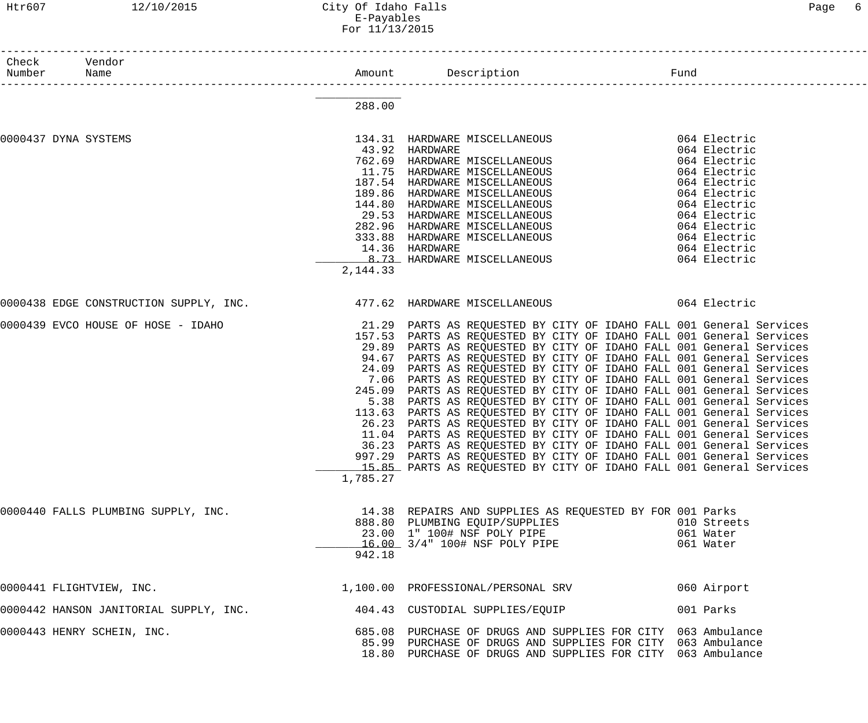#### Htr607 12/10/2015 City Of Idaho Falls Page 6 E-Payables For 11/13/2015

| Check<br>Number      | Vendor<br>Name                                                                   | _____________________________ |                                                                                                                                      | Fund |                          |
|----------------------|----------------------------------------------------------------------------------|-------------------------------|--------------------------------------------------------------------------------------------------------------------------------------|------|--------------------------|
|                      |                                                                                  | 288.00                        |                                                                                                                                      |      |                          |
| 0000437 DYNA SYSTEMS |                                                                                  |                               | 134.31 HARDWARE MISCELLANEOUS                                                                                                        |      | 064 Electric             |
|                      |                                                                                  |                               |                                                                                                                                      |      | 064 Electric             |
|                      |                                                                                  |                               | 43.92  HARDWARE<br>762.69  HARDWARE MISCELLANEOUS                                                                                    |      | 064 Electric             |
|                      |                                                                                  |                               | 11.75 HARDWARE MISCELLANEOUS                                                                                                         |      | 064 Electric             |
|                      |                                                                                  |                               | 187.54 HARDWARE MISCELLANEOUS                                                                                                        |      | 064 Electric             |
|                      |                                                                                  | 189.86                        | HARDWARE MISCELLANEOUS                                                                                                               |      | 064 Electric             |
|                      |                                                                                  |                               | 144.80 HARDWARE MISCELLANEOUS                                                                                                        |      | 064 Electric             |
|                      |                                                                                  |                               | 29.53 HARDWARE MISCELLANEOUS                                                                                                         |      | 064 Electric             |
|                      |                                                                                  |                               | 282.96 HARDWARE MISCELLANEOUS                                                                                                        |      | 064 Electric             |
|                      |                                                                                  |                               |                                                                                                                                      |      | 064 Electric             |
|                      |                                                                                  |                               | 333.88 HARDWARE MISCELLANEOUS<br>14.36 HARDWARE<br><u>8.73</u> HARDWARE MISCELLANEOUS                                                |      | 064 Electric             |
|                      |                                                                                  | 2, 144.33                     |                                                                                                                                      |      | 064 Electric             |
|                      |                                                                                  |                               |                                                                                                                                      |      |                          |
|                      | 0000438 EDGE CONSTRUCTION SUPPLY, INC. 477.62 HARDWARE MISCELLANEOUS 64 Electric |                               |                                                                                                                                      |      |                          |
|                      | 0000439 EVCO HOUSE OF HOSE - IDAHO                                               |                               | 21.29 PARTS AS REQUESTED BY CITY OF IDAHO FALL 001 General Services                                                                  |      |                          |
|                      |                                                                                  |                               | 157.53 PARTS AS REQUESTED BY CITY OF IDAHO FALL 001 General Services                                                                 |      |                          |
|                      |                                                                                  |                               | 29.89 PARTS AS REQUESTED BY CITY OF IDAHO FALL 001 General Services                                                                  |      |                          |
|                      |                                                                                  | 94.67                         | PARTS AS REQUESTED BY CITY OF IDAHO FALL 001 General Services                                                                        |      |                          |
|                      |                                                                                  | 24.09                         | PARTS AS REQUESTED BY CITY OF IDAHO FALL 001 General Services                                                                        |      |                          |
|                      |                                                                                  | 7.06                          | PARTS AS REQUESTED BY CITY OF IDAHO FALL 001 General Services                                                                        |      |                          |
|                      |                                                                                  | 245.09                        | PARTS AS REQUESTED BY CITY OF IDAHO FALL 001 General Services                                                                        |      |                          |
|                      |                                                                                  | 5.38                          | PARTS AS REQUESTED BY CITY OF IDAHO FALL 001 General Services                                                                        |      |                          |
|                      |                                                                                  |                               | 113.63 PARTS AS REQUESTED BY CITY OF IDAHO FALL 001 General Services                                                                 |      |                          |
|                      |                                                                                  | 26.23                         | PARTS AS REQUESTED BY CITY OF IDAHO FALL 001 General Services<br>11.04 PARTS AS REQUESTED BY CITY OF IDAHO FALL 001 General Services |      |                          |
|                      |                                                                                  |                               | 36.23 PARTS AS REQUESTED BY CITY OF IDAHO FALL 001 General Services                                                                  |      |                          |
|                      |                                                                                  |                               | 997.29 PARTS AS REQUESTED BY CITY OF IDAHO FALL 001 General Services                                                                 |      |                          |
|                      |                                                                                  |                               | 15.85 PARTS AS REQUESTED BY CITY OF IDAHO FALL 001 General Services                                                                  |      |                          |
|                      |                                                                                  | 1,785.27                      |                                                                                                                                      |      |                          |
|                      |                                                                                  |                               |                                                                                                                                      |      |                          |
|                      | 0000440 FALLS PLUMBING SUPPLY, INC.                                              |                               | 14.38 REPAIRS AND SUPPLIES AS REQUESTED BY FOR 001 Parks                                                                             |      |                          |
|                      |                                                                                  |                               | 888.80 PLUMBING EQUIP/SUPPLIES<br>23.00 1" 100# NSF POLY PIPE                                                                        |      | 010 Streets<br>061 Water |
|                      |                                                                                  |                               | 16.00 3/4" 100# NSF POLY PIPE                                                                                                        |      | 061 Water                |
|                      |                                                                                  | 942.18                        |                                                                                                                                      |      |                          |
|                      |                                                                                  |                               |                                                                                                                                      |      |                          |
|                      | 0000441 FLIGHTVIEW, INC.                                                         |                               | 1,100.00 PROFESSIONAL/PERSONAL SRV                                                                                                   |      | 060 Airport              |
|                      | 0000442 HANSON JANITORIAL SUPPLY, INC.                                           |                               | 404.43 CUSTODIAL SUPPLIES/EQUIP                                                                                                      |      | 001 Parks                |
|                      | 0000443 HENRY SCHEIN, INC.                                                       |                               | 685.08 PURCHASE OF DRUGS AND SUPPLIES FOR CITY 063 Ambulance                                                                         |      |                          |
|                      |                                                                                  |                               | 85.99 PURCHASE OF DRUGS AND SUPPLIES FOR CITY 063 Ambulance                                                                          |      |                          |
|                      |                                                                                  |                               | 18.80 PURCHASE OF DRUGS AND SUPPLIES FOR CITY 063 Ambulance                                                                          |      |                          |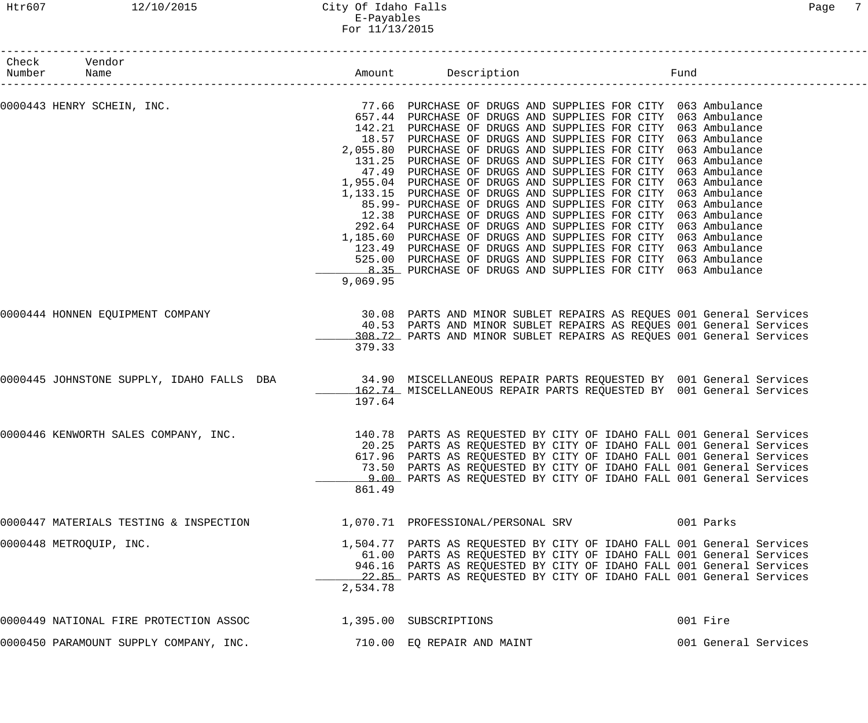## Htr607 12/10/2015 City Of Idaho Falls Page 7 E-Payables For 11/13/2015

| Check<br>Number | Vendor                                                                                                       |          |                                                                                                                                                                                                                                                                                                                                                                                                                                                                                                                                                                                                                                                                                                                                                                                                                                                                                                                                                                                                 | Fund |                                                                                                                                                                                                                                                                                                                                                                  |
|-----------------|--------------------------------------------------------------------------------------------------------------|----------|-------------------------------------------------------------------------------------------------------------------------------------------------------------------------------------------------------------------------------------------------------------------------------------------------------------------------------------------------------------------------------------------------------------------------------------------------------------------------------------------------------------------------------------------------------------------------------------------------------------------------------------------------------------------------------------------------------------------------------------------------------------------------------------------------------------------------------------------------------------------------------------------------------------------------------------------------------------------------------------------------|------|------------------------------------------------------------------------------------------------------------------------------------------------------------------------------------------------------------------------------------------------------------------------------------------------------------------------------------------------------------------|
|                 | 0000443 HENRY SCHEIN, INC. THE SAME SERVICE SERVICE SERVICES OF DRUGS AND SUPPLIES FOR CITY 063 Ambulance    | 9,069.95 | 657.44 PURCHASE OF DRUGS AND SUPPLIES FOR CITY 063 Ambulance<br>142.21 PURCHASE OF DRUGS AND SUPPLIES FOR CITY 063 Ambulance<br>18.57 PURCHASE OF DRUGS AND SUPPLIES FOR CITY 063 Ambulance<br>2,055.80 PURCHASE OF DRUGS AND SUPPLIES FOR CITY 063 Ambulance<br>131.25 PURCHASE OF DRUGS AND SUPPLIES FOR CITY 063 Ambulance<br>47.49 PURCHASE OF DRUGS AND SUPPLIES FOR CITY 063 Ambulance<br>1,955.04 PURCHASE OF DRUGS AND SUPPLIES FOR CITY 063 Ambulance<br>1,133.15 PURCHASE OF DRUGS AND SUPPLIES FOR CITY 063 Ambulance<br>85.99- PURCHASE OF DRUGS AND SUPPLIES FOR CITY 063 Ambulance<br>12.38 PURCHASE OF DRUGS AND SUPPLIES FOR CITY 063 Ambulance<br>292.64 PURCHASE OF DRUGS AND SUPPLIES FOR CITY 063 Ambulance<br>1,185.60 PURCHASE OF DRUGS AND SUPPLIES FOR CITY 063 Ambulance<br>123.49 PURCHASE OF DRUGS AND SUPPLIES FOR CITY 063 Ambulance<br>525.00 PURCHASE OF DRUGS AND SUPPLIES FOR CITY 063 Ambulance<br>8.35 PURCHASE OF DRUGS AND SUPPLIES FOR CITY 063 Ambulance |      |                                                                                                                                                                                                                                                                                                                                                                  |
|                 | 0000444 HONNEN EQUIPMENT COMPANY                                                                             | 379.33   |                                                                                                                                                                                                                                                                                                                                                                                                                                                                                                                                                                                                                                                                                                                                                                                                                                                                                                                                                                                                 |      | 30.08 PARTS AND MINOR SUBLET REPAIRS AS REQUES 001 General Services<br>40.53 PARTS AND MINOR SUBLET REPAIRS AS REQUES 001 General Services<br>308.72 PARTS AND MINOR SUBLET REPAIRS AS REQUES 001 General Services                                                                                                                                               |
|                 | 0000445 JOHNSTONE SUPPLY, IDAHO FALLS DBA 34.90 MISCELLANEOUS REPAIR PARTS REQUESTED BY 001 General Services | 197.64   |                                                                                                                                                                                                                                                                                                                                                                                                                                                                                                                                                                                                                                                                                                                                                                                                                                                                                                                                                                                                 |      | 162.74 MISCELLANEOUS REPAIR PARTS REQUESTED BY 001 General Services                                                                                                                                                                                                                                                                                              |
|                 | 0000446 KENWORTH SALES COMPANY, INC.                                                                         | 861.49   |                                                                                                                                                                                                                                                                                                                                                                                                                                                                                                                                                                                                                                                                                                                                                                                                                                                                                                                                                                                                 |      | 140.78 PARTS AS REQUESTED BY CITY OF IDAHO FALL 001 General Services<br>20.25 PARTS AS REQUESTED BY CITY OF IDAHO FALL 001 General Services<br>617.96 PARTS AS REQUESTED BY CITY OF IDAHO FALL 001 General Services<br>73.50 PARTS AS REQUESTED BY CITY OF IDAHO FALL 001 General Services<br>9.00 PARTS AS REQUESTED BY CITY OF IDAHO FALL 001 General Services |
|                 | 0000447 MATERIALS TESTING & INSPECTION                                                                       |          | 1,070.71 PROFESSIONAL/PERSONAL SRV                                                                                                                                                                                                                                                                                                                                                                                                                                                                                                                                                                                                                                                                                                                                                                                                                                                                                                                                                              |      | 001 Parks                                                                                                                                                                                                                                                                                                                                                        |
|                 | 0000448 METROQUIP, INC.                                                                                      | 2,534.78 |                                                                                                                                                                                                                                                                                                                                                                                                                                                                                                                                                                                                                                                                                                                                                                                                                                                                                                                                                                                                 |      | 1,504.77 PARTS AS REQUESTED BY CITY OF IDAHO FALL 001 General Services<br>61.00 PARTS AS REQUESTED BY CITY OF IDAHO FALL 001 General Services<br>946.16 PARTS AS REQUESTED BY CITY OF IDAHO FALL 001 General Services<br>22.85 PARTS AS REQUESTED BY CITY OF IDAHO FALL 001 General Services                                                                     |
|                 | 0000449 NATIONAL FIRE PROTECTION ASSOC                                                                       |          | 1,395.00 SUBSCRIPTIONS                                                                                                                                                                                                                                                                                                                                                                                                                                                                                                                                                                                                                                                                                                                                                                                                                                                                                                                                                                          |      | 001 Fire                                                                                                                                                                                                                                                                                                                                                         |
|                 | 0000450 PARAMOUNT SUPPLY COMPANY, INC.                                                                       |          | 710.00 EQ REPAIR AND MAINT                                                                                                                                                                                                                                                                                                                                                                                                                                                                                                                                                                                                                                                                                                                                                                                                                                                                                                                                                                      |      | 001 General Services                                                                                                                                                                                                                                                                                                                                             |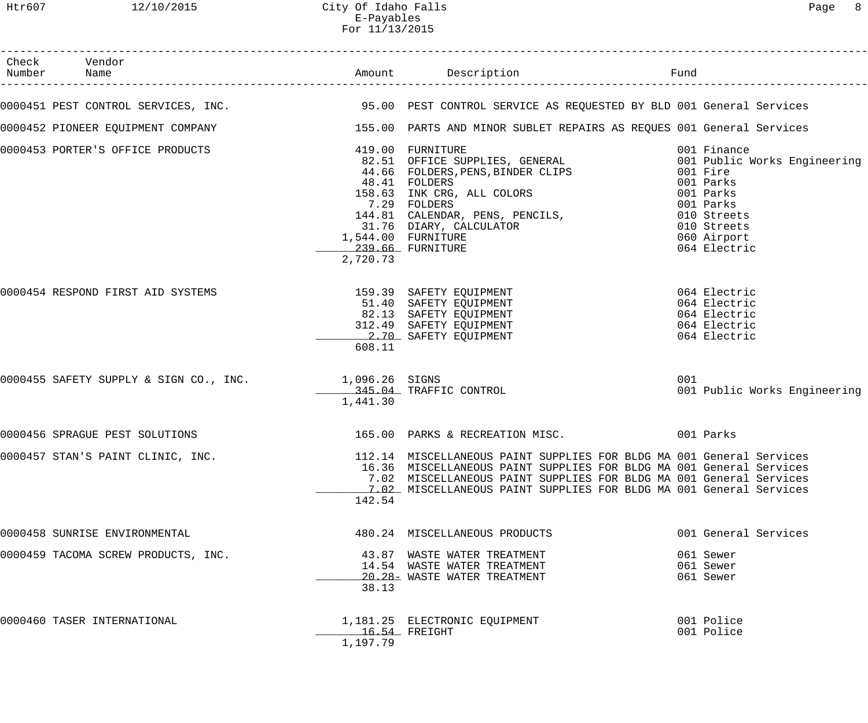# Htr607 12/10/2015 City Of Idaho Falls Page 8 E-Payables For 11/13/2015

| Check Vendor<br>Number Name                           |                              |                                                                                                                                                                                                                                                                                                                                                                                                                                                                        |     |                                         |
|-------------------------------------------------------|------------------------------|------------------------------------------------------------------------------------------------------------------------------------------------------------------------------------------------------------------------------------------------------------------------------------------------------------------------------------------------------------------------------------------------------------------------------------------------------------------------|-----|-----------------------------------------|
|                                                       |                              | 0000451 PEST CONTROL SERVICES, INC. 40 195.00 PEST CONTROL SERVICE AS REQUESTED BY BLD 001 General Services                                                                                                                                                                                                                                                                                                                                                            |     |                                         |
|                                                       |                              | 0000452 PIONEER EQUIPMENT COMPANY 155.00 PARTS AND MINOR SUBLET REPAIRS AS REQUES 001 General Services                                                                                                                                                                                                                                                                                                                                                                 |     |                                         |
| 0000453 PORTER'S OFFICE PRODUCTS                      | 239.66 FURNITURE<br>2,720.73 | 419.00 FURNITURE<br>419.00 FURNITURE<br>82.51 OFFICE SUPPLIES, GENERAL                               001 Public Works Engineering<br>82.51 UPPICE SUFFILED, SINDER<br>44.66 FOLDERS, PENS, BINDER CLIPS<br>48.41 FOLDERS<br>48.41 FOLDERS<br>158.63 INK CRG, ALL COLORS 001 Parks<br>2010 Parks<br>144.81 CALENDAR, PENS, PENCILS, 2010 Streets<br>31.76 DIARY, CALCULATOR 644.00 FURNITURE 644.00 PURNITURE 239.66 FURNITURE 65.19 (10 Streets)<br>1,544.00 FURNITURE |     | 001 Finance<br>001 Fire<br>064 Electric |
|                                                       | 608.11                       | 0000454 RESPOND FIRST AID SYSTEMS <b>159.39</b> SAFETY EQUIPMENT <b>159.39</b> SAFETY EQUIPMENT<br>139.39 SAFETY EQUIPMENT<br>82.13 SAFETY EQUIPMENT<br>312.49 SAFETY EQUIPMENT<br>2.70 SAFETY EQUIPMENT<br>2.70 SAFETY EQUIPMENT<br>312.49 SAFETY EQUIPMENT<br>3.70 SAFETY EQUIPMENT<br>3.70 SAFETY EQUIPMENT                                                                                                                                                         |     |                                         |
| 0000455 SAFETY SUPPLY & SIGN CO., INC. 1,096.26 SIGNS | 1,441.30                     | 345.04 TRAFFIC CONTROL                                                                                                                                                                                                                                                                                                                                                                                                                                                 | 001 | 001 Public Works Engineering            |
|                                                       |                              | 0000456 SPRAGUE PEST SOLUTIONS 165.00 PARKS & RECREATION MISC. 001 Parks                                                                                                                                                                                                                                                                                                                                                                                               |     |                                         |
| 0000457 STAN'S PAINT CLINIC, INC.                     | 142.54                       | 112.14 MISCELLANEOUS PAINT SUPPLIES FOR BLDG MA 001 General Services<br>16.36 MISCELLANEOUS PAINT SUPPLIES FOR BLDG MA 001 General Services<br>7.02 MISCELLANEOUS PAINT SUPPLIES FOR BLDG MA 001 General Services<br>7.02 MISCELLANEOUS PAINT SUPPLIES FOR BLDG MA 001 General Services                                                                                                                                                                                |     |                                         |
| 0000458 SUNRISE ENVIRONMENTAL                         |                              | 480.24 MISCELLANEOUS PRODUCTS                                                                                                                                                                                                                                                                                                                                                                                                                                          |     | 001 General Services                    |
| 0000459 TACOMA SCREW PRODUCTS, INC.                   | 38.13                        | 43.87 WASTE WATER TREATMENT<br>14.54 WASTE WATER TREATMENT<br>20.28- WASTE WATER TREATMENT                                                                                                                                                                                                                                                                                                                                                                             |     | 061 Sewer<br>061 Sewer<br>061 Sewer     |
| 0000460 TASER INTERNATIONAL                           | 1,197.79                     | 1,181.25 ELECTRONIC EQUIPMENT<br>$16.54$ FREIGHT                                                                                                                                                                                                                                                                                                                                                                                                                       |     | 001 Police<br>001 Police                |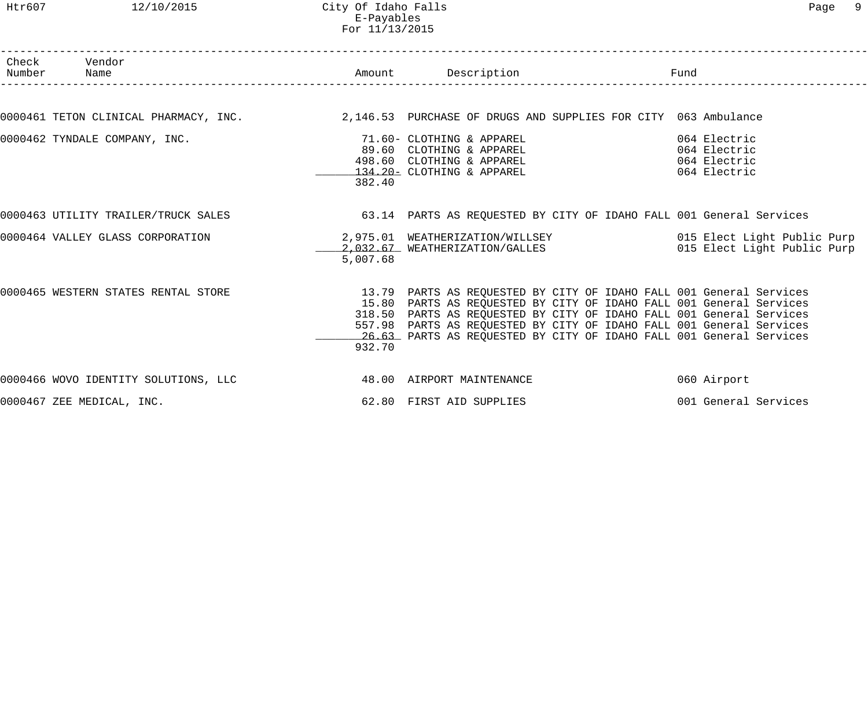Htr607 12/10/2015 City Of Idaho Falls Page 9 E-Payables For 11/13/2015

| Check Vendor<br>Number Name                                                                                   |          | Amount Description<br>)tion<br>.-------------------------                                                                                                                                                                                                                                                                                                         | Fund                 |
|---------------------------------------------------------------------------------------------------------------|----------|-------------------------------------------------------------------------------------------------------------------------------------------------------------------------------------------------------------------------------------------------------------------------------------------------------------------------------------------------------------------|----------------------|
|                                                                                                               |          |                                                                                                                                                                                                                                                                                                                                                                   |                      |
| 0000461 TETON CLINICAL PHARMACY, INC. 2,146.53 PURCHASE OF DRUGS AND SUPPLIES FOR CITY 063 Ambulance          |          |                                                                                                                                                                                                                                                                                                                                                                   |                      |
| 0000462 TYNDALE COMPANY, INC. THE SALE SERVICE SERVICE OF THE SERVICE SERVICE SERVICE SERVICE SERVICE SERVICE | 382.40   | 89.60 CLOTHING & APPAREL 064 Electric<br>498.60 CLOTHING & APPAREL<br>134.20 = CLOTHING & APPAREL (1994) 064 Electric                                                                                                                                                                                                                                             |                      |
| 0000463 UTILITY TRAILER/TRUCK SALES 63.14 PARTS AS REQUESTED BY CITY OF IDAHO FALL 001 General Services       |          |                                                                                                                                                                                                                                                                                                                                                                   |                      |
|                                                                                                               | 5,007.68 |                                                                                                                                                                                                                                                                                                                                                                   |                      |
| 0000465 WESTERN STATES RENTAL STORE                                                                           | 932.70   | 13.79 PARTS AS REQUESTED BY CITY OF IDAHO FALL 001 General Services<br>15.80 PARTS AS REQUESTED BY CITY OF IDAHO FALL 001 General Services<br>318.50 PARTS AS REQUESTED BY CITY OF IDAHO FALL 001 General Services<br>557.98 PARTS AS REQUESTED BY CITY OF IDAHO FALL 001 General Services<br>26.63 PARTS AS REQUESTED BY CITY OF IDAHO FALL 001 General Services |                      |
| 0000466 WOVO IDENTITY SOLUTIONS, LLC <a> 48.00 AIRPORT MAINTENANCE</a>                                        |          |                                                                                                                                                                                                                                                                                                                                                                   | 060 Airport          |
| 0000467 ZEE MEDICAL, INC.                                                                                     |          | 62.80 FIRST AID SUPPLIES                                                                                                                                                                                                                                                                                                                                          | 001 General Services |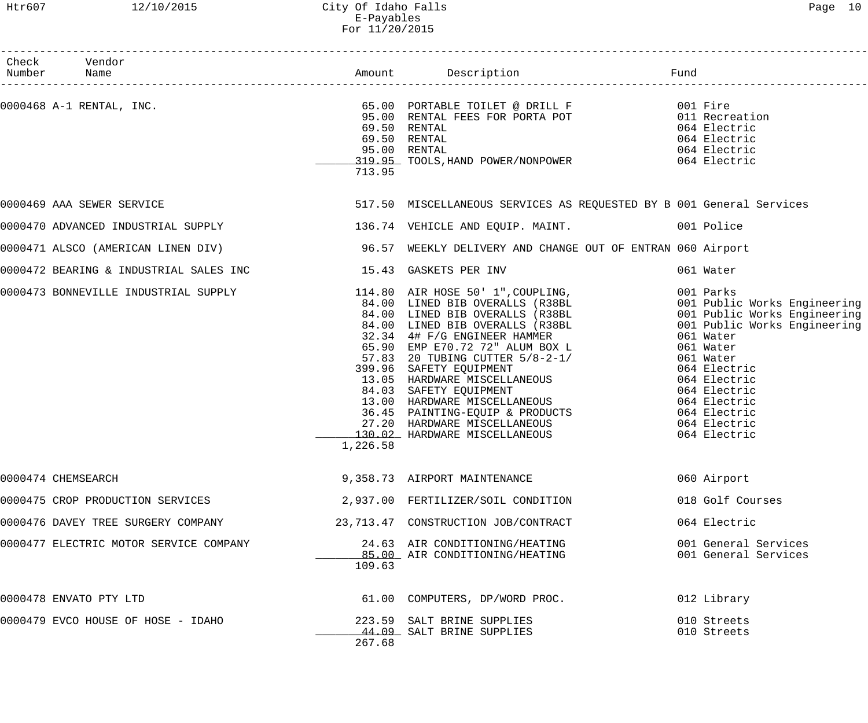# Htr607 12/10/2015 City Of Idaho Falls Page 10 E-Payables For 11/20/2015

| Check Vendor                           |          |                                                                                                                                                                                                                                          |                                              |
|----------------------------------------|----------|------------------------------------------------------------------------------------------------------------------------------------------------------------------------------------------------------------------------------------------|----------------------------------------------|
|                                        | 713.95   | 69.50 RENTAL<br>69.50 RENTAL<br>95.00 RENTAL<br>319.95 TOOLS, HAND POWER/NONPOWER 064 Electric<br>319.95 TOOLS, HAND POWER/NONPOWER 064 Electric                                                                                         |                                              |
| 0000469 AAA SEWER SERVICE              |          | 517.50 MISCELLANEOUS SERVICES AS REQUESTED BY B 001 General Services                                                                                                                                                                     |                                              |
|                                        |          | 0000470 ADVANCED INDUSTRIAL SUPPLY 136.74 VEHICLE AND EQUIP. MAINT.                                                                                                                                                                      |                                              |
|                                        |          | 0000471 ALSCO (AMERICAN LINEN DIV) 36.57 WEEKLY DELIVERY AND CHANGE OUT OF ENTRAN 060 Airport                                                                                                                                            |                                              |
|                                        |          |                                                                                                                                                                                                                                          | 061 Water                                    |
|                                        | 1,226.58 | 0000473 BONNEVILLE INDUSTRIAL SUPPLY<br>0000473 BONNEVILLE INDUSTRIAL SUPPLY<br>0000473 BONNEVILLE INDUSTRIAL SUPPLY<br>001 Public Works Engineering<br>001 Public Works Engineering<br>001 Public Works Engineering<br>001 Public Works |                                              |
| 0000474 CHEMSEARCH                     |          | 9,358.73 AIRPORT MAINTENANCE                                                                                                                                                                                                             | 060 Airport                                  |
| 0000475 CROP PRODUCTION SERVICES       |          | 2,937.00 FERTILIZER/SOIL CONDITION                                                                                                                                                                                                       | 018 Golf Courses                             |
| 0000476 DAVEY TREE SURGERY COMPANY     |          | 23,713.47 CONSTRUCTION JOB/CONTRACT                                                                                                                                                                                                      | 064 Electric                                 |
| 0000477 ELECTRIC MOTOR SERVICE COMPANY | 109.63   | 24.63 AIR CONDITIONING/HEATING<br>85.00 AIR CONDITIONING/HEATING                                                                                                                                                                         | 001 General Services<br>001 General Services |
| 0000478 ENVATO PTY LTD                 |          | 61.00 COMPUTERS, DP/WORD PROC.                                                                                                                                                                                                           | 012 Library                                  |
| 0000479 EVCO HOUSE OF HOSE - IDAHO     | 267.68   | 223.59 SALT BRINE SUPPLIES<br>44.09 SALT BRINE SUPPLIES                                                                                                                                                                                  | 010 Streets<br>010 Streets                   |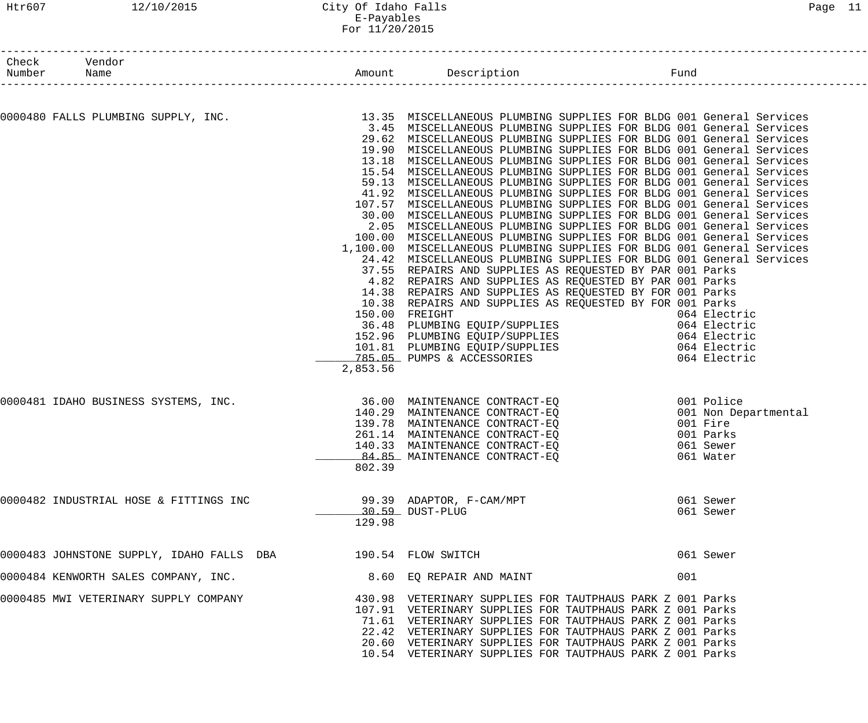#### Htr607 12/10/2015 City Of Idaho Falls Page 11 E-Payables For 11/20/2015

| Number | Check Vendor                                                 |          | Amount Description                                                                                                                            | Fund |              |
|--------|--------------------------------------------------------------|----------|-----------------------------------------------------------------------------------------------------------------------------------------------|------|--------------|
|        | Name<br>___________________________________                  |          |                                                                                                                                               |      |              |
|        | 0000480 FALLS PLUMBING SUPPLY, INC.                          |          | 13.35 MISCELLANEOUS PLUMBING SUPPLIES FOR BLDG 001 General Services                                                                           |      |              |
|        |                                                              |          | 3.45 MISCELLANEOUS PLUMBING SUPPLIES FOR BLDG 001 General Services                                                                            |      |              |
|        |                                                              |          | 29.62 MISCELLANEOUS PLUMBING SUPPLIES FOR BLDG 001 General Services                                                                           |      |              |
|        |                                                              |          | 19.90 MISCELLANEOUS PLUMBING SUPPLIES FOR BLDG 001 General Services                                                                           |      |              |
|        |                                                              |          | 13.18 MISCELLANEOUS PLUMBING SUPPLIES FOR BLDG 001 General Services                                                                           |      |              |
|        |                                                              |          | 15.54 MISCELLANEOUS PLUMBING SUPPLIES FOR BLDG 001 General Services                                                                           |      |              |
|        |                                                              |          | 59.13 MISCELLANEOUS PLUMBING SUPPLIES FOR BLDG 001 General Services                                                                           |      |              |
|        |                                                              |          | 41.92 MISCELLANEOUS PLUMBING SUPPLIES FOR BLDG 001 General Services                                                                           |      |              |
|        |                                                              |          | 107.57 MISCELLANEOUS PLUMBING SUPPLIES FOR BLDG 001 General Services                                                                          |      |              |
|        |                                                              |          | 30.00 MISCELLANEOUS PLUMBING SUPPLIES FOR BLDG 001 General Services                                                                           |      |              |
|        |                                                              |          | 2.05 MISCELLANEOUS PLUMBING SUPPLIES FOR BLDG 001 General Services                                                                            |      |              |
|        |                                                              |          | 100.00 MISCELLANEOUS PLUMBING SUPPLIES FOR BLDG 001 General Services                                                                          |      |              |
|        |                                                              |          | 1,100.00 MISCELLANEOUS PLUMBING SUPPLIES FOR BLDG 001 General Services<br>24.42 MISCELLANEOUS PLUMBING SUPPLIES FOR BLDG 001 General Services |      |              |
|        |                                                              |          | 37.55 REPAIRS AND SUPPLIES AS REQUESTED BY PAR 001 Parks                                                                                      |      |              |
|        |                                                              |          | 4.82 REPAIRS AND SUPPLIES AS REQUESTED BY PAR 001 Parks                                                                                       |      |              |
|        |                                                              |          | 14.38 REPAIRS AND SUPPLIES AS REQUESTED BY FOR 001 Parks                                                                                      |      |              |
|        |                                                              |          | 10.38 REPAIRS AND SUPPLIES AS REQUESTED BY FOR 001 Parks                                                                                      |      |              |
|        |                                                              |          | 150.00 FREIGHT                                                                                                                                |      | 064 Electric |
|        |                                                              |          | 36.48 PLUMBING EQUIP/SUPPLIES 064 Electric                                                                                                    |      |              |
|        |                                                              |          | 152.96 PLUMBING EQUIP/SUPPLIES 064 Electric                                                                                                   |      |              |
|        |                                                              |          | 101.81 PLUMBING EQUIP/SUPPLIES 064 Electric                                                                                                   |      |              |
|        |                                                              |          | 785.05 PUMPS & ACCESSORIES                                                                                                                    |      | 064 Electric |
|        |                                                              | 2,853.56 |                                                                                                                                               |      |              |
|        | 0000481 IDAHO BUSINESS SYSTEMS, INC.                         |          | 36.00 MAINTENANCE CONTRACT-EQ                                                                                                                 |      | 001 Police   |
|        |                                                              |          | 140.29 MAINTENANCE CONTRACT-EQ 001 Non Departmental                                                                                           |      |              |
|        |                                                              |          | 139.78 MAINTENANCE CONTRACT-EQ                                                                                                                |      | 001 Fire     |
|        |                                                              | 261.14   | MAINTENANCE CONTRACT-EQ                                                                                                                       |      | 001 Parks    |
|        |                                                              |          | 140.33 MAINTENANCE CONTRACT-EQ                                                                                                                |      | 061 Sewer    |
|        |                                                              |          | 84.85 MAINTENANCE CONTRACT-EQ                                                                                                                 |      | 061 Water    |
|        |                                                              | 802.39   |                                                                                                                                               |      |              |
|        |                                                              |          |                                                                                                                                               |      | 061 Sewer    |
|        |                                                              |          | 30.59 DUST-PLUG                                                                                                                               |      | 061 Sewer    |
|        |                                                              | 129.98   |                                                                                                                                               |      |              |
|        | 0000483 JOHNSTONE SUPPLY, IDAHO FALLS DBA 190.54 FLOW SWITCH |          |                                                                                                                                               |      | 061 Sewer    |
|        | 0000484 KENWORTH SALES COMPANY, INC.                         |          | 8.60 EQ REPAIR AND MAINT                                                                                                                      | 001  |              |
|        | 0000485 MWI VETERINARY SUPPLY COMPANY                        |          | 430.98   VETERINARY SUPPLIES FOR TAUTPHAUS PARK Z 001 Parks                                                                                   |      |              |
|        |                                                              |          | 107.91 VETERINARY SUPPLIES FOR TAUTPHAUS PARK Z 001 Parks                                                                                     |      |              |
|        |                                                              |          | 71.61 VETERINARY SUPPLIES FOR TAUTPHAUS PARK Z 001 Parks                                                                                      |      |              |
|        |                                                              |          | 22.42 VETERINARY SUPPLIES FOR TAUTPHAUS PARK Z 001 Parks                                                                                      |      |              |
|        |                                                              |          | 20.60 VETERINARY SUPPLIES FOR TAUTPHAUS PARK Z 001 Parks                                                                                      |      |              |
|        |                                                              |          | 10.54 VETERINARY SUPPLIES FOR TAUTPHAUS PARK Z 001 Parks                                                                                      |      |              |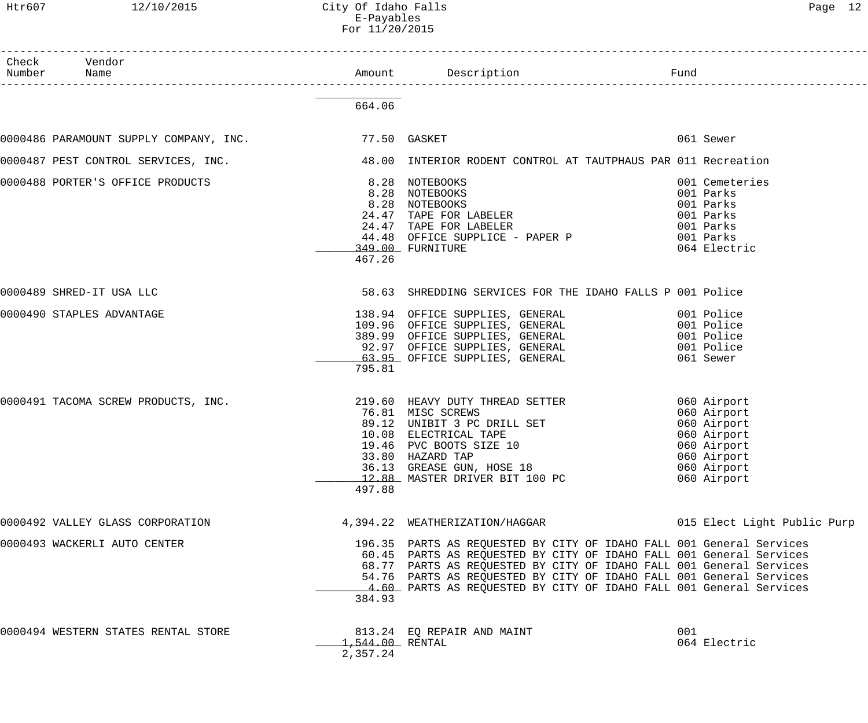Htr607 12/10/2015 City Of Idaho Falls Content Content of Page 12 E-Payables

|                 |                                                                                                   | For 11/20/2015              |                                                                                                                                                                                                                                                                                                                                                                 |           |                                                                                                                      |
|-----------------|---------------------------------------------------------------------------------------------------|-----------------------------|-----------------------------------------------------------------------------------------------------------------------------------------------------------------------------------------------------------------------------------------------------------------------------------------------------------------------------------------------------------------|-----------|----------------------------------------------------------------------------------------------------------------------|
| Check<br>Number | Vendor<br>Name                                                                                    |                             | Amount Description                                                                                                                                                                                                                                                                                                                                              | Fund      |                                                                                                                      |
|                 |                                                                                                   | 664.06                      |                                                                                                                                                                                                                                                                                                                                                                 |           |                                                                                                                      |
|                 | 0000486 PARAMOUNT SUPPLY COMPANY, INC. 77.50 GASKET                                               |                             |                                                                                                                                                                                                                                                                                                                                                                 |           | 061 Sewer                                                                                                            |
|                 | 0000487 PEST CONTROL SERVICES, INC. 48.00 INTERIOR RODENT CONTROL AT TAUTPHAUS PAR 011 Recreation |                             |                                                                                                                                                                                                                                                                                                                                                                 |           |                                                                                                                      |
|                 | 0000488 PORTER'S OFFICE PRODUCTS                                                                  | 467.26                      | 8.28 NOTEBOOKS<br>8.28 NOTEBOOKS<br>8.28 NOTEBOOKS<br>8.28 NOTEBOOKS<br>24.47 TAPE FOR LABELER<br>24.47 TAPE FOR LABELER<br>44.48 OFFICE SUPPLICE - PAPER P 001 Parks<br>349.00 FURNITURE                                                                                                                                                                       | 001 Parks | 001 Cemeteries<br>001 Parks<br>001 Parks<br>001 Parks<br>064 Electric                                                |
|                 | 0000489 SHRED-IT USA LLC                                                                          |                             | 58.63 SHREDDING SERVICES FOR THE IDAHO FALLS P 001 Police                                                                                                                                                                                                                                                                                                       |           |                                                                                                                      |
|                 | 0000490 STAPLES ADVANTAGE                                                                         | 795.81                      | 138.94 OFFICE SUPPLIES, GENERAL 601 Police<br>109.96 OFFICE SUPPLIES, GENERAL 6001 Police<br>389.99 OFFICE SUPPLIES, GENERAL<br>92.97 OFFICE SUPPLIES, GENERAL<br>63.95 OFFICE SUPPLIES, GENERAL                                                                                                                                                                |           | 001 Police<br>001 Police<br>061 Sewer                                                                                |
|                 | 0000491 TACOMA SCREW PRODUCTS, INC.                                                               | 497.88                      | 219.60 HEAVY DUTY THREAD SETTER<br>76.81 MISC SCREWS<br>89.12 UNIBIT 3 PC DRILL SET<br>10.08 ELECTRICAL TAPE<br>19.46 PVC BOOTS SIZE 10<br>33.80 HAZARD TAP<br>36.13 GREASE GUN, HOSE 18<br>12.88 MASTER DRIVER BIT 100 PC                                                                                                                                      |           | 060 Airport<br>060 Airport<br>060 Airport<br>060 Airport<br>060 Airport<br>060 Airport<br>060 Airport<br>060 Airport |
|                 | 0000492 VALLEY GLASS CORPORATION                                                                  |                             | 4, 394.22 WEATHERIZATION/HAGGAR                                                                                                                                                                                                                                                                                                                                 |           | 015 Elect Light Public Purp                                                                                          |
|                 | 0000493 WACKERLI AUTO CENTER                                                                      | 384.93                      | 196.35 PARTS AS REQUESTED BY CITY OF IDAHO FALL 001 General Services<br>60.45 PARTS AS REQUESTED BY CITY OF IDAHO FALL 001 General Services<br>68.77 PARTS AS REQUESTED BY CITY OF IDAHO FALL 001 General Services<br>54.76 PARTS AS REQUESTED BY CITY OF IDAHO FALL 001 General Services<br>4.60 PARTS AS REQUESTED BY CITY OF IDAHO FALL 001 General Services |           |                                                                                                                      |
|                 | 0000494 WESTERN STATES RENTAL STORE                                                               | 1,544.00 RENTAL<br>2,357.24 | 813.24 EQ REPAIR AND MAINT                                                                                                                                                                                                                                                                                                                                      | 001       | 064 Electric                                                                                                         |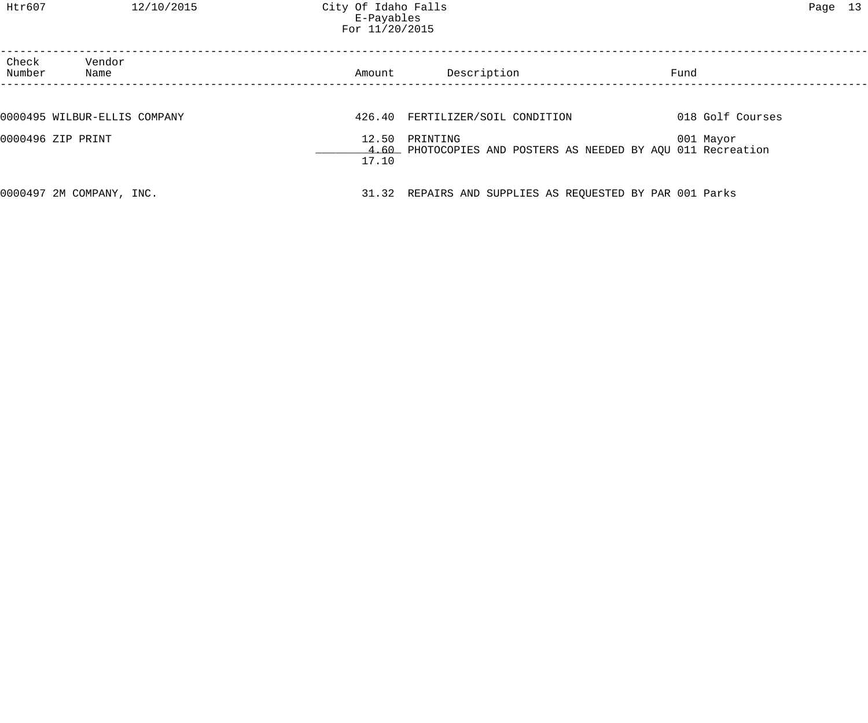| Check<br>Number   | Vendor<br>Name               | Amount         | Description                                                              | Fund             |
|-------------------|------------------------------|----------------|--------------------------------------------------------------------------|------------------|
|                   |                              |                |                                                                          |                  |
|                   | 0000495 WILBUR-ELLIS COMPANY |                | 426.40 FERTILIZER/SOIL CONDITION                                         | 018 Golf Courses |
| 0000496 ZIP PRINT |                              | 12.50<br>17.10 | PRINTING<br>4.60 PHOTOCOPIES AND POSTERS AS NEEDED BY AQU 011 Recreation | 001 Mayor        |
|                   | 0000497 2M COMPANY, INC.     |                | 31.32 REPAIRS AND SUPPLIES AS REQUESTED BY PAR 001 Parks                 |                  |